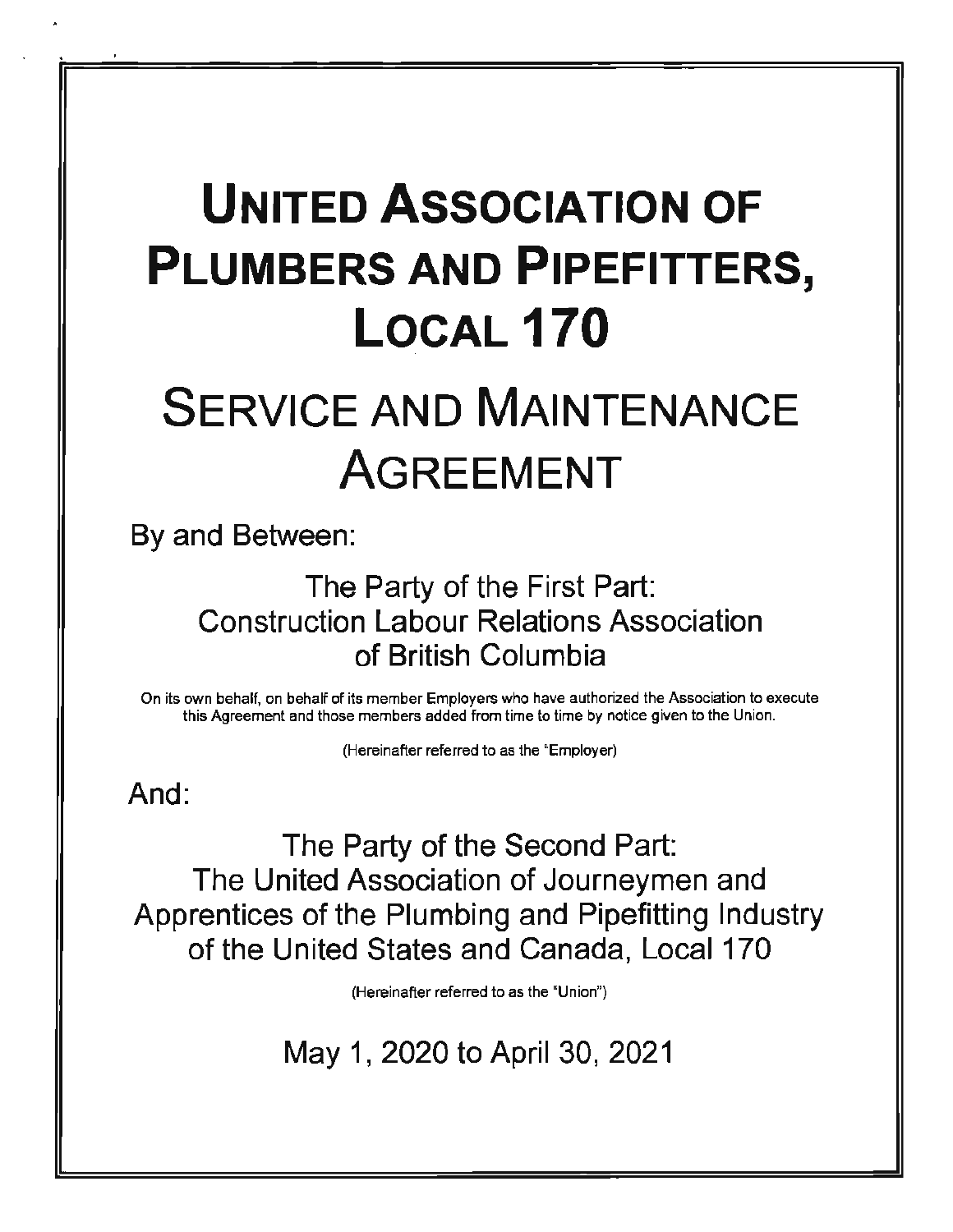# **UNITED ASSOCIATION OF PLUMBERS AND PIPEFITTERS, LOCAL170**

# **SERVICE AND MAINTENANCE** AGREEMENT

By and Between:

# The Party of the First Part: Construction Labour Relations Association of British Columbia

On its own behalf, on behalf of its member Employers who have authorized the Association to execute this Agreement and those members added from time to time by notice given to the Union.

(Hereinafter referred to as the "Employer)

And:

The Party of the Second Part: The United Association of Journeymen and Apprentices of the Plumbing and Pipefitting Industry of the United States and Canada, Local 170

(Hereinafter referred to as the "Union")

May 1, 2020 to April 30, 2021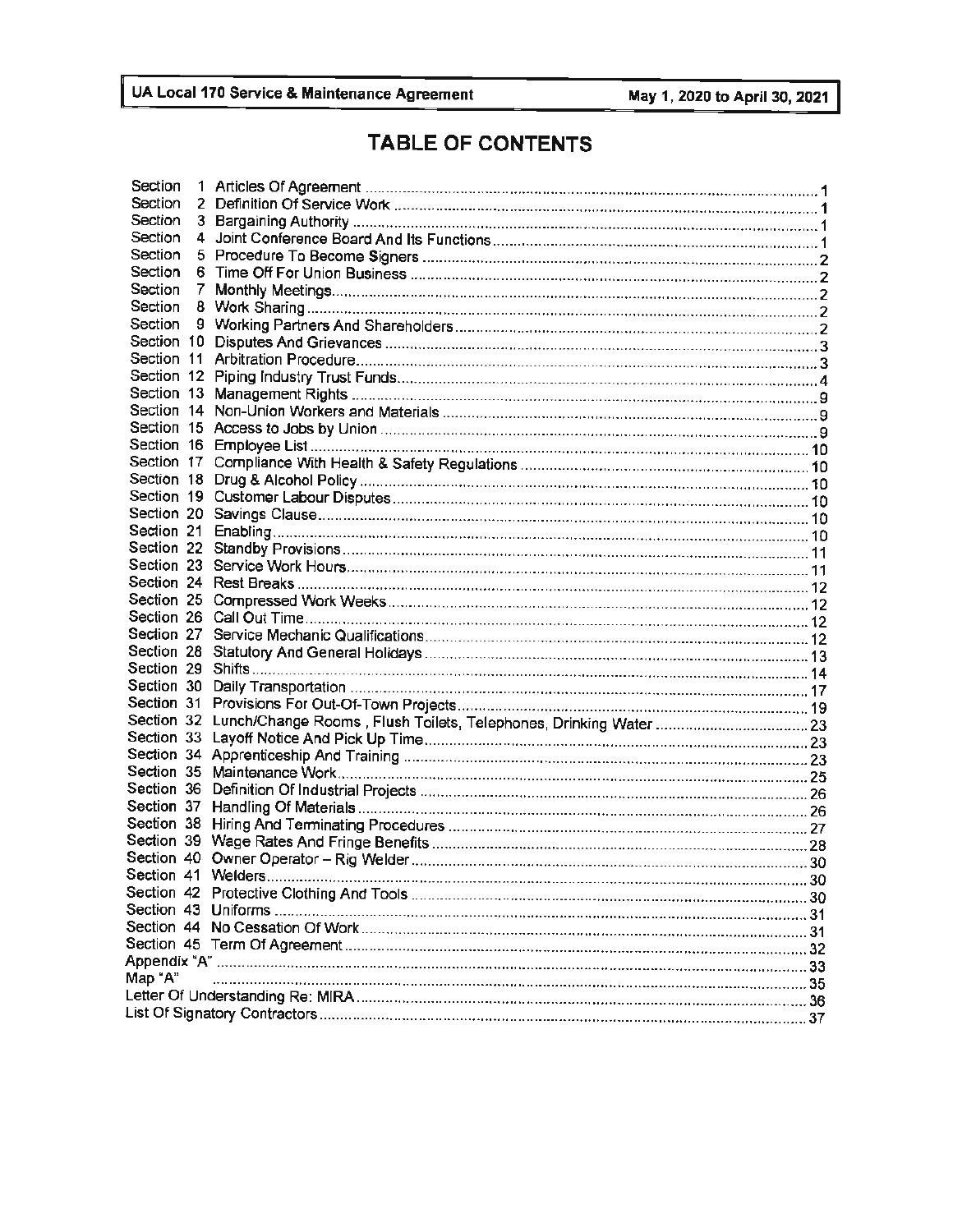## **TABLE OF CONTENTS**

| Section | 1  |                    |  |
|---------|----|--------------------|--|
| Section | 2  |                    |  |
| Section | 3  |                    |  |
| Section | 4  |                    |  |
| Section |    |                    |  |
| Section |    |                    |  |
| Section | 7. |                    |  |
| Section |    |                    |  |
| Section |    |                    |  |
|         |    |                    |  |
|         |    |                    |  |
|         |    |                    |  |
|         |    |                    |  |
|         |    |                    |  |
|         |    |                    |  |
|         |    |                    |  |
|         |    |                    |  |
|         |    |                    |  |
|         |    |                    |  |
|         |    |                    |  |
|         |    |                    |  |
|         |    |                    |  |
|         |    |                    |  |
|         |    |                    |  |
|         |    |                    |  |
|         |    |                    |  |
|         |    |                    |  |
|         |    |                    |  |
|         |    |                    |  |
|         |    |                    |  |
|         |    |                    |  |
|         |    |                    |  |
|         |    |                    |  |
|         |    |                    |  |
|         |    |                    |  |
|         |    |                    |  |
|         |    |                    |  |
|         |    |                    |  |
|         |    |                    |  |
|         |    |                    |  |
|         |    | Section 41 Welders |  |
|         |    |                    |  |
|         |    |                    |  |
|         |    |                    |  |
|         |    |                    |  |
| Map "A" |    |                    |  |
|         |    |                    |  |
|         |    |                    |  |
|         |    |                    |  |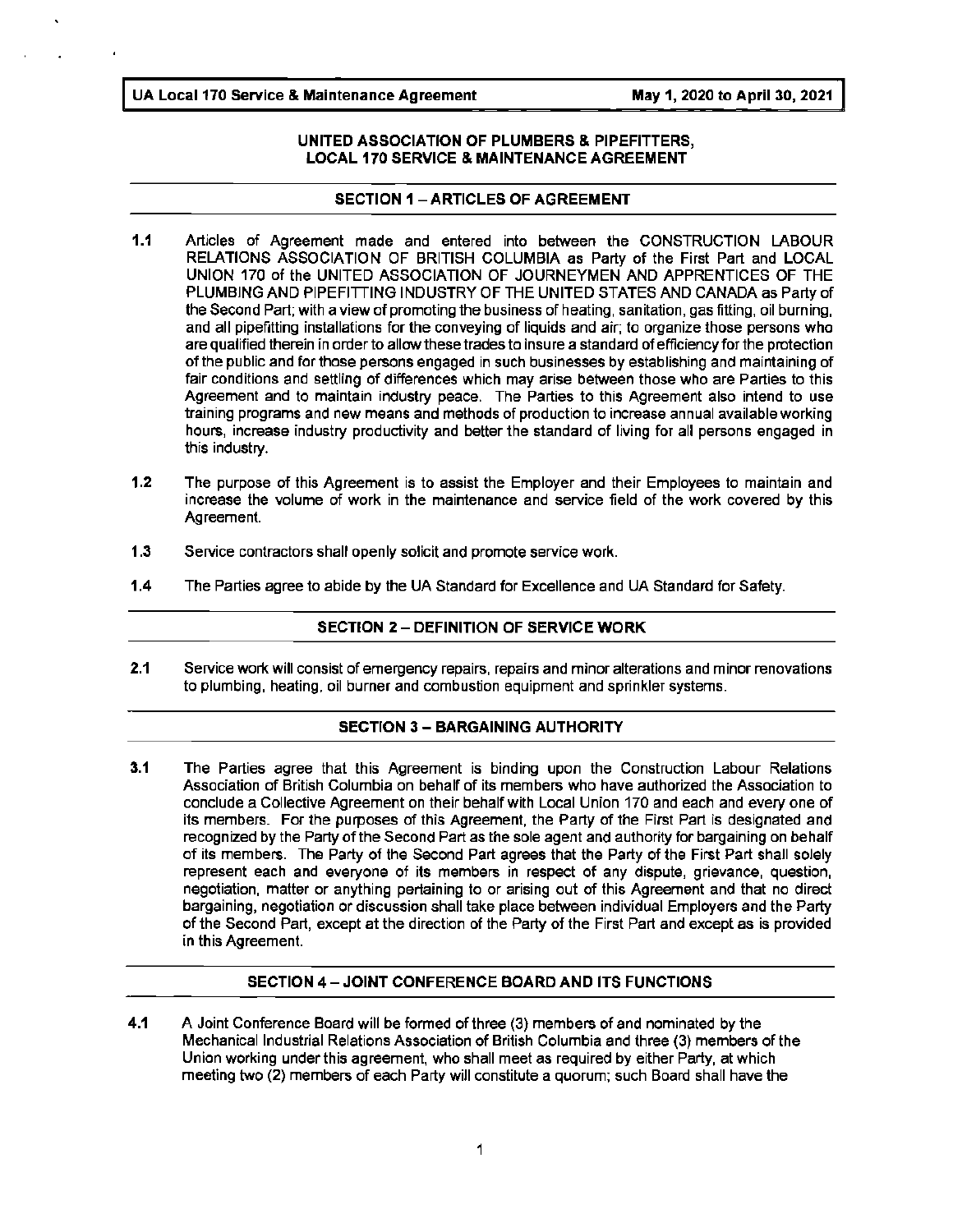#### **UNITED ASSOCIATION OF PLUMBERS** & **PIPEFITTERS, LOCAL 170 SERVICE** & **MAINTENANCE AGREEMENT**

#### **SECTION 1 - ARTICLES OF AGREEMENT**

- **1.1** Articles of Agreement made and entered into between the CONSTRUCTION LABOUR RELATIONS ASSOCIATION OF BRITISH COLUMBIA as Party of the First Part and LOCAL UNION 170 of the UNITED ASSOCIATION OF JOURNEYMEN AND APPRENTICES OF THE PLUMBING AND PIPEFITTING INDUSTRY OF THE UNITED STATES AND CANADA as Party of the Second Part; with a view of promoting the business of heating, sanitation, gas fitting, oil burning, and all pipefitting installations for the conveying of liquids and air; to organize those persons who are qualified therein in order to allow these trades to insure a standard of efficiency for the protection of the public and for those persons engaged in such businesses by establishing and maintaining of fair conditions and settling of differences which may arise between those who are Parties to this Agreement and to maintain industry peace. The Parties to this Agreement also intend to use training programs and new means and methods of production to increase annual available working hours, increase industry productivity and better the standard of living for all persons engaged in this industry.
- 1.2 The purpose of this Agreement is to assist the Employer and their Employees to maintain and increase the volume of work in the maintenance and service field of the work covered by this Agreement.
- **1.3** Service contractors shall openly solicit and promote service work.
- **1.4** The Parties agree to abide by the UA Standard for Excellence and UA Standard for Safety.

#### **SECTION 2** - **DEFINITION OF SERVICE WORK**

**2.1** Service work will consist of emergency repairs, repairs and minor alterations and minor renovations to plumbing, heating, oil burner and combustion equipment and sprinkler systems.

#### **SECTION 3** - **BARGAINING AUTHORITY**

3.1 The Parties agree that this Agreement is binding upon the Construction Labour Relations Association of British Columbia on behalf of its members who have authorized the Association to conclude a Collective Agreement on their behalf with Local Union 170 and each and every one of its members. For the purposes of this Agreement, the Party of the First Part is designated and recognized by the Party of the Second Part as the sole agent and authority for bargaining on behalf of its members. The Party of the Second Part agrees that the Party of the First Part shall solely represent each and everyone of its members in respect of any dispute, grievance, question, negotiation, matter or anything pertaining to or arising out of this Agreement and that no direct bargaining, negotiation or discussion shall take place between individual Employers and the Party of the Second Part, except at the direction of the Party of the First Part and except as is provided in this Agreement.

#### **SECTION 4- JOINT CONFERENCE BOARD AND ITS FUNCTIONS**

**4.1 A** Joint Conference Board will be formed of three (3) members of and nominated by the Mechanical Industrial Relations Association of British Columbia and three (3) members of the Union working under this agreement, who shall meet as required by either Party, at which meeting two (2) members of each Party will constitute a quorum; such Board shall have the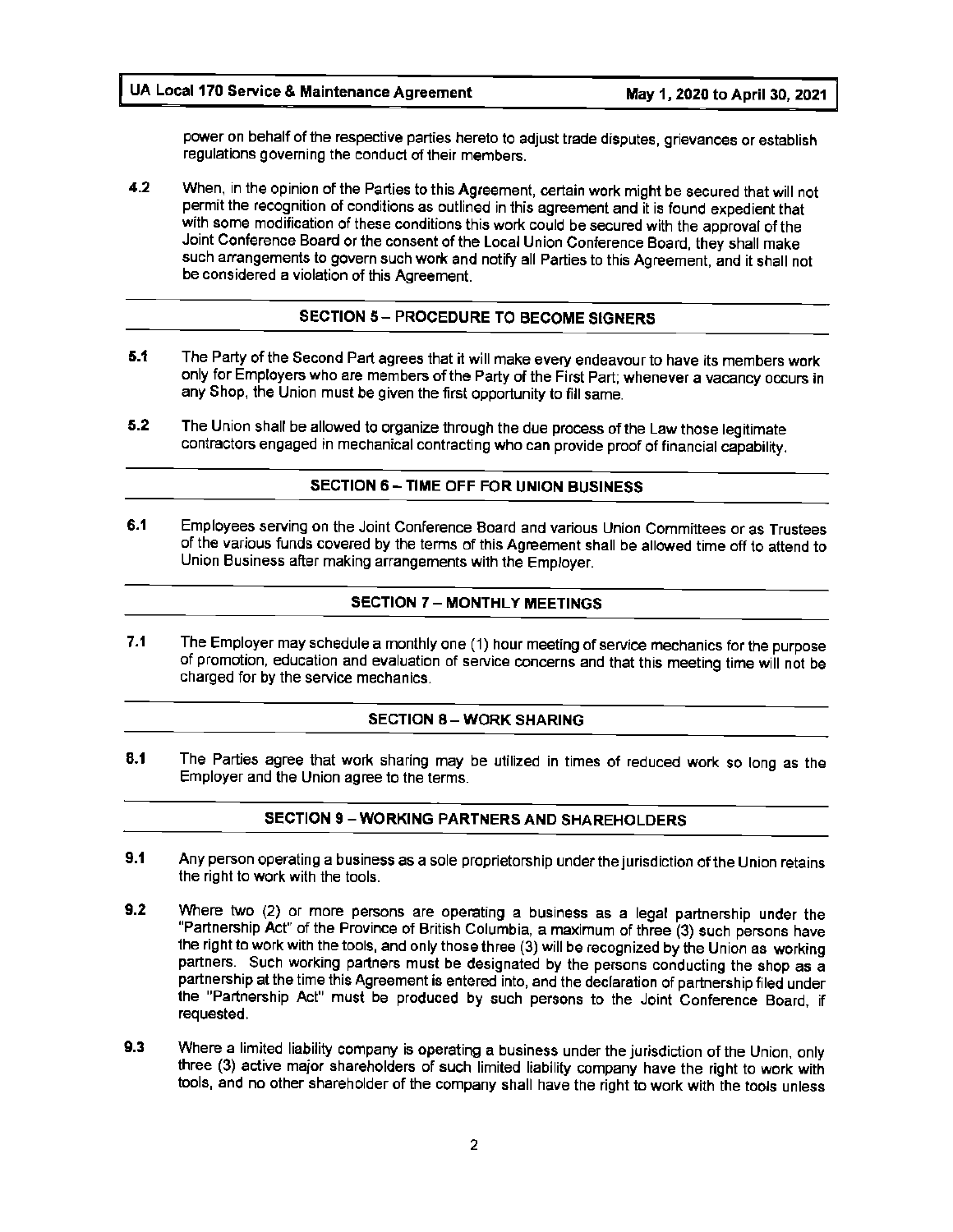power on behalf of the respective parties hereto to adjust trade disputes, grievances or establish regulations governing the conduct of their members.

**4.2** When, in the opinion of the Parties to this Agreement, certain work might be secured that will not permit the recognition of conditions as outlined in this agreement and it is found expedient that with some modification of these conditions this work could be secured with the approval of the Joint Conference Board or the consent of the Local Union Conference Board, they shall make such arrangements to govern such work and notify all Parties to this Agreement, and it shall not be considered a violation of this Agreement.

#### **SECTION 5** - **PROCEDURE TO BECOME SIGNERS**

- **5.1** The Party of the Second Part agrees that it will make every endeavour to have its members work only for Employers who are members of the Party of the First Part; whenever a vacancy occurs in any Shop, the Union must be given the first opportunity to fill same.
- **5.2** The Union shall be allowed to organize through the due process of the Law those legitimate contractors engaged in mechanical contracting who can provide proof of financial capability.

#### **SECTION 6** - **TIME** OFF **FOR UNION BUSINESS**

**6.1** Employees serving on the Joint Conference Board and various Union Committees or as Trustees of the various funds covered by the terms of this Agreement shall be allowed time off to attend to Union Business after making arrangements with the Employer.

#### **SECTION 7** - **MONTHLY MEETINGS**

**7.1** The Employer may schedule a monthly one (1) hour meeting of service mechanics for the purpose of promotion, education and evaluation of service concerns and that this meeting time will not be charged for by the service mechanics.

#### **SECTION 8- WORK SHARING**

**8.1** The Parties agree that work sharing may be utilized in times of reduced work so long as the Employer and the Union agree to the terms.

#### **SECTION 9** - **WORKING PARTNERS AND SHAREHOLDERS**

- **9.1** Any person operating a business as a sole proprietorship under the jurisdiction of the Union retains the right to work with the tools.
- **9.2** Where two (2) or more persons are operating a business as a legal partnership under the "Partnership Act" of the Province of British Columbia, a maximum of three (3) such persons have the right to work with the tools, and only those three (3) will be recognized by the Union as working partners. Such working partners must be designated by the persons conducting the shop as a partnership at the time this Agreement is entered into, and the declaration of partnership filed under the "Partnership Act" must be produced by such persons to the Joint Conference Board, if requested.
- **9.3** Where a limited liability company is operating a business under the jurisdiction of the Union, only three (3) active major shareholders of such limited liability company have the right to work with tools, and no other shareholder of the company shall have the right to work with the tools unless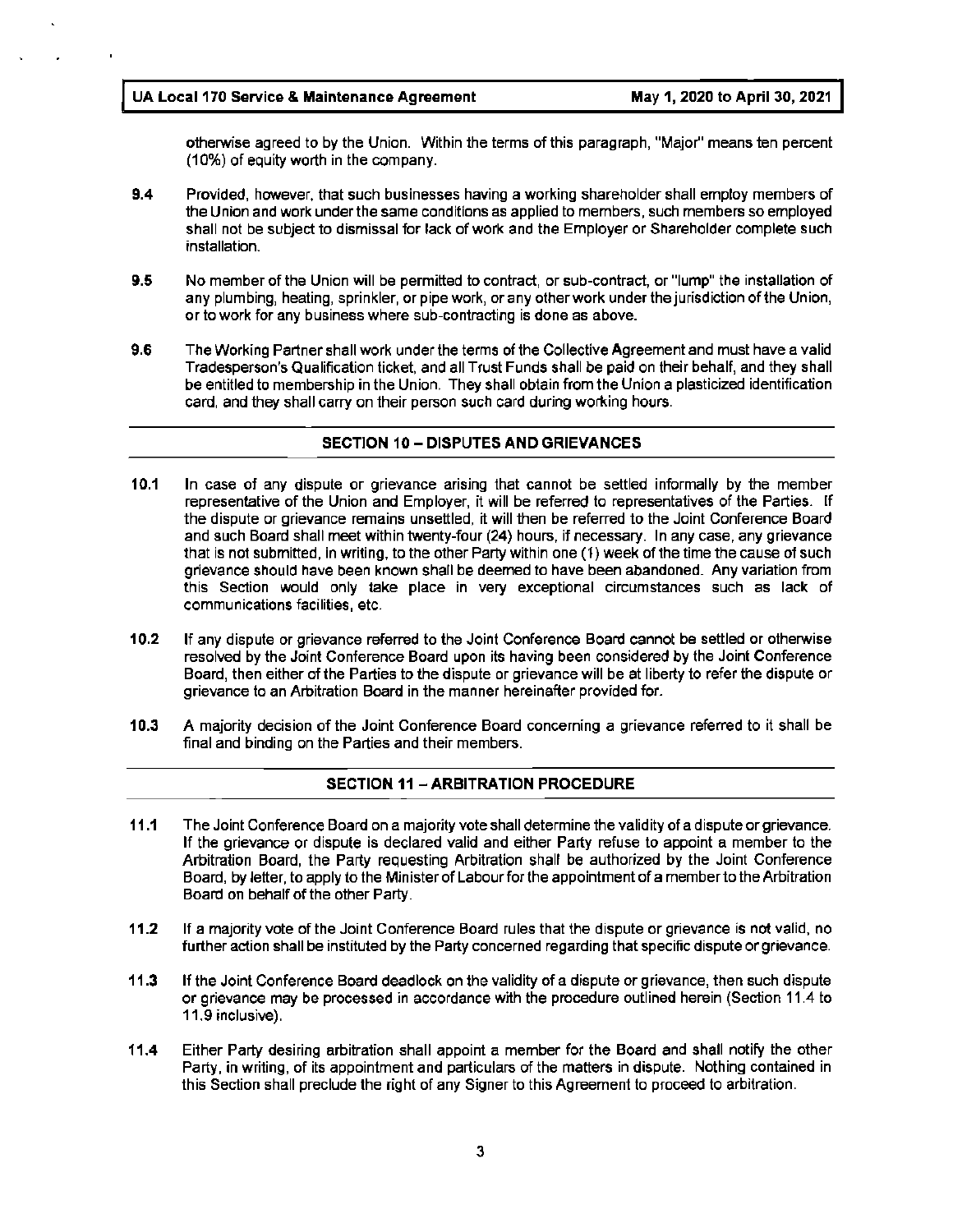otherwise agreed to by the Union. Within the terms of this paragraph, "Major'' means ten percent (10%) of equity worth in the company.

- **9.4** Provided, however, that such businesses having a working shareholder shall employ members of the Union and work under the same conditions as applied to members, such members so employed shall not be subject to dismissal for lack of work and the Employer or Shareholder complete such installation.
- **9.5** No member of the Union will be permitted to contract, or sub-contract, or "lump" the installation of any plumbing, heating, sprinkler, or pipe work, or any other work under the jurisdiction of the Union, or to work for any business where sub-contracting is done as above.
- 9.6 The Working Partner shall work under the terms of the Collective Agreement and must have a valid Tradesperson's Qualification ticket, and all Trust Funds shall be paid on their behalf, and they shall be entitled to membership in the Union. They shall obtain from the Union a plasticized identification card, and they shall carry on their person such card during working hours.

#### **SECTION 10-DISPUTES AND GRIEVANCES**

- **10.1** In case of any dispute or grievance arising that cannot be settled informally by the member representative of the Union and Employer, it will be referred to representatives of the Parties. If the dispute or grievance remains unsettled, it will then be referred to the Joint Conference Board and such Board shall meet within twenty-four (24) hours, if necessary. In any case, any grievance that is not submitted, in writing, to the other Party within one (1) week of the time the cause of such grievance should have been known shall be deemed to have been abandoned. Any variation from this Section would only take place in very exceptional circumstances such as lack of communications facilities, etc.
- **10.2** If any dispute or grievance referred to the Joint Conference Board cannot be settled or otherwise resolved by the Joint Conference Board upon its having been considered by the Joint Conference Board, then either of the Parties to the dispute or grievance will be at liberty to refer the dispute or grievance to an Arbitration Board in the manner hereinafter provided for.
- **10.3** A majority decision of the Joint Conference Board concerning a grievance referred to it shall be final and binding on the Parties and their members.

#### **SECTION 11** - **ARBITRATION PROCEDURE**

- **11.1** The Joint Conference Board on a majority vote shall determine the validity of a dispute or grievance. If the grievance or dispute is declared valid and either Party refuse to appoint a member to the Arbitration Board, the Party requesting Arbitration shall be authorized by the Joint Conference Board, by letter, to apply to the Minister of Labour for the appointment of a member to the Arbitration Board on behalf of the other Party.
- **11.2** If a majority vote of the Joint Conference Board rules that the dispute or grievance is not valid, no further action shall be instituted by the Party concerned regarding that specific dispute or grievance.
- **11.3** If the Joint Conference Board deadlock on the validity of a dispute or grievance, then such dispute or grievance may be processed in accordance with the procedure outlined herein (Section 11.4 to 11.9 inclusive).
- **11.4** Either Party desiring arbitration shall appoint a member for the Board and shall notify the other Party, in writing, of its appointment and particulars of the matters in dispute. Nothing contained in this Section shall preclude the right of any Signer to this Agreement to proceed to arbitration.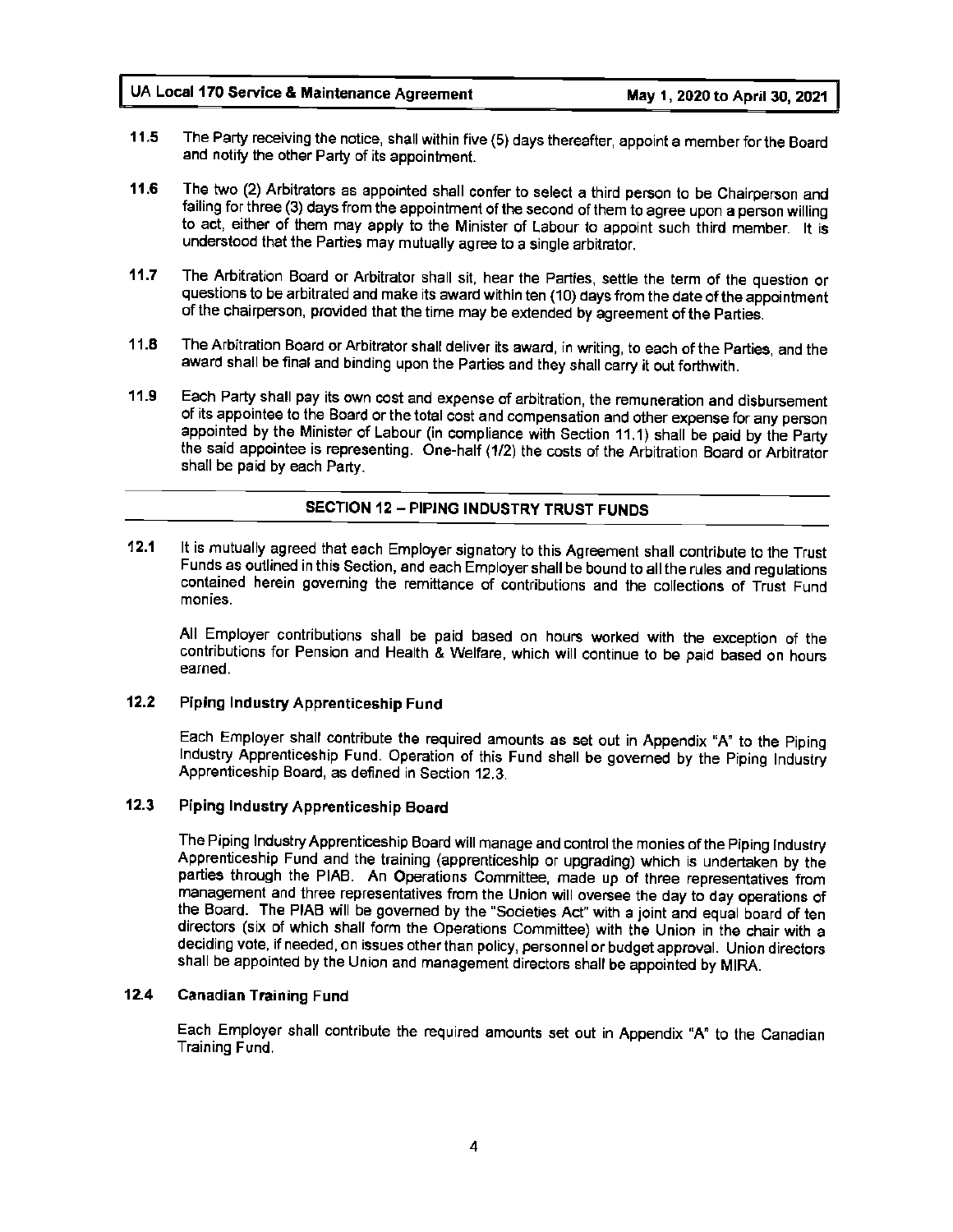- **11.5** The Party receiving the notice, shall within five (5) days thereafter, appoint a member for the Board and notify the other Party of its appointment.
- **11.6** The two (2) Arbitrators as appointed shall confer to select a third person to be Chairperson and failing for three (3) days from the appointment of the second of them to agree upon a person willing to act, either of them may apply to the Minister of Labour to appoint such third member. It is understood that the Parties may mutually agree to a single arbitrator.
- 11.7 The Arbitration Board or Arbitrator shall sit, hear the Parties, settle the term of the question or questions to be arbitrated and make its award within ten (10) days from the date of the appointment of the chairperson, provided that the time may be extended by agreement of the Parties.
- **11.8** The Arbitration Board or Arbitrator shall deliver its award, in writing, to each of the Parties, and the award shall be final and binding upon the Parties and they shall carry it out forthwith.
- **11.9** Each Party shall pay its own cost and expense of arbitration, the remuneration and disbursement of its appointee to the Board or the total cost and compensation and other expense for any person appointed by the Minister of Labour (in compliance with Section 11.1) shall be paid by the Party the said appointee is representing. One-half (1/2) the costs of the Arbitration Board or Arbitrator shall be paid by each Party.

#### **SECTION 12** - **PIPING INDUSTRY TRUST FUNDS**

**12.1** It is mutually agreed that each Employer signatory to this Agreement shall contribute to the Trust Funds as outlined in this Section, and each Employer shall be bound to all the rules and regulations contained herein governing the remittance of contributions and the collections of Trust Fund monies.

All Employer contributions shall be paid based on hours worked with the exception of the contributions for Pension and Health & Welfare, which will continue to be paid based on hours earned.

#### **12.2 Piping Industry Apprenticeship Fund**

Each Employer shall contribute the required amounts as set out in Appendix "A" to the Piping Industry Apprenticeship Fund. Operation of this Fund shall be governed by the Piping Industry Apprenticeship Board, as defined in Section 12.3.

#### **12.3 Piping Industry Apprenticeship Board**

The Piping Industry Apprenticeship Board will manage and control the monies of the Piping Industry Apprenticeship Fund and the training (apprenticeship or upgrading) which is undertaken by the parties through the PIAB. An Operations Committee, made up of three representatives from management and three representatives from the Union will oversee the day to day operations of the Board. The PIAB will be governed by the "Societies Act" with a joint and equal board of ten directors (six of which shall form the Operations Committee) with the Union in the chair with a deciding vote, if needed, on issues other than policy, personnel or budget approval. Union directors shall be appointed by the Union and management directors shall be appointed by MIRA.

#### **12.4 Canadian Training Fund**

Each Employer shall contribute the required amounts set out in Appendix "A" to the Canadian Training Fund.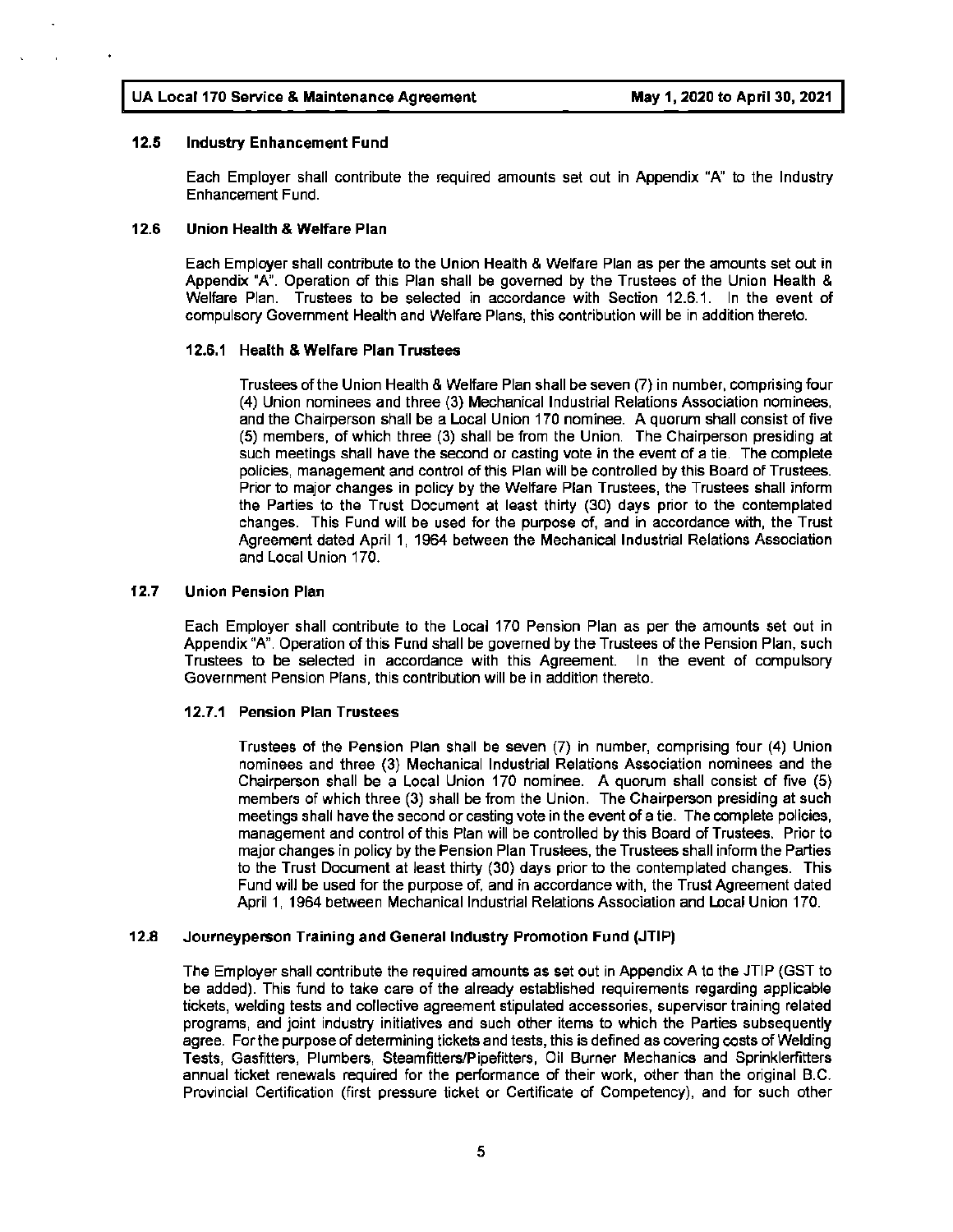#### **12.5 Industry Enhancement Fund**

Each Employer shall contribute the required amounts set out in Appendix "A" to the Industry Enhancement Fund.

#### **12.6 Union Health** & **Welfare Plan**

Each Employer shall contribute to the Union Health & Welfare Plan as per the amounts set out in Appendix **"A".** Operation of this Plan shall be governed by the Trustees of the Union Health & Welfare Plan. Trustees to be selected in accordance with Section 12.6.1. In the event of compulsory Government Health and Welfare Plans, this contribution will be in addition thereto.

#### **12.6.1 Health** & **Welfare Plan Trustees**

Trustees of the Union Health & Welfare Plan shall be seven (7) in number, comprising four (4) Union nominees and three (3) Mechanical Industrial Relations Association nominees, and the Chairperson shall be a Local Union 170 nominee. A quorum shall consist of five (5) members, of which three (3) shall be from the Union. The Chairperson presiding at such meetings shall have the second or casting vote in the event of a tie. The complete policies, management and control of this Plan will be controlled by this Board of Trustees. Prior to major changes in policy by the Welfare Plan Trustees, the Trustees shall inform the Parties to the Trust Document at least thirty (30) days prior to the contemplated changes. This Fund will be used for the purpose of, and in accordance with, the Trust Agreement dated April 1, 1964 between the Mechanical Industrial Relations Association and Local Union 170.

#### **12.7 Union Pension Plan**

Each Employer shall contribute to the Local 170 Pension Plan as per the amounts set out in Appendix "A". Operation of this Fund shall be governed by the Trustees of the Pension Plan, such Trustees to be selected in accordance with this Agreement. In the event of compulsory Government Pension Plans, this contribution will be in addition thereto.

#### **12.7.1 Pension Plan Trustees**

Trustees of the Pension Plan shall be seven (7) in number, comprising four (4) Union nominees and three (3) Mechanical Industrial Relations Association nominees and the Chairperson shall be a Local Union 170 nominee. A quorum shall consist of five (5) members of which three (3) shall be from the Union. The Chairperson presiding at such meetings shall have the second or casting vote in the event of a tie. The complete policies, management and control of this Plan will be controlled by this Board of Trustees. Prior to major changes in policy by the Pension Plan Trustees, the Trustees shall inform the Parties to the Trust Document at least thirty (30) days prior to the contemplated changes. This Fund will be used for the purpose of, and in accordance with, the Trust Agreement dated April 1, 1964 between Mechanical Industrial Relations Association and Local Union 170.

#### **12.8 Journeyperson Training and General Industry Promotion Fund (JTIP)**

The Employer shall contribute the required amounts as set out in Appendix A to the JTIP {GST to be added). This fund to take care of the already established requirements regarding applicable tickets, welding tests and collective agreement stipulated accessories, supervisor training related programs, and joint industry initiatives and such other items to which the Parties subsequently agree. For the purpose of determining tickets and tests, this is defined as covering costs of Welding Tests, Gasfitters, Plumbers, Steamfitters/Pipefitters, Oil Burner Mechanics and Sprinklerfitters annual ticket renewals required for the performance of their work, other than the original B.C. Provincial Certification (first pressure ticket or Certificate of Competency), and for such other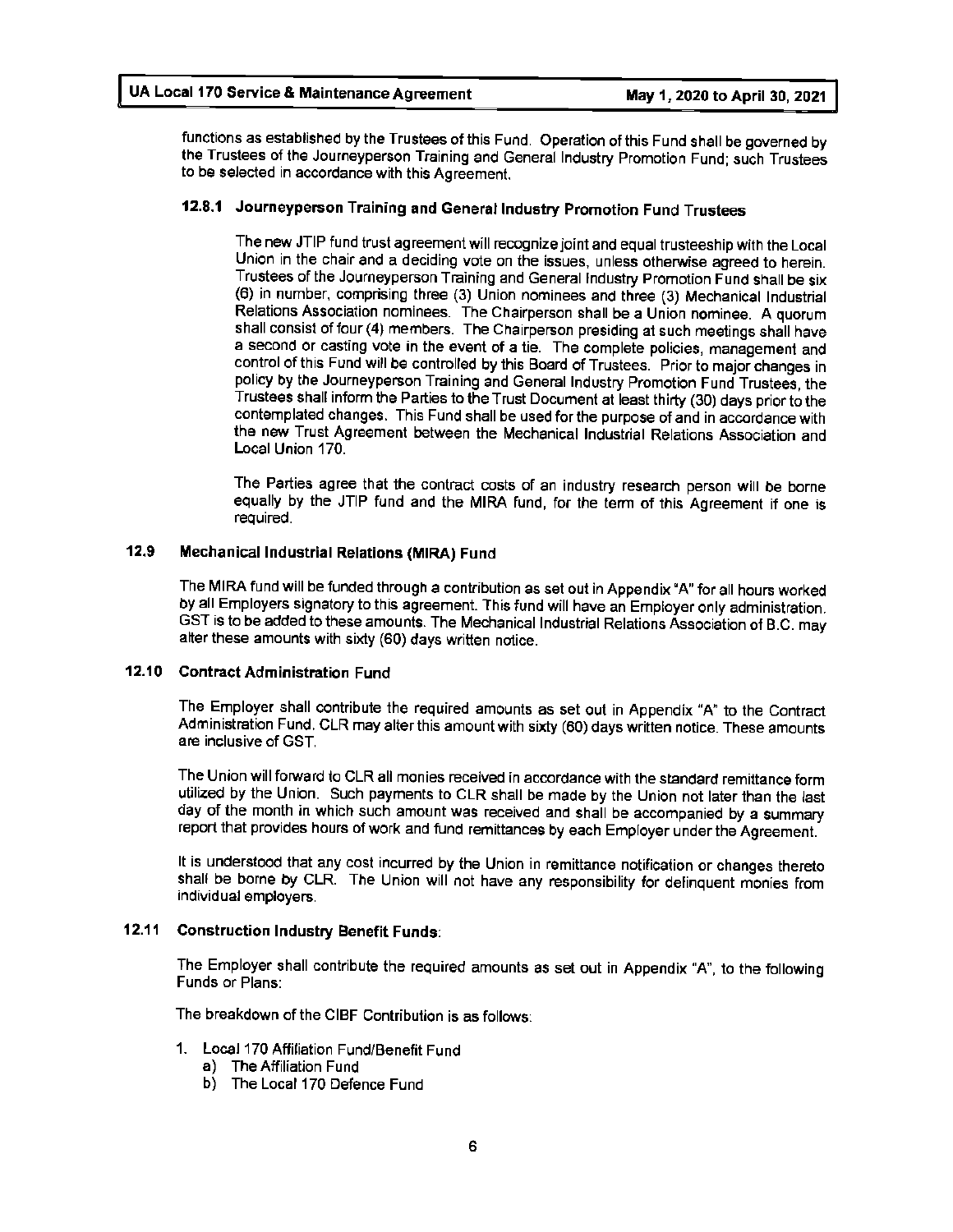functions as established by the Trustees of this Fund. Operation of this Fund shall be governed by the Trustees of the Journeyperson Training and General Industry Promotion Fund; such Trustees to be selected in accordance with this Agreement.

### **12.8.1 Journeyperson Training and General Industry Promotion Fund Trustees**

The new JTIP fund trust agreement will recognize joint and equal trusteeship with the Local Union in the chair and a deciding vote on the issues, unless otherwise agreed to herein. Trustees of the Journeyperson Training and General Industry Promotion Fund shall be six (6) in number, comprising three (3) Union nominees and three (3) Mechanical Industrial Relations Association nominees. The Chairperson shall be a Union nominee. A quorum shall consist of four (4) members. The Chairperson presiding at such meetings shall have a second or casting vote in the event of a tie. The complete policies, management and control of this Fund will be controlled by this Board of Trustees. Prior to major changes in policy by the Journeyperson Training and General Industry Promotion Fund Trustees, the Trustees shall inform the Parties to the Trust Document at least thirty (30) days prior to the contemplated changes. This Fund shall be used for the purpose of and in accordance with the new Trust Agreement between the Mechanical Industrial Relations Association and Local Union 170.

The Parties agree that the contract costs of an industry research person will be borne equally by the JTIP fund and the MIRA fund, for the term of this Agreement if one is required.

#### 12.9 Mechanical Industrial Relations **(MIRA)** Fund

The MIRA fund will be funded through a contribution as set out in Appendix 'A" for all hours worked by all Employers signatory to this agreement. This fund will have an Employer only administration. GST is to be added to these amounts. The Mechanical Industrial Relations Association of B.C. may alter these amounts with sixty (60) days written notice.

#### **12.10 Contract Administration** Fund

The Employer shall contribute the required amounts as set out in Appendix "A" to the Contract Administration Fund. CLR may alter this amount with sixty (60) days written notice. These amounts are inclusive of GST.

The Union will forward to CLR all monies received in accordance with the standard remittance form utilized by the Union. Such payments to CLR shall be made by the Union not later than the last day of the month in which such amount was received and shall be accompanied by a summary report that provides hours of work and fund remittances by each Employer under the Agreement.

It is understood that any cost incurred by the Union in remittance notification or changes thereto shall be borne by CLR. The Union will not have any responsibility for delinquent monies from individual employers.

#### **12.11 Construction Industry Benefit Funds:**

The Employer shall contribute the required amounts as set out in Appendix **"A",** to the following Funds or Plans:

The breakdown of the CIBF Contribution is as follows:

- 1. Local 170 Affiliation Fund/Benefit Fund
	- a) The Affiliation Fund
	- b) The Local 170 Defence Fund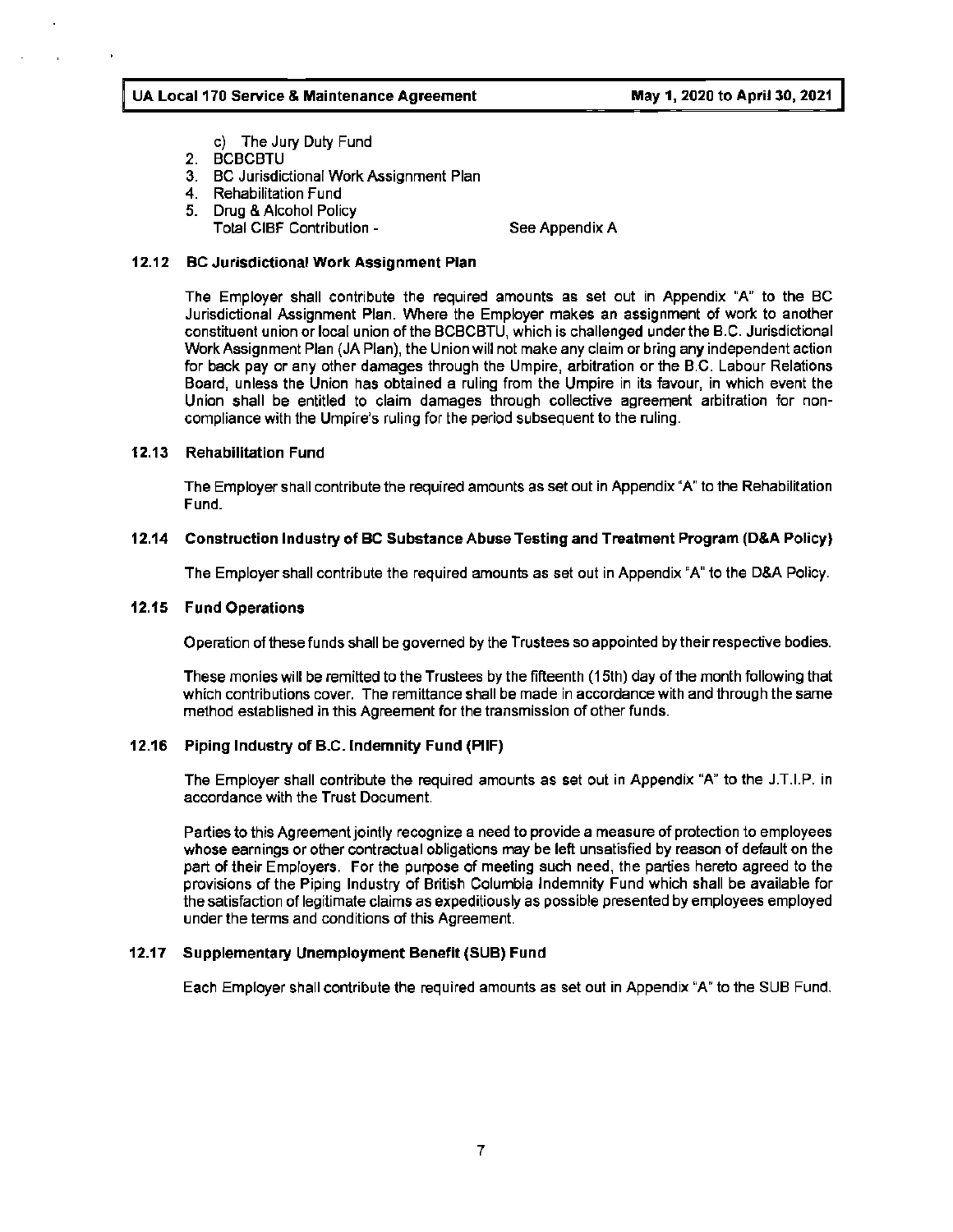- c) The Jury Duty Fund
- 2. BCBCBTU
- 3. BC Jurisdictional Work Assignment Plan
- 4. Rehabilitation Fund
- 5. Drug & Alcohol Policy
	- Total CIBF Contribution -

See Appendix A

#### **12.12 BC Jurisdictional Work Assignment Plan**

The Employer shall contribute the required amounts as set out in Appendix "A" to the BC Jurisdictional Assignment Plan. Where the Employer makes an assignment of work to another constituent union or local union of the BCBCBTU, which is challenged under the B.C. Jurisdictional Work Assignment Plan (JA Plan), the Union will not make any claim or bring any independent action for back pay or any other damages through the Umpire, arbitration or the B.C. Labour Relations Board, unless the Union has obtained a ruling from the Umpire in its favour, in which event the Union shall be entitled to claim damages through collective agreement arbitration for noncompliance with the Umpire's ruling for the period subsequent to the ruling.

#### **12.13 Rehabilitation** Fund

The Employer shall contribute the required amounts as set out in Appendix "A" to the Rehabilitation Fund.

#### **12.14 Construction Industry of BC Substance Abuse Testing and Treatment Program (D&A Policy)**

The Employer shall contribute the required amounts as set out in Appendix "A" to the D&A Policy.

#### **12.15 Fund Operations**

Operation of these funds shall be governed by the Trustees so appointed by their respective bodies.

These monies will be remitted to the Trustees by the fifteenth (15th) day of the month following that which contributions cover. The remittance shall be made in accordance with and through the same method established in this Agreement for the transmission of other funds.

#### **12.16 Piping Industry of B.C. Indemnity Fund (PIIF)**

The Employer shall contribute the required amounts as set out in Appendix "A" to the J.T.I.P. in accordance with the Trust Document.

Parties to this Agreement jointly recognize a need to provide a measure of protection to employees whose earnings or other contractual obligations may be left unsatisfied by reason of default on the part of their Employers. For the purpose of meeting such need, the parties hereto agreed to the provisions of the Piping Industry of British Columbia Indemnity Fund which shall be available for the satisfaction of legitimate claims as expeditiously as possible presented by employees employed under the terms and conditions of this Agreement.

#### **12.17 Supplementary Unemployment Benefit (SUB) Fund**

Each Employer shall contribute the required amounts as set out in Appendix "A' to the SUB Fund.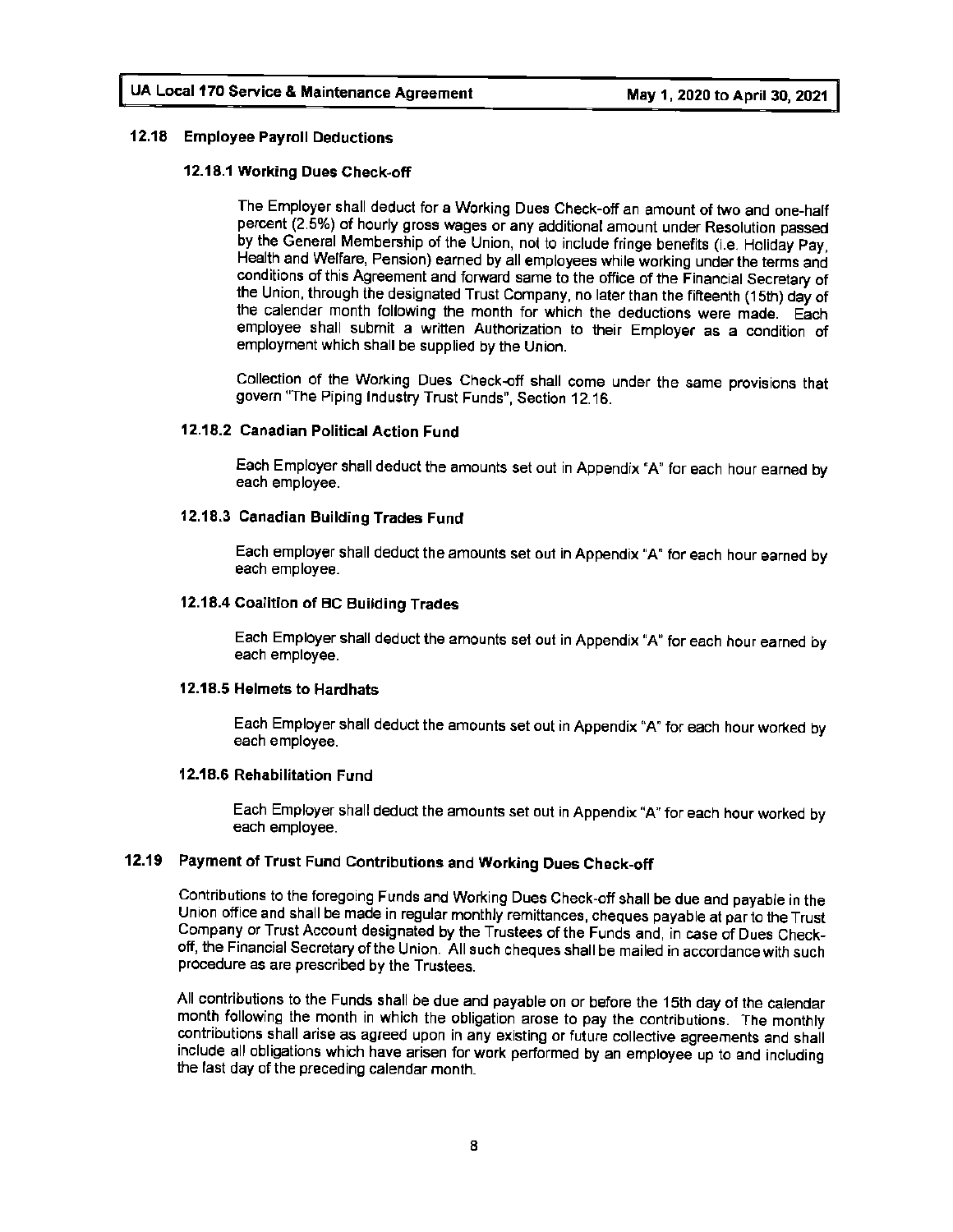#### **12.18 Employee Payroll Deductions**

#### **12.18.1 Working Dues Check•off**

The Employer shall deduct for a Working Dues Check-off an amount of two and one-half percent (2.5%) of hourly gross wages or any additional amount under Resolution passed by the General Membership of the Union, not to include fringe benefits (i.e. Holiday Pay, Health and Welfare, Pension) earned by all employees while working under the terms and conditions of this Agreement and forward same to the office of the Financial Secretary of the Union, through the designated Trust Company, no later than the fifteenth (15th) day of the calendar month following the month for which the deductions were made. Each employee shall submit a written Authorization to their Employer as a condition of employment which shall be supplied by the Union.

Collection of the Working Dues Check-off shall come under the same provisions that govern "The Piping Industry Trust Funds", Section 12.16.

#### **12.18.2 Canadian Political Action** Fund

Each Employer shall deduct the amounts set out in Appendix "A" for each hour earned by each employee.

#### **12.18.3 Canadian Building Trades Fund**

Each employer shall deduct the amounts set out in Appendix "A" for each hour earned by each employee.

#### **12.18.4 Coalition of BC Building Trades**

Each Employer shall deduct the amounts set out in Appendix "A" for each hour earned by each employee.

#### **12.1 B.5 Helmets to Hardhats**

Each Employer shall deduct the amounts set out in Appendix "A" for each hour worked by each employee.

#### **12.18.6 Rehabilitation Fund**

Each Employer shall deduct the amounts set out in Appendix "A" for each hour worked by each employee.

#### **12.19 Payment of Trust Fund Contributions and Working Dues Check-off**

Contributions to the foregoing Funds and Working Dues Check-off shall be due and payable in the Union office and shall be made in regular monthly remittances, cheques payable at par to the Trust Company or Trust Account designated by the Trustees of the Funds and, in case of Dues Checkoff, the Financial Secretary of the Union. All such cheques shall be mailed in accordance with such procedure as are prescribed by the Trustees.

All contributions to the Funds shall be due and payable on or before the 15th day of the calendar month following the month in which the obligation arose to pay the contributions. The monthly contributions shall arise as agreed upon in any existing or future collective agreements and shall include all obligations which have arisen for work performed by an employee up to and including the last day of the preceding calendar month.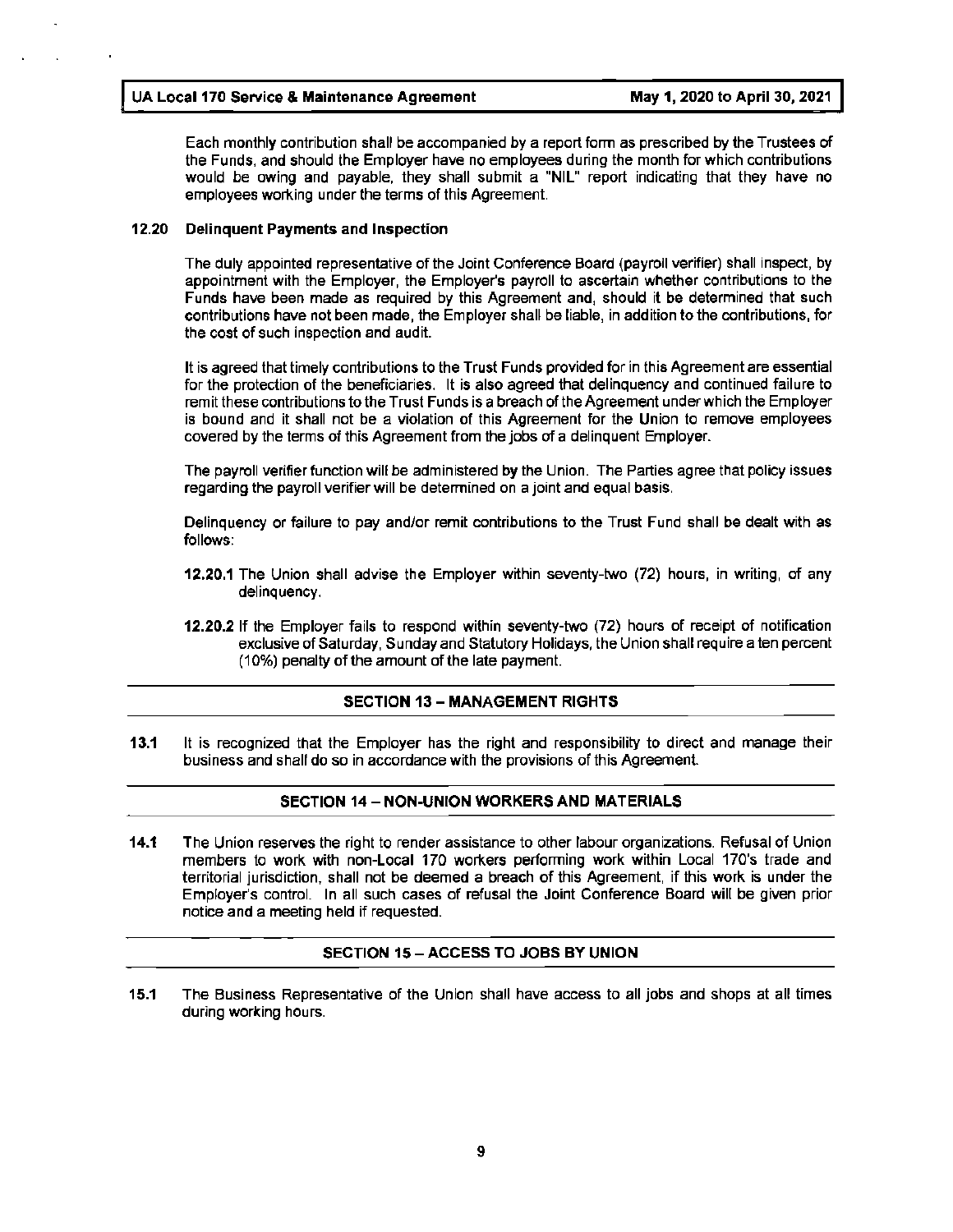$\mathbb{I} \times \mathbb{I}$ 

Each monthly contribution shall be accompanied by a report form as prescribed by the Trustees of the Funds, and should the Employer have no employees during the month for which contributions would be owing and payable, they shall submit a **"NIL"** report indicating that they have no employees working under the terms of this Agreement.

#### **12.20 Delinquent Payments and Inspection**

The duly appointed representative of the Joint Conference Board (payroll verifier) shall inspect, by appointment with the Employer, the Employer's payroll to ascertain whether contributions to the Funds have been made as required by this Agreement and, should it be determined that such contributions have not been made, the Employer shall be liable, in addition to the contributions, for the cost of such inspection and audit.

It is agreed that timely contributions to the Trust Funds provided for in this Agreement are essential for the protection of the beneficiaries. It is also agreed that delinquency and continued failure to remit these contributions to the Trust Funds is a breach of the Agreement under which the Employer is bound and it shall not be a violation of this Agreement for the Union to remove employees covered by the terms of this Agreement from the jobs of a delinquent Employer.

The payroll verifier function will be administered by the Union. The Parties agree that policy issues regarding the payroll verifier will be determined on a joint and equal basis.

Delinquency or failure to pay and/or remit contributions to the Trust Fund shall be dealt with as follows:

- **12.20.1** The Union shall advise the Employer within seventy-two (72) hours, in writing, of any delinquency.
- **12.20.2** If the Employer fails to respond within seventy-two (72) hours of receipt of notification exclusive of Saturday, Sunday and Statutory Holidays, the Union shall require a ten percent (10%) penalty of the amount of the late payment.

#### **SECTION 13** - **MANAGEMENT RIGHTS**

**13.1** It is recognized that the Employer has the right and responsibility to direct and manage their business and shall do so in accordance with the provisions of this Agreement.

#### **SECTION 14** - **NON-UNION WORKERS AND MATERIALS**

**14.1** The Union reserves the right to render assistance to other labour organizations. Refusal of Union members to work with non-Local 170 workers performing work within Local 170's trade and territorial jurisdiction, shall not be deemed a breach of this Agreement, if this work is under the Employer's control. In all such cases of refusal the Joint Conference Board will be given prior notice and a meeting held if requested.

#### **SECTION 15-ACCESS TO JOBS BY UNION**

**15.1** The Business Representative of the Union shall have access to all jobs and shops at all times during working hours.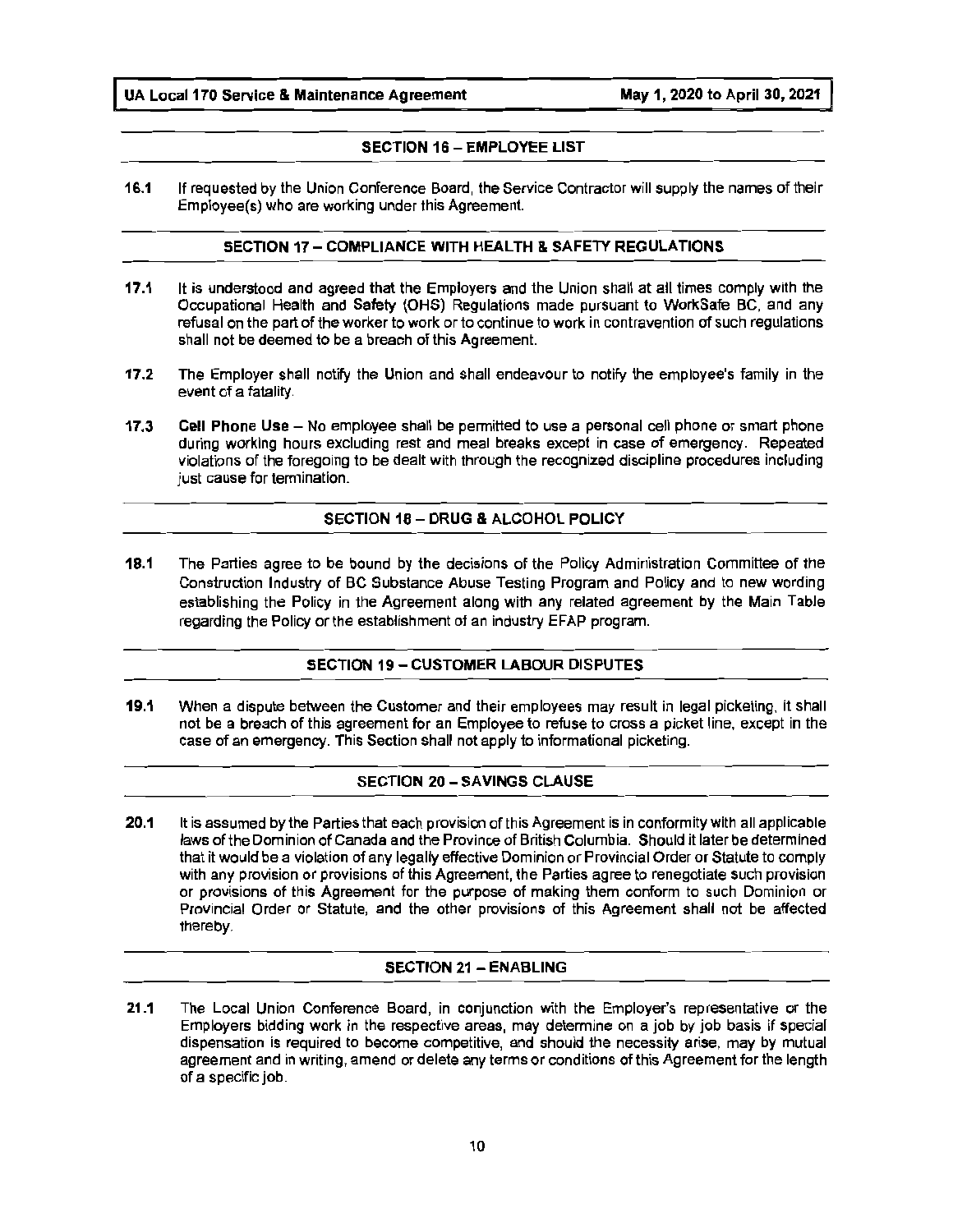#### **SECTION 16** - **EMPLOYEE LIST**

**16.1** If requested by the Union Conference Board, the Service Contractor will supply the names of their Employee(s) who are working under this Agreement.

#### **SECTION 17-COMPLIANCE WITH HEALTH** & **SAFETY REGULATIONS**

- **17.1** It is understood and agreed that the Employers and the Union shall at all times comply with the Occupational Health and Safety (OHS) Regulations made pursuant to WorkSafe BC, and any refusal on the part of the worker to work or to continue to work in contravention of such regulations shall not be deemed to be a breach of this Agreement.
- **17.2** The Employer shall notify the Union and shall endeavour to notify the employee's family in the event of a fatality.
- **17.3 Cell Phone Use**  No employee shall be permitted to use a personal cell phone or smart phone during working hours excluding rest and meal breaks except in case of emergency. Repeated violations of the foregoing to be dealt with through the recognized discipline procedures including just cause for termination.

#### SECTION 18 - DRUG & ALCOHOL POLICY

**18.1** The Parties agree to be bound by the decisions of the Policy Administration Committee of the Construction Industry of BC Substance Abuse Testing Program and Policy and to new wording establishing the Policy in the Agreement along with any related agreement by the Main Table regarding the Policy or the establishment of an industry EFAP program.

#### **SECTION 19** - **CUSTOMER LABOUR DISPUTES**

**19.1** When a dispute between the Customer and their employees may result in legal picketing, it shall not be a breach of this agreement for an Employee to refuse to cross a picket line, except in the case of an emergency. This Section shall not apply to informational picketing.

#### **SECTION 20** - **SAVINGS CLAUSE**

**20.1** It is assumed by the Parties that each provision of this Agreement is in conformity with all applicable laws of the Dominion of Canada and the Province of British Columbia. Should it later be determined that it would be a violation of any legally effective Dominion or Provincial Order or Statute to comply with any provision or provisions of this Agreement, the Parties agree to renegotiate such provision or provisions of this Agreement for the purpose of making them conform to such Dominion or Provincial Order or Statute, and the other provisions of this Agreement shall not be affected thereby.

#### **SECTION 21** - **ENABLING**

**21.1** The Local Union Conference Board, in conjunction with the Employer's representative or the Employers bidding work in the respective areas, may determine on a job by job basis if special dispensation is required to become competitive, and should the necessity arise, may by mutual agreement and in writing, amend or delete any terms or conditions of this Agreement for the length of a specific job.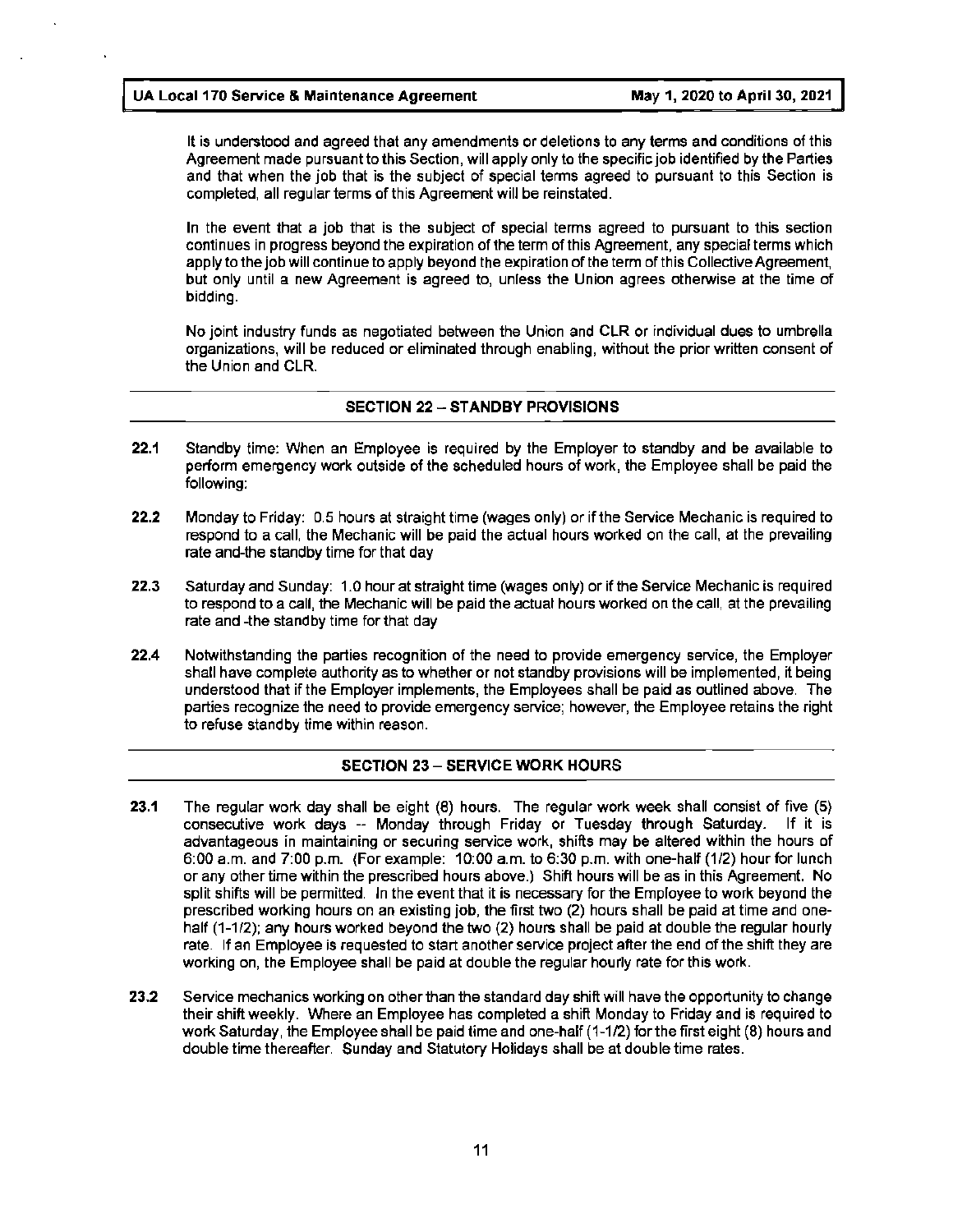It is understood and agreed that any amendments or deletions to any terms and conditions of this Agreement made pursuant to this Section, will apply only to the specific job identified by the Parties and that when the job that is the subject of special terms agreed to pursuant to this Section is completed, all regular terms of this Agreement will be reinstated.

In the event that a job that is the subject of special terms agreed to pursuant to this section continues in progress beyond the expiration of the term of this Agreement, any special terms which apply to the job will continue to apply beyond the expiration of the term of this Collective Agreement, but only until a new Agreement is agreed to, unless the Union agrees otherwise at the time of bidding.

No joint industry funds as negotiated between the Union and CLR or individual dues to umbrella organizations, will be reduced or eliminated through enabling, without the prior written consent of the Union and CLR.

#### **SECTION 22** - **STANDBY PROVISIONS**

- **22.1** Standby time: When an Employee is required by the Employer to standby and be available to perform emergency work outside of the scheduled hours of work, the Employee shall be paid the following:
- **22.2** Monday to Friday: 0.5 hours at straight time (wages only) or if the Service Mechanic is required to respond to a call, the Mechanic will be paid the actual hours worked on the call, at the prevailing rate and-the standby time for that day
- **22.3** Saturday and Sunday: 1.0 hour at straight time (wages only) or if the Service Mechanic is required to respond to a call, the Mechanic will be paid the actual hours worked on the call, at the prevailing rate and -the standby time for that day
- **22.4** Notwithstanding the parties recognition of the need to provide emergency service, the Employer shall have complete authority as to whether or not standby provisions will be implemented, it being understood that if the Employer implements, the Employees shall be paid as outlined above. The parties recognize the need to provide emergency service; however, the Employee retains the right to refuse standby time within reason.

#### **SECTION 23** - **SERVICE WORK HOURS**

- **23.1** The regular work day shall be eight (8) hours. The regular work week shall consist of five (5) consecutive work days -- Monday through Friday or Tuesday through Saturday. If it is advantageous in maintaining or securing service work, shifts may be altered within the hours of 6:00 a.m. and 7:00 p.m. {For example: 10:00 a.m. to 6:30 p.m. with one-half (1/2) hour for lunch or any other time within the prescribed hours above.) Shift hours will be as in this Agreement. No split shifts will be permitted. In the event that it is necessary for the Employee to work beyond the prescribed working hours on an existing job, the first two (2) hours shall be paid at time and onehalf (1-1/2); any hours worked beyond the two (2) hours shall be paid at double the regular hourly rate. If an Employee is requested to start another service project after the end of the shift they are working on, the Employee shall be paid at double the regular hourly rate for this work.
- **23.2** Service mechanics working on other than the standard day shift will have the opportunity to change their shift weekly. Where an Employee has completed a shift Monday to Friday and is required to work Saturday, the Employee shall be paid time and one-half (1-1/2) for the first eight (8) hours and double time thereafter. Sunday and Statutory Holidays shall be at double time rates.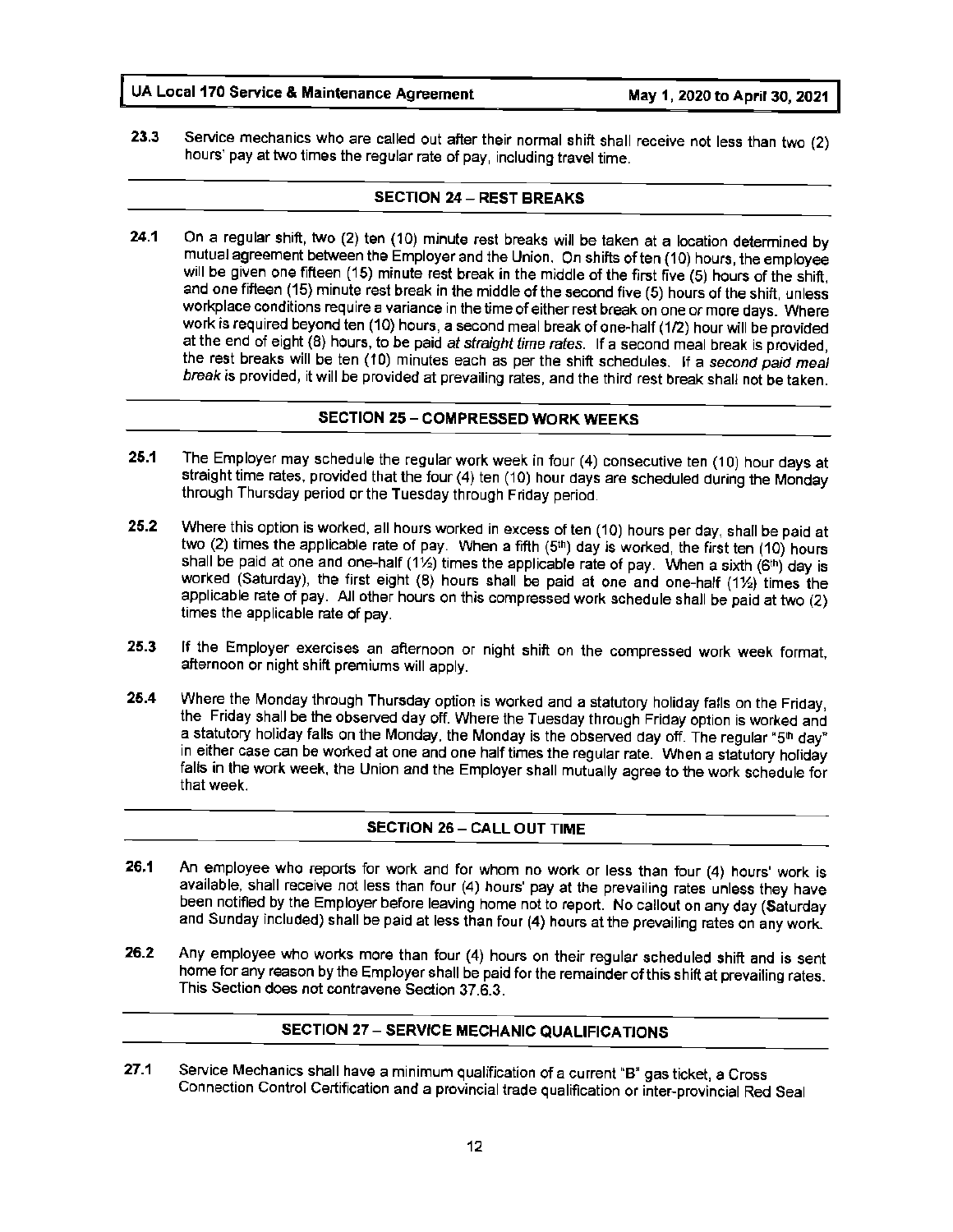**23.3** Service mechanics who are called out after their normal shift shall receive not less than two (2) hours' pay at two times the regular rate of pay, including travel time.

#### **SECTION 24** - **REST BREAKS**

**24.1** On a regular shift, two (2) ten (10) minute rest breaks will be taken at a location determined by mutual agreement between the Employer and the Union. On shifts often (10) hours, the employee will be given one fifteen (15) minute rest break in the middle of the first five (5) hours of the shift, and one fifteen (15) minute rest break in the middle of the second five (5) hours of the shift, unless workplace conditions require a variance in the time of either rest break on one or more days. Where work is required beyond ten (10) hours, a second meal break of one-half (1/2) hour will be provided at the end of eight (8} hours, to be paid at straight time rates. If a second meal break is provided, the rest breaks will be ten (10) minutes each as per the shift schedules. If a second paid meal break is provided, it will be provided at prevailing rates, and the third rest break shall not be taken.

#### **SECTION 25** - **COMPRESSED WORK WEEKS**

- **25.1** The Employer may schedule the regular work week in four (4) consecutive ten (10) hour days at straight time rates. provided that the four (4) ten (10) hour days are scheduled during the Monday through Thursday period or the Tuesday through Friday period.
- **25.2** Where this option is worked, all hours worked in excess of ten (10) hours per day, shall be paid at two (2) times the applicable rate of pay. When a fifth  $(5<sup>th</sup>)$  day is worked, the first ten (10) hours shall be paid at one and one-half (1½) times the applicable rate of pay. When a sixth (6<sup>th</sup>) day is worked (Saturday), the first eight (8) hours shall be paid at one and one-half (1½) times the applicable rate of pay. All other hours on this compressed work schedule shall be paid at two (2) times the applicable rate of pay.
- **25.3** If the Employer exercises an afternoon or night shift on the compressed work week format, afternoon or night shift premiums will apply.
- **25.4** Where the Monday through Thursday option is worked and a statutory holiday falls on the Friday, the Friday shall be the observed day off. Where the Tuesday through Friday option is worked and a statutory holiday falls on the Monday, the Monday is the observed day off. The regular "5th day" in either case can be worked at one and one half times the regular rate. When a statutory holiday falls in the work week, the Union and the Employer shall mutually agree to the work schedule for that week.

#### **SECTION 26 - CALL OUT TIME**

- **26.1** An employee who reports for work and for whom no work or less than four (4) hours' work is available, shall receive not less than four (4) hours' pay at the prevailing rates unless they have been notified by the Employer before leaving home not to report. No callout on any day (Saturday and Sunday included) shall be paid at less than four **(4)** hours at the prevailing rates on any work.
- **26.2** Any employee who works more than four (4) hours on their regular scheduled shift and is sent home for any reason by the Employer shall be paid for the remainder of this shift at prevailing rates. This Section does not contravene Section 37.6.3.

#### **SECTION 27** - **SERVICE MECHANIC QUALIFICATIONS**

**27.1** Service Mechanics shall have a minimum qualification of a current "B" gas ticket, a Cross Connection Control Certification and a provincial trade qualification or inter-provincial Red Seal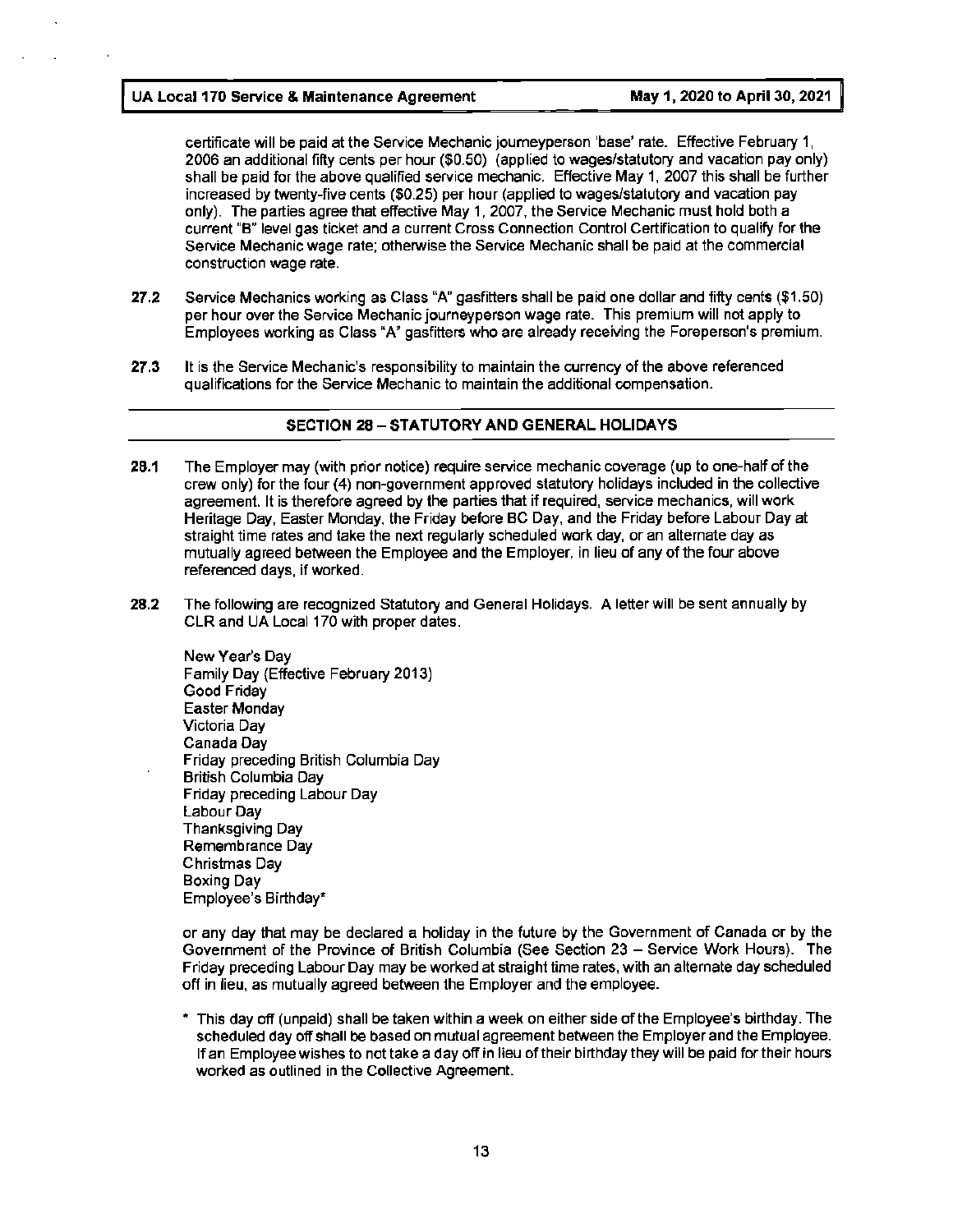certificate will be paid at the Service Mechanic journeyperson 'base' rate. Effective February 1, 2006 an additional fifty cents per hour (\$0.50) (applied to wages/statutory and vacation pay only) shall be paid for the above qualified service mechanic. Effective May 1, 2007 this shall be further increased by twenty-five cents (\$0.25) per hour (applied to wages/statutory and vacation pay only). The parties agree that effective May 1, 2007, the Service Mechanic must hold both a current **"B"** level gas ticket and a current Cross Connection Control Certification to qualify for the Service Mechanic wage rate; otherwise the Service Mechanic shall be paid at the commercial construction wage rate.

- **27.2** Service Mechanics working as Class **"A"** gasfitters shall be paid one dollar and fifty cents (\$1.50) per hour over the Service Mechanic journeyperson wage rate. This premium will not apply to Employees working as Class "A" gasfitters who are already receiving the Foreperson's premium.
- **27.3** It is the Service Mechanic's responsibility to maintain the currency of the above referenced qualifications for the Service Mechanic to maintain the additional compensation.

#### **SECTION 28-STATUTORY AND GENERAL HOLIDAYS**

- **28.1** The Employer may (with prior notice) require service mechanic coverage (up to one-half of the crew only) for the four (4) non-government approved statutory holidays included in the collective agreement. It is therefore agreed by the parties that if required, service mechanics, will work Heritage Day, Easter Monday, the Friday before BC Day, and the Friday before Labour Day at straight time rates and take the next regularly scheduled work day, or an alternate day as mutually agreed between the Employee and the Employer, in lieu of any of the four above referenced days, if worked.
- **28.2** The following are recognized Statutory and General Holidays. A letter will be sent annually by CLR and UA Local 170 with proper dates.

New Year's Day Family Day {Effective February 2013) Good Friday Easter Monday Victoria Day Canada Day Friday preceding British Columbia Day British Columbia Day Friday preceding Labour Day Labour Day Thanksgiving Day Remembrance Day Christmas Day Boxing Day Employee's Birthday"

or any day that may be declared a holiday in the future by the Government of Canada or by the Government of the Province of British Columbia (See Section 23 - Service Work Hours). The Friday preceding Labour Day may be worked at straight time rates, with an alternate day scheduled off in lieu, as mutually agreed between the Employer and the employee.

This day off (unpaid) shall be taken within a week on either side of the Employee's birthday. The scheduled day off shall be based on mutual agreement between the Employer and the Employee. If an Employee wishes to not take a day off in lieu of their birthday they will be paid for their hours worked as outlined in the Collective Agreement.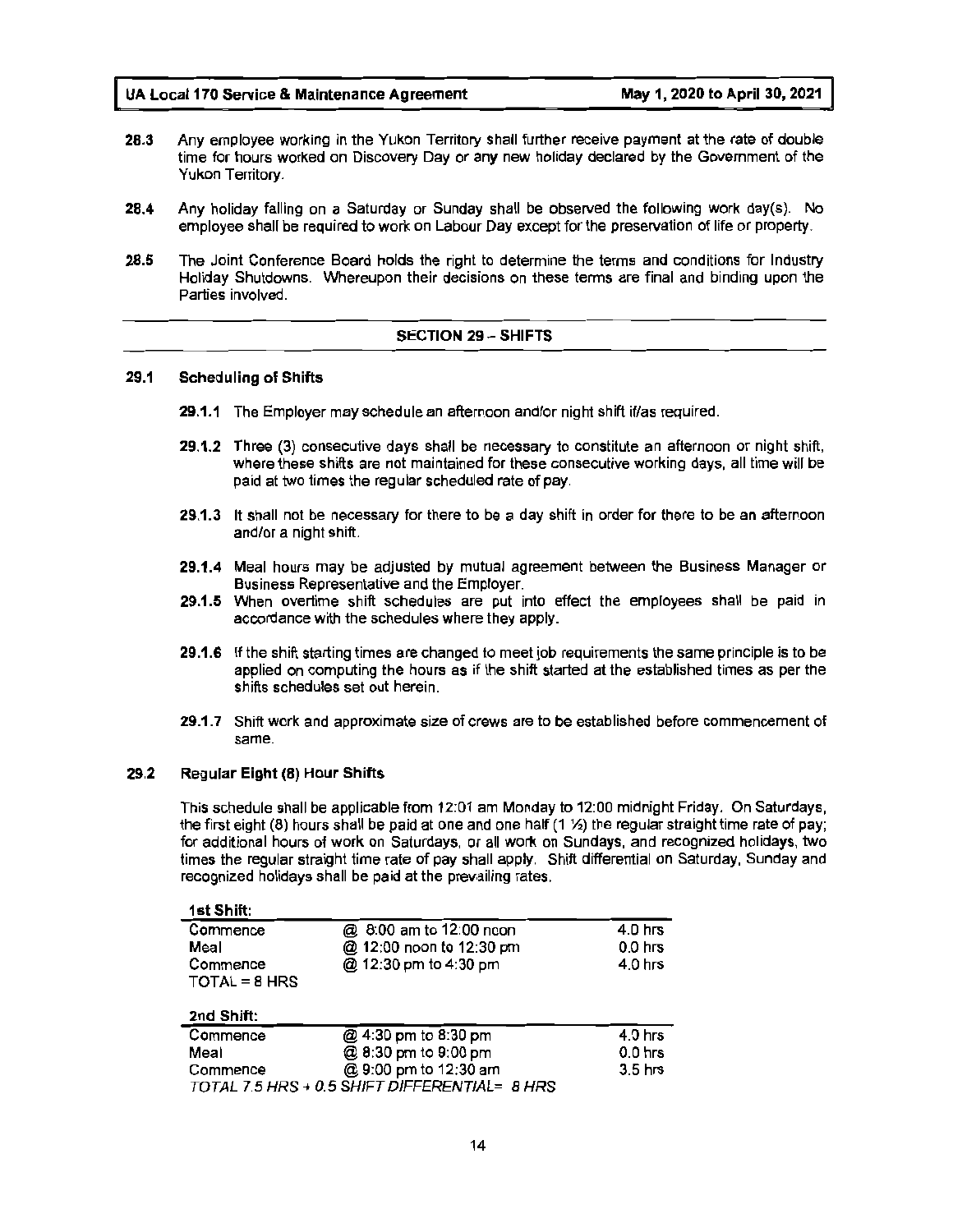- **28.3** Any employee working in the Yukon Territory shall further receive payment at the rate of double time for hours worked on Discovery Day or any new holiday declared by the Government of the Yukon Territory.
- **28.4** Any holiday falling on a Saturday or Sunday shall be observed the following work day(s). No employee shall be required to work on Labour Day except for the preservation of life or property.
- **28.5** The Joint Conference Board holds the right to determine the terms and conditions for Industry Holiday Shutdowns. Whereupon their decisions on these terms are final and binding upon the Parties involved.

#### **SECTION 29** - **SHIFTS**

#### **29.1** Scheduling **of Shifts**

- **29.1.1** The Employer may schedule an afternoon and/or night shift if/as required.
- **29.1.2** Three (3) consecutive days shall be necessary to constitute an afternoon or night shift, where these shifts are not maintained for these consecutive working days, all time will be paid at two times the regular scheduled rate of pay.
- **29.1.3** It shall not be necessary for there to be a day shift in order for there to be an afternoon and/or a night shift.
- **29.1.4** Meal hours may be adjusted by mutual agreement between the Business Manager or Business Representative and the Employer.
- **29.1.5** When overtime shift schedules are put into effect the employees shall be paid in accordance with the schedules where they apply.
- **29.1.6** If the shift starting times are changed to meet job requirements the same principle is to be applied on computing the hours as if the shift started at the established times as per the shifts schedules set out herein.
- 29.1.7 Shift work and approximate size of crews are to be established before commencement of same.

#### **29.2 Regular Eight (8) Hour Shifts**

This schedule shall be applicable from 12:01 am Monday to 12:00 midnight Friday. On Saturdays, the first eight (8) hours shall be paid at one and one half (1 ½) the regular straight time rate of pay; for additional hours of work on Saturdays, or all work on Sundays, and recognized holidays, two times the regular straight time rate of pay shall apply. Shift differential on Saturday, Sunday and recognized holidays shall be paid at the prevailing rates.

| 1st Shift:                  |                          |                    |
|-----------------------------|--------------------------|--------------------|
| Commence                    | @ 8:00 am to 12:00 noon  | $4.0$ hrs          |
| Meal                        | @ 12:00 noon to 12:30 pm | $0.0$ hrs          |
| Commence<br>$TOTAL = 8 HRS$ | @ 12:30 pm to 4:30 pm    | $4.0$ hrs          |
| 2nd Shift:                  |                          |                    |
| Commence                    | @ 4:30 pm to 8:30 pm     | $4.0$ hrs          |
| Meal                        | @ 8:30 pm to 9:00 pm     | $0.0$ hrs          |
| Commence                    | @ 9:00 pm to 12:30 am    | 3.5 <sub>hrs</sub> |

TOTAL 7.5 HRS + 0.5 SHIFT DIFFERENTIAL= 8 HRS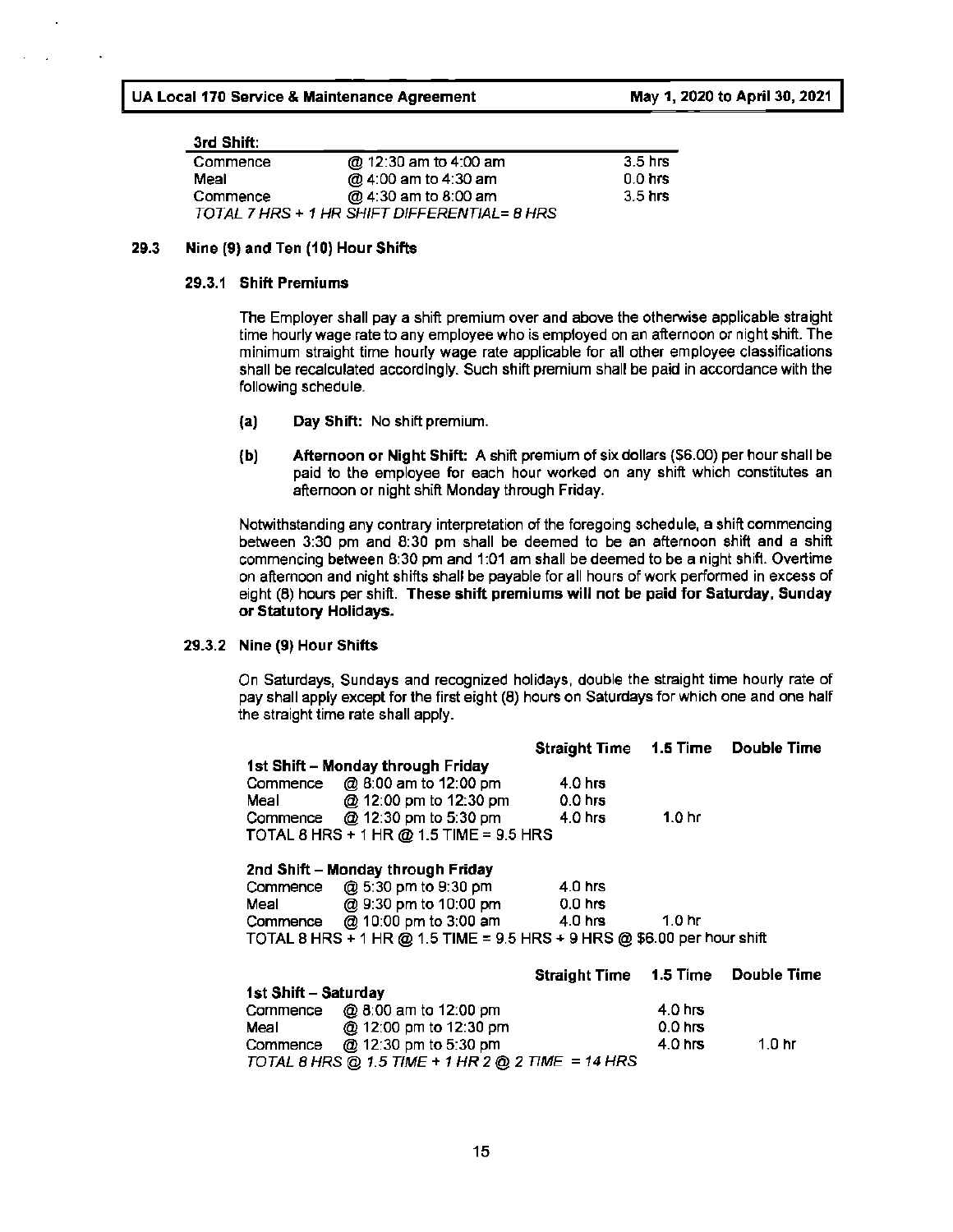#### **3rd Shift:**

| ------------ |                                              |           |
|--------------|----------------------------------------------|-----------|
| Commence     | @ 12:30 am to 4:00 am                        | 3.5 hrs   |
| Meal         | @ 4:00 am to 4:30 am                         | $0.0$ hrs |
| Commence     | @ 4:30 am to 8:00 am                         | $3.5$ hrs |
|              | TOTAL 7 HRS + 1 HR SHIFT DIFFERENTIAL= 8 HRS |           |

#### **29.3 Nine (9) and Ten (10) Hour Shifts**

#### **29.3.1 Shift Premiums**

The Employer shall pay a shift premium over and above the otherwise applicable straight time hourly wage rate to any employee who is employed on an afternoon or night shift. The minimum straight time hourly wage rate applicable for all other employee classifications shall be recalculated accordingly. Such shift premium shall be paid in accordance with the following schedule.

- **{a) Day Shift:** No shift premium.
- **{b) Afternoon or Night Shift: A** shift premium of six dollars (\$6.00) per hour shall be paid to the employee for each hour worked on any shift which constitutes an afternoon or night shift Monday through Friday.

Notwithstanding any contrary interpretation of the foregoing schedule, a shift commencing between 3:30 pm and 8:30 pm shall be deemed to be an afternoon shift and a shift commencing between 8:30 pm and 1:01 am shall be deemed to be a night shift. Overtime on afternoon and night shifts shall be payable for all hours of work performed in excess of eight (8) hours per shift. **These shift premiums will not be paid for Saturday, Sunday or Statutory Holidays.** 

#### **29.3.2 Nine (9) Hour Shifts**

On Saturdays, Sundays and recognized holidays, double the straight time hourly rate of pay shall apply except for the first eight (8) hours on Saturdays for which one and one half the straight time rate shall apply.

|                      |                                                                         | <b>Straight Time 1.5 Time</b> |                    | Double Time         |
|----------------------|-------------------------------------------------------------------------|-------------------------------|--------------------|---------------------|
|                      | 1st Shift - Monday through Friday                                       |                               |                    |                     |
|                      | Commence $\oslash$ 8:00 am to 12:00 pm                                  | 4.0 hrs                       |                    |                     |
| Meally               | @ 12:00 pm to 12:30 pm                                                  | $0.0$ hrs                     |                    |                     |
|                      | Commence $\oslash$ 12:30 pm to 5:30 pm                                  | 4.0 hrs                       | 1.0 <sub>hr</sub>  |                     |
|                      | TOTAL 8 HRS + 1 HR @ 1.5 TIME = 9.5 HRS                                 |                               |                    |                     |
|                      | 2nd Shift – Monday through Friday                                       |                               |                    |                     |
|                      | Commence $@5:30$ pm to 9:30 pm                                          | $4.0$ hrs                     |                    |                     |
|                      | Meal @ 9:30 pm to 10:00 pm 0.0 hrs                                      |                               |                    |                     |
|                      | Commence $\oslash$ 10:00 pm to 3:00 am 4.0 hrs                          |                               | $1.0 \text{ hr}$   |                     |
|                      | TOTAL 8 HRS + 1 HR @ 1.5 TIME = 9.5 HRS + 9 HRS @ \$6.00 per hour shift |                               |                    |                     |
|                      |                                                                         | <b>Straight Time 1.5 Time</b> |                    | Double Time         |
| 1st Shift - Saturday |                                                                         |                               |                    |                     |
| Commence             | @ 8:00 am to 12:00 pm                                                   |                               | 4.0 hrs            |                     |
|                      | Meal @ 12:00 pm to 12:30 pm                                             |                               | 0.0 <sub>hrs</sub> |                     |
|                      | Commence $\oslash$ 12:30 pm to 5:30 pm                                  |                               | 4.0 hrs            | $1.0 \ \mathrm{hr}$ |
|                      | TO TAL 8 HRS @ 1.5 TIME + 1 HR 2 @ 2 TIME = 14 HRS                      |                               |                    |                     |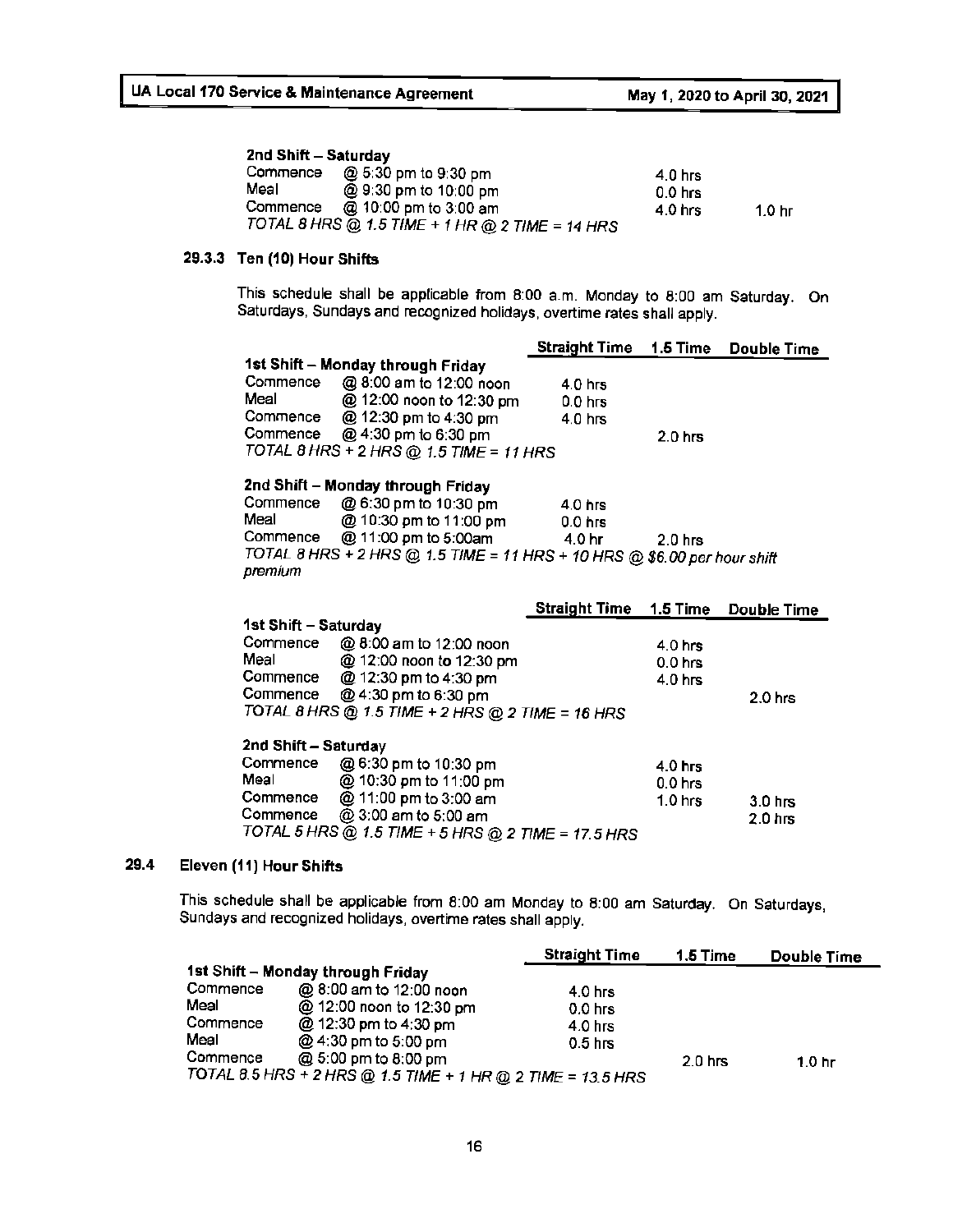#### **2nd Shift** - **Saturday**

| Commence | @ 5:30 pm to 9:30 pm                            | 4.0 hrs   |                   |
|----------|-------------------------------------------------|-----------|-------------------|
| Meal     | @ 9:30 pm to 10:00 pm                           | $0.0$ hrs |                   |
| Commence | @ 10:00 pm to 3:00 am                           | 4.0 hrs   | 1.0 <sub>hr</sub> |
|          | TOTAL 8 HRS @ 1.5 TIME + 1 HR @ 2 TIME = 14 HRS |           |                   |

#### **29.3.3 Ten (10) Hour Shifts**

This schedule shall be applicable from 8:00 a.m. Monday to 8:00 am Saturday. On Saturdays, Sundays and recognized holidays, overtime rates shall apply.

|                      |                                                                            | <b>Straight Time 1.5 Time</b> |                    | <b>Double Time</b> |
|----------------------|----------------------------------------------------------------------------|-------------------------------|--------------------|--------------------|
|                      | 1st Shift - Monday through Friday                                          |                               |                    |                    |
|                      | Commence @ 8:00 am to 12:00 noon                                           | $4.0$ hrs                     |                    |                    |
| Meal and the most    | @ 12:00 noon to 12:30 pm                                                   | $0.0$ hrs                     |                    |                    |
|                      | Commence $\qquad \textcircled{2}$ 12:30 pm to 4:30 pm                      | $4.0$ hrs                     |                    |                    |
|                      | Commence $@4:30$ pm to 6:30 pm                                             |                               | $2.0$ hrs          |                    |
|                      | TOTAL 8 HRS + 2 HRS @ 1.5 TIME = 11 HRS                                    |                               |                    |                    |
|                      |                                                                            |                               |                    |                    |
|                      | 2nd Shift - Monday through Friday                                          |                               |                    |                    |
|                      | Commence $@6:30$ pm to 10:30 pm                                            | $4.0$ hrs                     |                    |                    |
| Meal                 | @ 10:30 pm to 11:00 pm                                                     | $0.0$ hrs                     |                    |                    |
| Commence             | @ 11:00 pm to 5:00am                                                       | 4.0 hr                        | $2.0$ hrs          |                    |
|                      | TOTAL 8 HRS + 2 HRS @ 1.5 TIME = 11 HRS + 10 HRS @ \$6.00 per hour shift   |                               |                    |                    |
| premium              |                                                                            |                               |                    |                    |
|                      |                                                                            |                               |                    |                    |
|                      |                                                                            |                               |                    |                    |
|                      |                                                                            | <b>Straight Time 1.5 Time</b> |                    | Double Time        |
| 1st Shift - Saturday |                                                                            |                               |                    |                    |
|                      | Commence @ 8:00 am to 12:00 noon                                           |                               | 4.0 <sub>hrs</sub> |                    |
|                      | Meal @ 12:00 noon to 12:30 pm                                              |                               | $0.0$ hrs          |                    |
|                      | Commence @ 12:30 pm to 4:30 pm                                             |                               | 4.0 <sub>hrs</sub> |                    |
|                      | Commence @ 4:30 pm to 6:30 pm                                              |                               |                    | $2.0$ hrs          |
|                      | TOTAL 8 HRS @ 1.5 TIME + 2 HRS @ 2 TIME = 16 HRS                           |                               |                    |                    |
|                      |                                                                            |                               |                    |                    |
| 2nd Shift - Saturday |                                                                            |                               |                    |                    |
| Commence             | @ 6:30 pm to 10:30 pm                                                      |                               | 4.0 <sub>hrs</sub> |                    |
| Meal                 | @ 10:30 pm to 11:00 pm                                                     |                               | $0.0$ hrs          |                    |
| Commence             | @ 11:00 pm to 3:00 am                                                      |                               | $1.0$ hrs          | 3.0 <sub>hrs</sub> |
| Commence             | @ 3:00 am to 5:00 am<br>TOTAL 5 HRS @ 1.5 TIME + 5 HRS @ 2 TIME = 17.5 HRS |                               |                    | $2.0$ hrs          |

#### **29.4 Eleven (11) Hour Shifts**

This schedule shall be applicable from 8:00 am Monday to 8:00 am Saturday. On Saturdays, Sundays and recognized holidays, overtime rates shall apply.

|          |                                                             | <b>Straight Time</b> | 1.5 Time           | Double Time       |
|----------|-------------------------------------------------------------|----------------------|--------------------|-------------------|
|          | 1st Shift - Monday through Friday                           |                      |                    |                   |
| Commence | @ 8:00 am to 12:00 noon                                     | $4.0$ hrs            |                    |                   |
| Meal     | @ 12:00 noon to 12:30 pm                                    | $0.0$ hrs            |                    |                   |
| Commence | @ 12:30 pm to 4:30 pm                                       | 4.0 hrs              |                    |                   |
| Meal     | @ 4:30 pm to 5:00 pm                                        | 0.5 <sub>hrs</sub>   |                    |                   |
| Commence | @ 5:00 pm to 8:00 pm                                        |                      | 2.0 <sub>hrs</sub> | 1.0 <sub>hr</sub> |
|          | TOTAL 8.5 HRS + 2 HRS @ 1.5 TIME + 1 HR @ 2 TIME = 13.5 HRS |                      |                    |                   |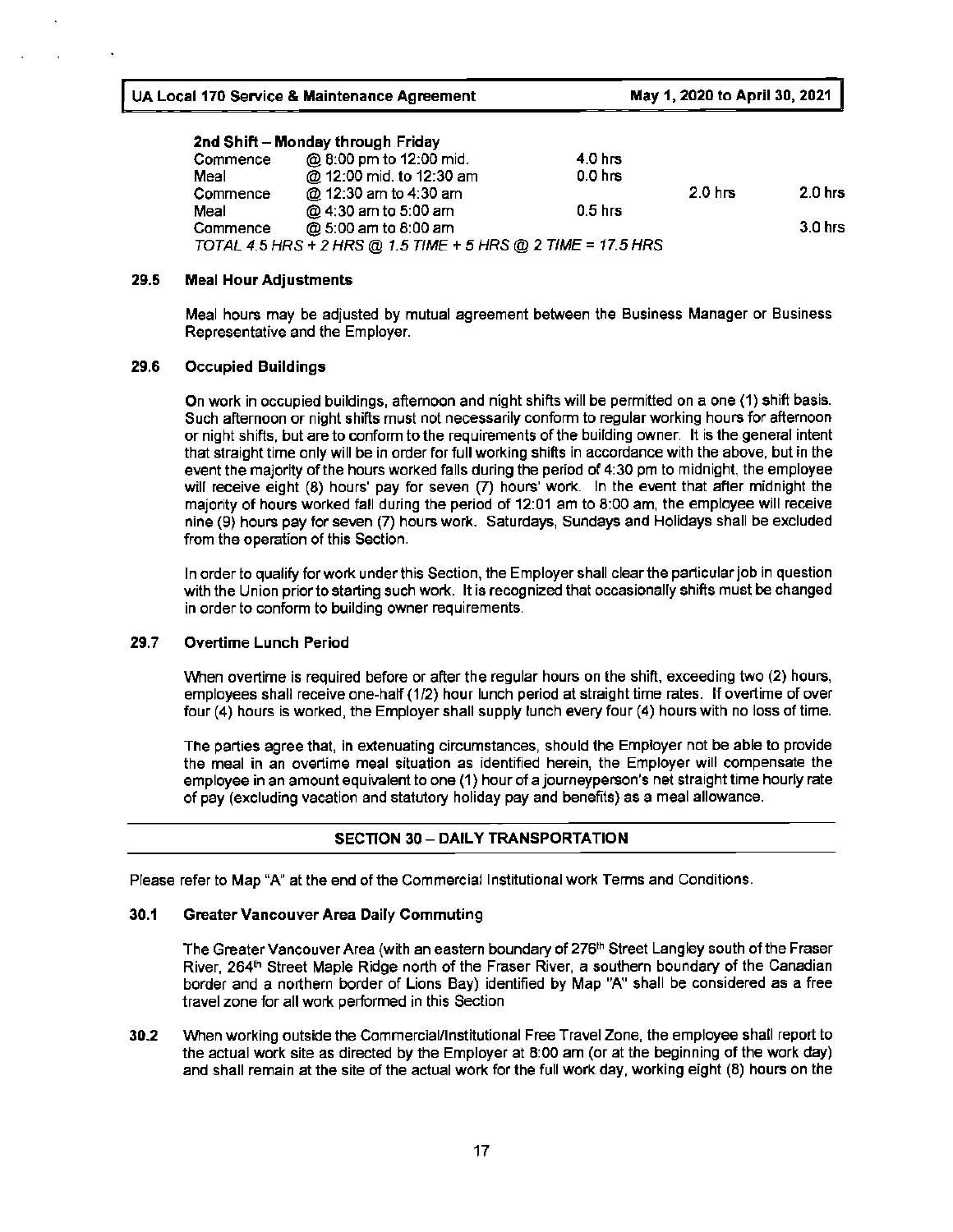| Commence | @ 8:00 pm to 12:00 mid.                                      | 4.0 hrs   |           |           |
|----------|--------------------------------------------------------------|-----------|-----------|-----------|
| Meal     | @ 12:00 mid. to 12:30 am                                     | $0.0$ hrs |           |           |
| Commence | @ 12:30 am to 4:30 am                                        |           | $2.0$ hrs | $2.0$ hrs |
| Meal     | @ 4:30 am to 5:00 am                                         | $0.5$ hrs |           |           |
| Commence | @ 5:00 am to 8:00 am                                         |           |           | 3.0 hrs   |
|          | TOTAL 4.5 HRS + 2 HRS @ 1.5 TIME + 5 HRS @ 2 TIME = 17.5 HRS |           |           |           |

#### **29.5 Meal Hour Adjustments**

Meal hours may be adjusted by mutual agreement between the Business Manager or Business Representative and the Employer.

#### **29.6** Occupied Buildings

On work in occupied buildings, afternoon and night shifts will be permitted on a one (1) shift basis. Such afternoon or night shifts must not necessarily conform to regular working hours for afternoon or night shifts, but are to conform to the requirements of the building owner. It is the general intent that straight time only will be in order for full working shifts in accordance with the above, but in the event the majority of the hours worked falls during the period of 4:30 pm to midnight, the employee will receive eight (8) hours' pay for seven (7) hours' work. In the event that after midnight the majority of hours worked fall during the period of 12:01 am to 8:00 am, the employee will receive nine (9) hours pay for seven (7) hours work. Saturdays, Sundays and Holidays shall be excluded from the operation of this Section.

In order to qualify for work under this Section, the Employer shall clear the particular job in question with the Union prior to starting such work. It is recognized that occasionally shifts must be changed in order to conform to building owner requirements.

#### **29.7 Overtime** Lunch **Period**

When overtime is required before or after the regular hours on the shift, exceeding two (2) hours, employees shall receive one-half (1/2) hour lunch period at straight time rates. If overtime of over four (4) hours is worked, the Employer shall supply lunch every four (4) hours with no loss of time.

The parties agree that, in extenuating circumstances, should the Employer not be able to provide the meal in an overtime meal situation as identified herein, the Employer will compensate the employee in an amount equivalent to one (1) hour of a journeyperson's net straight time hourly rate of pay (excluding vacation and statutory holiday pay and benefits) as a meal allowance.

#### **SECTION 30** - **DAILY TRANSPORTATION**

Please refer to Map "A" at the end of the Commercial Institutional work Terms and Conditions.

#### **30.1 Greater Vancouver Area Daily Commuting**

The Greater Vancouver Area (with an eastern boundary of 276<sup>th</sup> Street Langley south of the Fraser River, 264<sup>th</sup> Street Maple Ridge north of the Fraser River, a southern boundary of the Canadian border and a northern border of Lions Bay) identified by Map "A" shall be considered as a free travel zone for all work performed in this Section

**30.2** When working outside the Commercial/Institutional Free Travel Zone, the employee shall report to the actual work site as directed by the Employer at 8:00 am (or at the beginning of the work day) and shall remain at the site of the actual work for the full work day, working eight (8) hours on the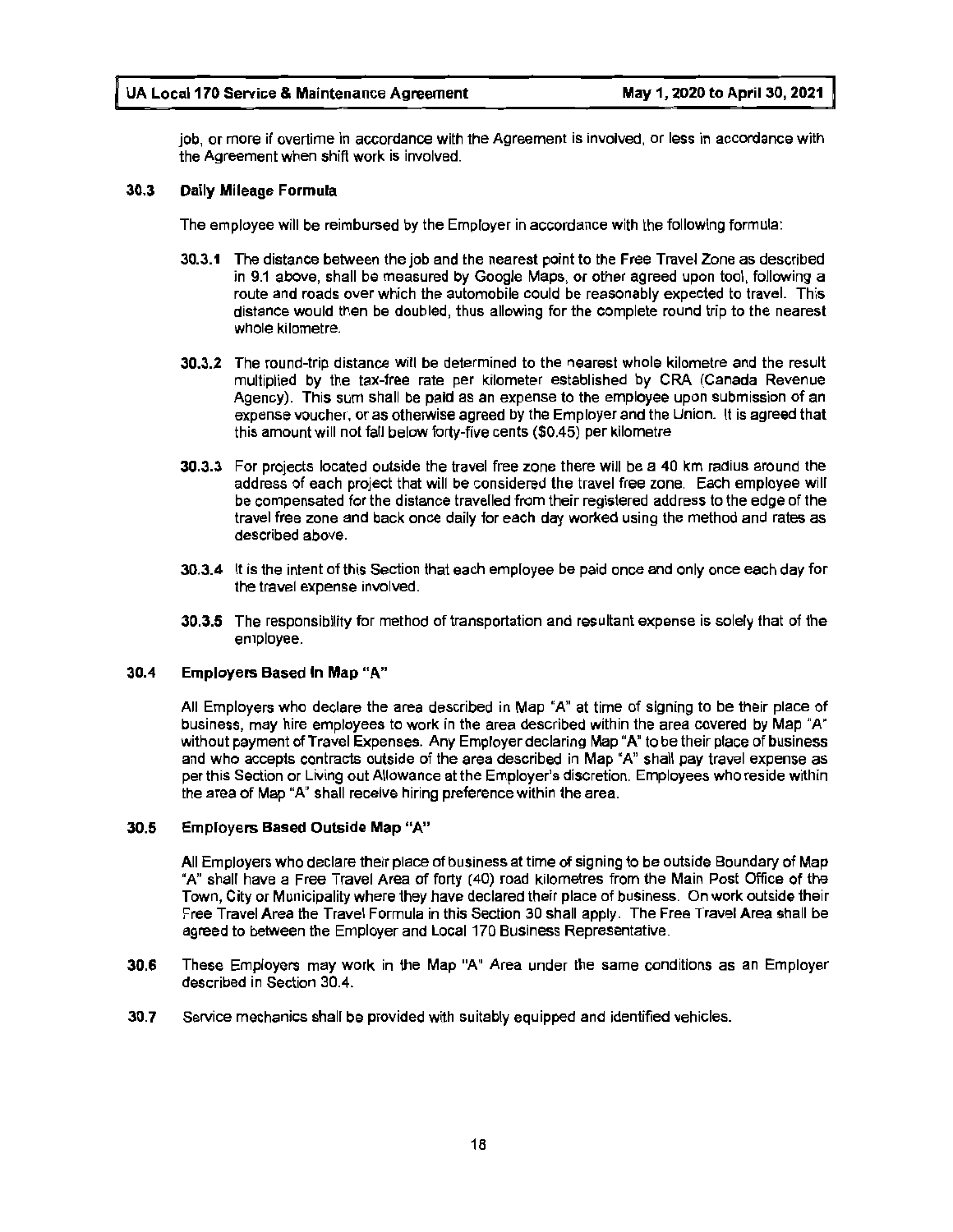job, or more if overtime in accordance with the Agreement is involved, or less in accordance with the Agreement when shift work is involved.

#### **30.3 Daily Mileage Formula**

The employee will be reimbursed by the Employer in accordance with the following formula:

- **30.3.1** The distance between the job and the nearest point to the Free Travel Zone as described in 9.1 above, shall be measured by Google Maps, or other agreed upon tool, following a route and roads over which the automobile could be reasonably expected to travel. This distance would then be doubled, thus allowing for the complete round trip to the nearest whole kilometre.
- **30.3.2** The round-trip distance will be determined to the nearest whole kilometre and the result multiplied by the tax-free rate per kilometer established by CRA (Canada Revenue Agency). This sum shall be paid as an expense to the employee upon submission of an expense voucher, or as otherwise agreed by the Employer and the Union. It is agreed that this amount will not fall below forty-five cents (\$0.45) per kilometre
- **30.3.3** For projects located outside the travel free zone there will be a 40 km radius around the address of each project that will be considered the travel free zone. Each employee will be compensated for the distance travelled from their registered address to the edge of the travel free zone and back once daily for each day worked using the method and rates as described above.
- **30.3.4** It is the intent of this Section that each employee be paid once and only once each day for the travel expense involved.
- **30.3.5** The responsiblllty for method of transportation and resultant expense is solely that of the employee.

#### 30.4 Employers Based In **Map "A"**

All Employers who declare the area described in Map "A" at time of signing to be their place of business, may hire employees to work in the area described within the area covered by Map "A" without payment of Travel Expenses. Any Employer declaring Map "A" to be their place of business and who accepts contracts outside of the area described in Map "A" shall pay travel expense as per this Section or Living out Allowance at the Employer's discretion. Employees who reside within the area of Map "A" shall receive hiring preference within the area.

#### 30.5 Employers **Based** Outside **Map "A"**

All Employers who declare their place of business at time of signing to be outside Boundary of Map "A" shall have a Free Travel Area of forty (40) road kilometres from the Main Post Office of the Town, City or Municipality where they have declared their place of business. On work outside their Free Travel Area the Travel Formula in this Section 30 shall apply. The Free Travel Area shall be agreed to between the Employer and Local 170 Business Representative.

- **30.6** These Employers may work in the Map "A" Area under the same conditions as an Employer described in Section 30.4.
- **30.7** Service mechanics shall be provided with suitably equipped and identified vehicles.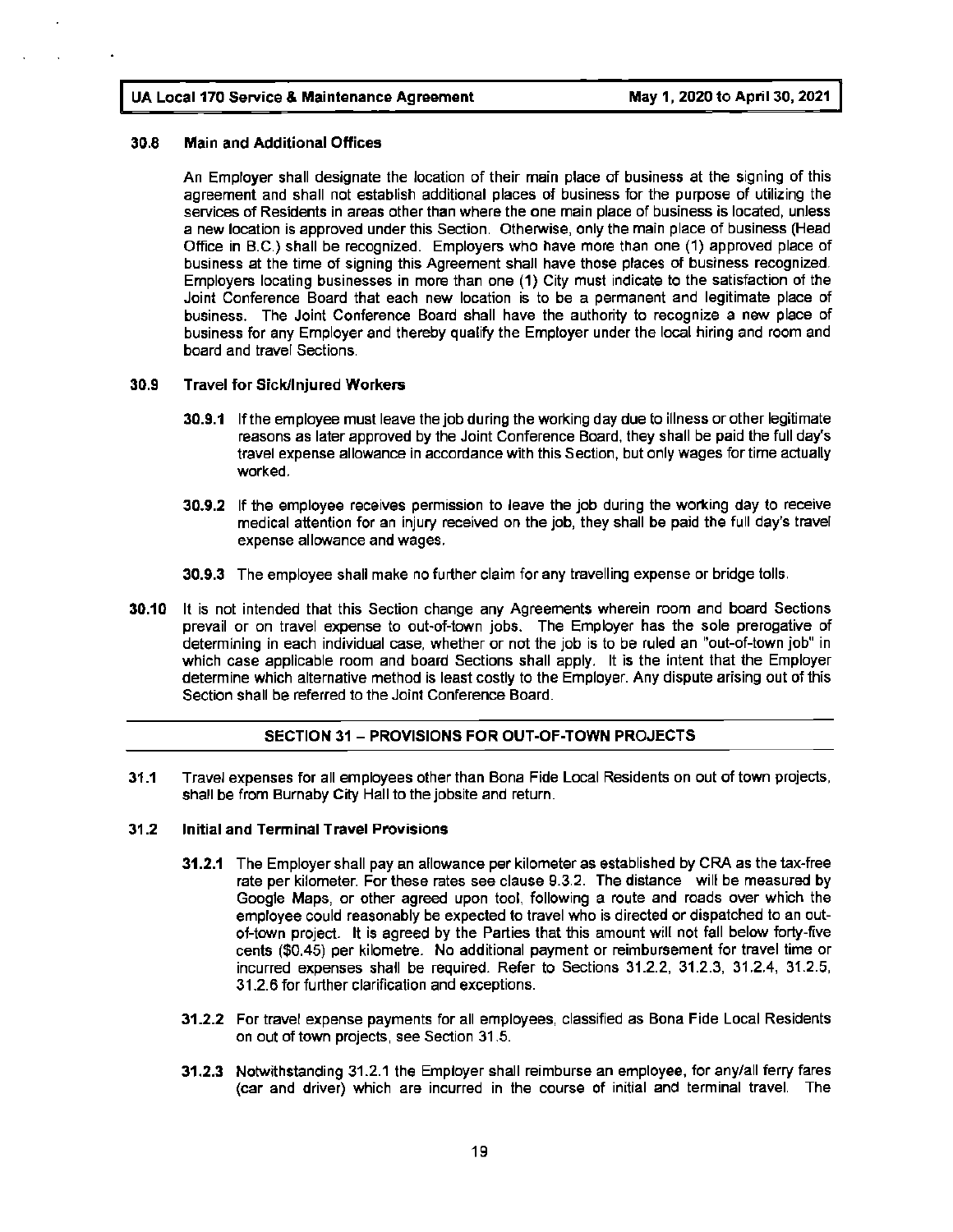#### **30.8 Main and Additional Offices**

An Employer shall designate the location of their main place of business at the signing of this agreement and shall not establish additional places of business for the purpose of utilizing the services of Residents in areas other than where the one main place of business is located, unless a new location is approved under this Section. Otherwise, only the main place of business (Head Office in 8.C.) shall be recognized. Employers who have more than one (1) approved place of business at the time of signing this Agreement shall have those places of business recognized. Employers locating businesses in more than one (1) City must indicate to the satisfaction of the Joint Conference Board that each new location is to be a permanent and legitimate place of business. The Joint Conference Board shall have the authority to recognize a new place of business for any Employer and thereby qualify the Employer under the local hiring and room and board and travel Sections.

#### **30.9 Travel for Sick/Injured Workers**

- **30.9.1** If the employee must leave the job during the working day due to illness or other legitimate reasons as later approved by the Joint Conference Board, they shall be paid the full day's travel expense allowance in accordance with this Section, but only wages for time actually worked.
- **30.9.2** If the employee receives permission to leave the job during the working day to receive medical attention for an injury received on the job, they shall be paid the full day's travel expense allowance and wages.
- **30.9.3** The employee shall make no further claim for any travelling expense or bridge tolls.
- **30.10** It is not intended that this Section change any Agreements wherein room and board Sections prevail or on travel expense to out-of-town jobs. The Employer has the sole prerogative of determining in each individual case, whether or not the job is to be ruled an "out-of-town job" in which case applicable room and board Sections shall apply. It is the intent that the Employer determine which alternative method is least costly to the Employer. Any dispute arising out of this Section shall be referred to the Joint Conference Board.

#### **SECTION 31** - **PROVISIONS FOR OUT-OF-TOWN PROJECTS**

**31.1** Travel expenses for all employees other than Bona Fide Local Residents on out of town projects, shall be from Burnaby City Hall to the jobsite and return.

#### **31.2 Initial and Terminal Travel Provisions**

- **31.2.1** The Employer shall pay an allowance per kilometer as established by CRA as the tax-free rate per kilometer. For these rates see clause 9.3.2. The distance will be measured by Google Maps, or other agreed upon tool, following a route and roads over which the employee could reasonably be expected to travel who is directed or dispatched to an outof-town project. It is agreed by the Parties that this amount will not fall below forty-five cents (\$0.45) per kilometre. No additional payment or reimbursement for travel time or incurred expenses shatl be required. Refer to Sections 31.2.2, 31.2.3, 31.2.4, 31.2.5, 31.2.6 for further clarification and exceptions.
- **31.2.2** For travel expense payments for all employees, classified as Bona Fide Local Residents on out of town projects, see Section 31.5.
- **31.2.3** Notwithstanding 31.2.1 the Employer shall reimburse an employee, for any/all ferry fares (car and driver) which are incurred in the course of initial and terminal travel. The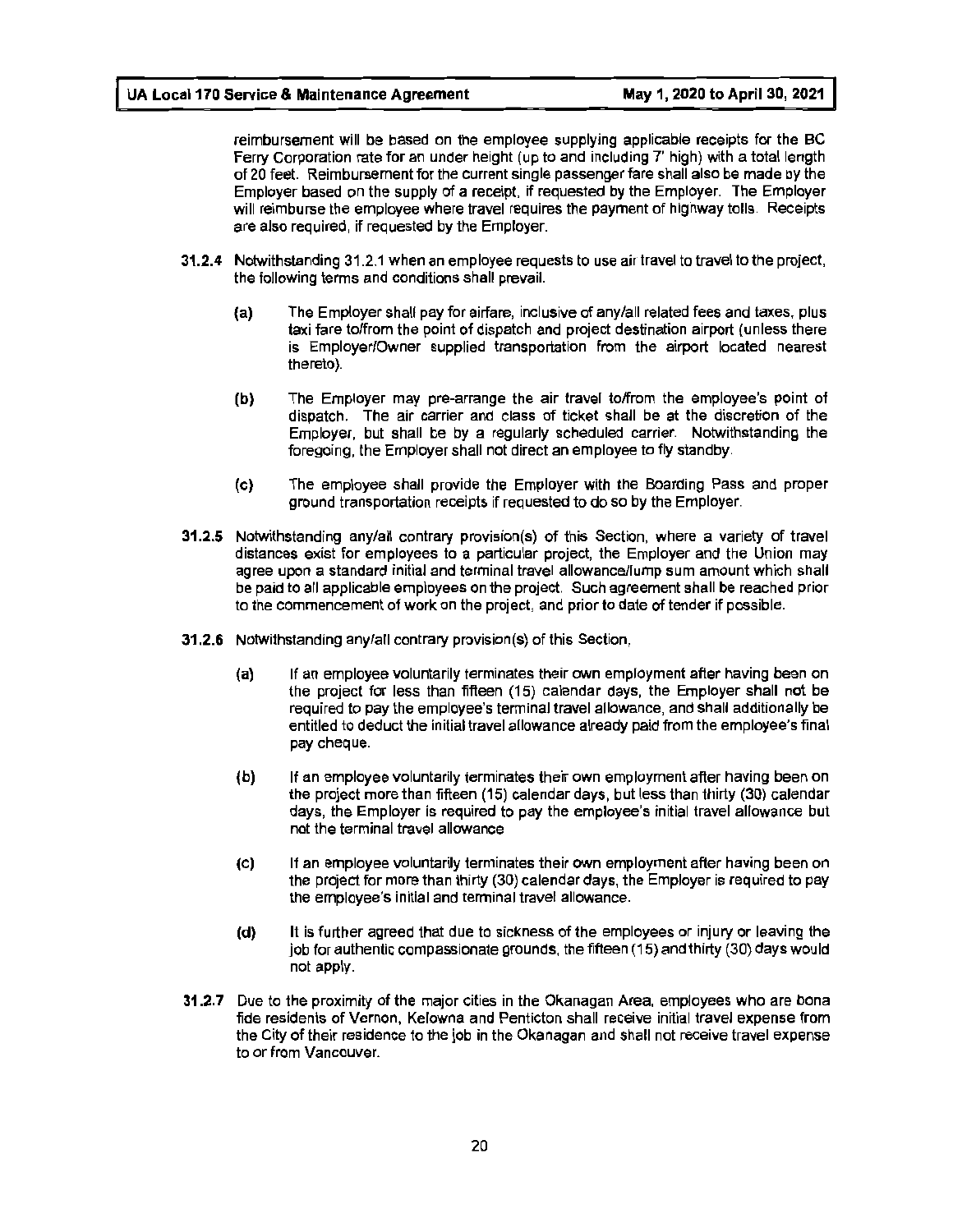reimbursement will be based on the employee supplying applicable receipts for the BC Ferry Corporation rate for an under height (up to and including 7' high) with a total length of 20 feet. Reimbursement for the current single passenger fare shall also be made by the Employer based on the supply of a receipt, if requested by the Employer. The Employer will reimburse the employee where travel requires the payment of highway tolls. Receipts are also required, if requested by the Employer.

- **31.2.4** Notwithstanding 31.2.1 when an employee requests to use air travel to travel to the project, the following terms and conditions shall prevail.
	- **(a)** The Employer shall pay for airfare, inclusive of any/all related fees and taxes, plus **taxi** fare to/from the point of dispatch and project destination airport (unless there is Employer!Owner supplied transportation from the airport located nearest thereto).
	- **(b)** The Employer may pre-arrange the air travel to/from the employee's point of dispatch. The air carrier and class of ticket shall be at the discretion of the Employer, but shall be by a regularly scheduled carrier. Notwithstanding the foregoing, the Employer shall not direct an employee to fly standby.
	- (c) The employee shall provide the Employer with the Boarding Pass and proper ground transportation receipts if requested to do so by the Employer.
- **31.2.S** Notwithstanding any/all contrary provision(s) of this Section, where a variety of travel distances exist for employees to a particular project, the Employer and the Union may agree upon a standard initial and terminal travel allowance/lump sum amount which shall be paid to all applicable employees on the project. Such agreement shall be reached prior to the commencement of work on the project, and prior to date of tender if possible.
- **31.2.6** Notwithstanding any/all contrary provision(s) of this Section,
	- **(a)** If an employee voluntarily terminates their own employment after having been on the project for less than fifteen (15) calendar days, the Employer shall not be required to pay the employee's terminal travel allowance, and shall additionally be entitled to deduct the initial travel allowance already paid from the employee's final pay cheque.
	- **(b)** If an employee voluntarily terminates their own employment after having been on the project more than fifteen (15) calendar days, but less than thirty (30) calendar days, the Employer is required to pay the employee's initial travel allowance but not the terminal travel allowance
	- (c) If an employee voluntarily terminates their own employment after having been on the project for more than thirty (30} calendar days, the Employer is required to pay the employee's initial and terminal travel allowance.
	- **(d)** It is further agreed that due to sickness of the employees or injury or leaving the job for authentic compassionate grounds, the fifteen (15) and thirty (30) days would not apply.
- **31.2.7** Due to the proximity of the major cities in the Okanagan Area, employees who are bona fide residents of Vernon, Kelowna and Penticton shall receive initial travel expense from the City of their residence to the job in the Okanagan and shall not receive travel expense to or from Vancouver.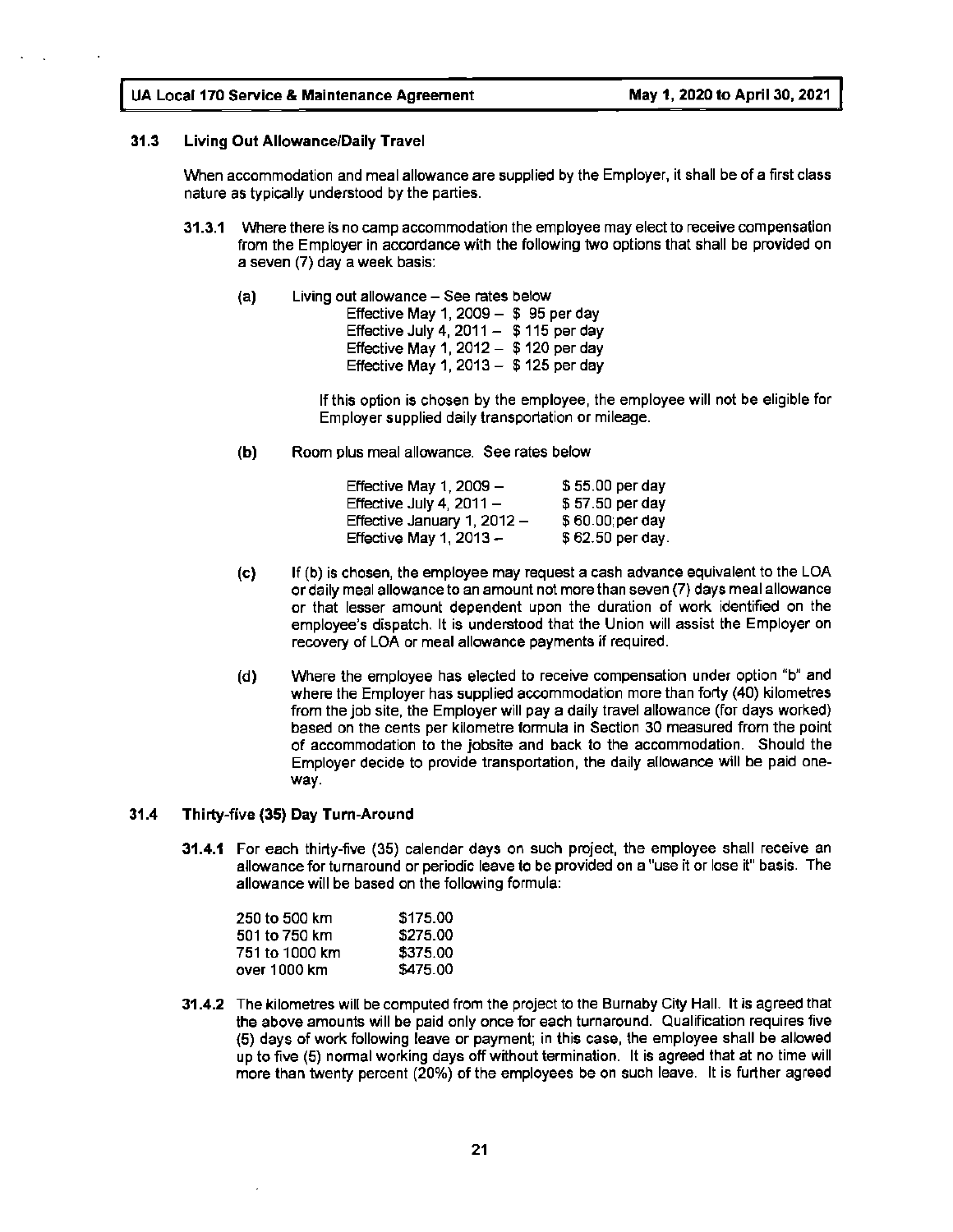#### **31.3 Living Out Allowance/Daily Travel**

When accommodation and meal allowance are supplied by the Employer, it shall be of a first class nature as typically understood by the parties.

- **31.3.1** Where there is no camp accommodation the employee may elect to receive compensation from the Employer in accordance with the following two options that shall be provided on a seven (7) day a week basis:
	- $(a)$  Living out allowance See rates below
		- Effective May 1, 2009  $-$  \$ 95 per day Effective July 4, 2011  $-$  \$ 115 per day Effective May 1, 2012  $-$  \$ 120 per day Effective May 1, 2013  $-$  \$ 125 per day

If this option is chosen by the employee, the employee will not be eligible for Employer supplied daily transportation or mileage.

**(b)** Room plus meal allowance. See rates below

| Effective May 1, 2009 -     | $$55.00$ per day |
|-----------------------------|------------------|
| Effective July 4, $2011 -$  | \$57.50 per day  |
| Effective January 1, 2012 - | \$60.00; per day |
| Effective May 1, $2013 -$   | \$62.50 per day. |

- (c) If (b) is chosen, the employee may request a cash advance equivalent to the LOA or daily meal allowance to an amount not more than seven (7) days meal allowance or that lesser amount dependent upon the duration of work identified on the employee's dispatch. It is understood that the Union will assist the Employer on recovery of LOA or meal allowance payments if required.
- **(d)** Where the employee has elected to receive compensation under option "b" and where the Employer has supplied accommodation more than forty (40) kilometres from the job site, the Employer will pay a daily travel allowance (for days worked) based on the cents per kilometre formula in Section 30 measured from the point of accommodation to the jobsite and back to the accommodation. Should the Employer decide to provide transportation, the daily allowance will be paid oneway.

#### **31.4 Thirty-five (35) Day Turn-Around**

**31.4.1** For each thirty-five (35) calendar days on such project, the employee shall receive an allowance for turnaround or periodic leave to be provided on a "use it or lose it" basis. The allowance will be based on the following formula:

| \$175.00 |
|----------|
| \$275.00 |
| \$375.00 |
| \$475.00 |
|          |

**31.4.2** The kilometres will be computed from the project to the Burnaby City Hall. It is agreed that the above amounts will be paid only once for each turnaround. Qualification requires five (5) days of work following leave or payment; in this case, the employee shall be allowed up to five (5) normal working days off without termination. It is agreed that at no time will more than twenty percent (20%) of the employees be on such leave. It is further agreed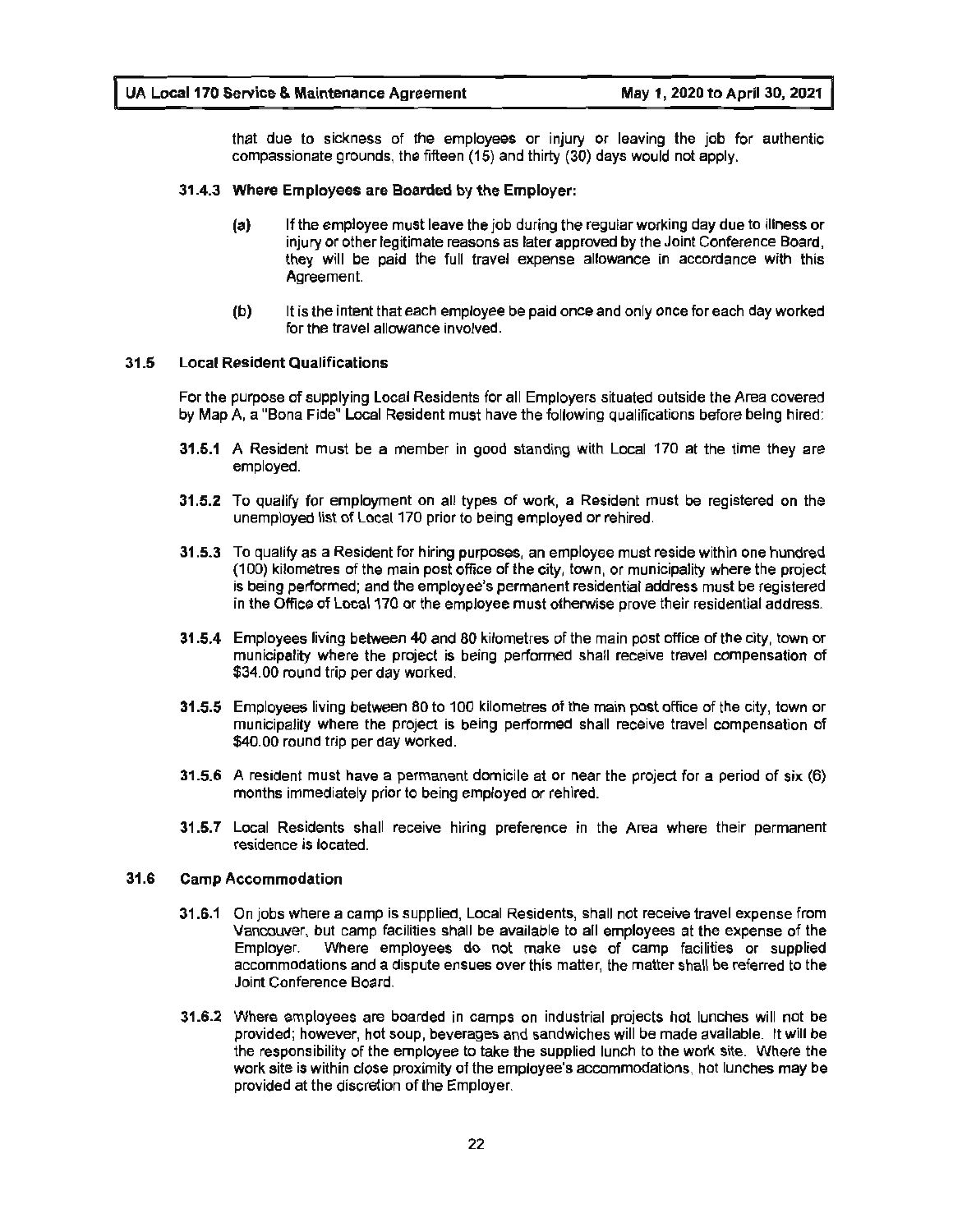that due to sickness of the employees or injury or leaving the job for authentic compassionate grounds, the fifteen (15) and thirty (30) days would not apply.

#### **31 .4.3 Where Employees are Boarded by the Employer:**

- **(a)** If the employee must leave the job during the regular working day due to illness or injury or other legitimate reasons as later approved by the Joint Conference Board, they will be paid the full travel expense allowance in accordance with this Agreement.
- **(b)** It is the intent that each employee be paid once and only once for each day worked for the travel allowance involved.

#### **31.5 Local Resident Qualifications**

For the purpose of supplying Local Residents for all Employers situated outside the Area covered by Map A, a "Bona Fide" Local Resident must have the following qualifications before being hired:

- **31.5.1** A Resident must be a member in good standing with Local 170 at the time they are employed.
- **31.5.2** To qualify for employment on all types of work, a Resident must be registered on the unemployed list of Local 170 prior to being employed or rehired.
- **31.5.3** To qualify as a Resident for hiring purposes, an employee must reside within one hundred (100) kilometres of the main post office of the city, town, or municipality where the project is being performed; and the employee's permanent residential address must be registered in the Office of Local 170 or the employee must otherwise prove their residential address.
- **31.5.4** Employees living between 40 and 80 kilometres of the main post office of the city, town or municipality where the project is being performed shall receive travel compensation of \$34.00 round trip per day worked.
- **31.5.5** Employees living between 80 to 100 kilometres of the main post office of the city, town or municipality where the project is being performed shall receive travel compensation of \$40.00 round trip per day worked.
- **31.5.6 A** resident must have a permanent domicile at or near the project for a period of six (6) months immediately prior to being employed or rehired.
- **31.5.7** Local Residents shall receive hiring preference in the Area where their permanent residence is located.

#### **31.6 Camp Accommodation**

- **31 .6.1** On jobs where a camp is supplied, Local Residents, shall not receive travel expense from Vancouver, but camp facilities shall be available to all employees at the expense of the Employer. Where employees do not make use of camp facilities or supplied accommodations and a dispute ensues over this matter, the matter shall be referred to the Joint Conference Board.
- **31.6.2** Where employees are boarded in camps on industrial projects hot lunches will not be provided; however, hot soup, beverages and sandwiches will be made available. It will be the responsibility of the employee to take the supplied lunch to the work site. Where the work site is within close proximity of the employee's accommodations, hot lunches may be provided at the discretion of the Employer.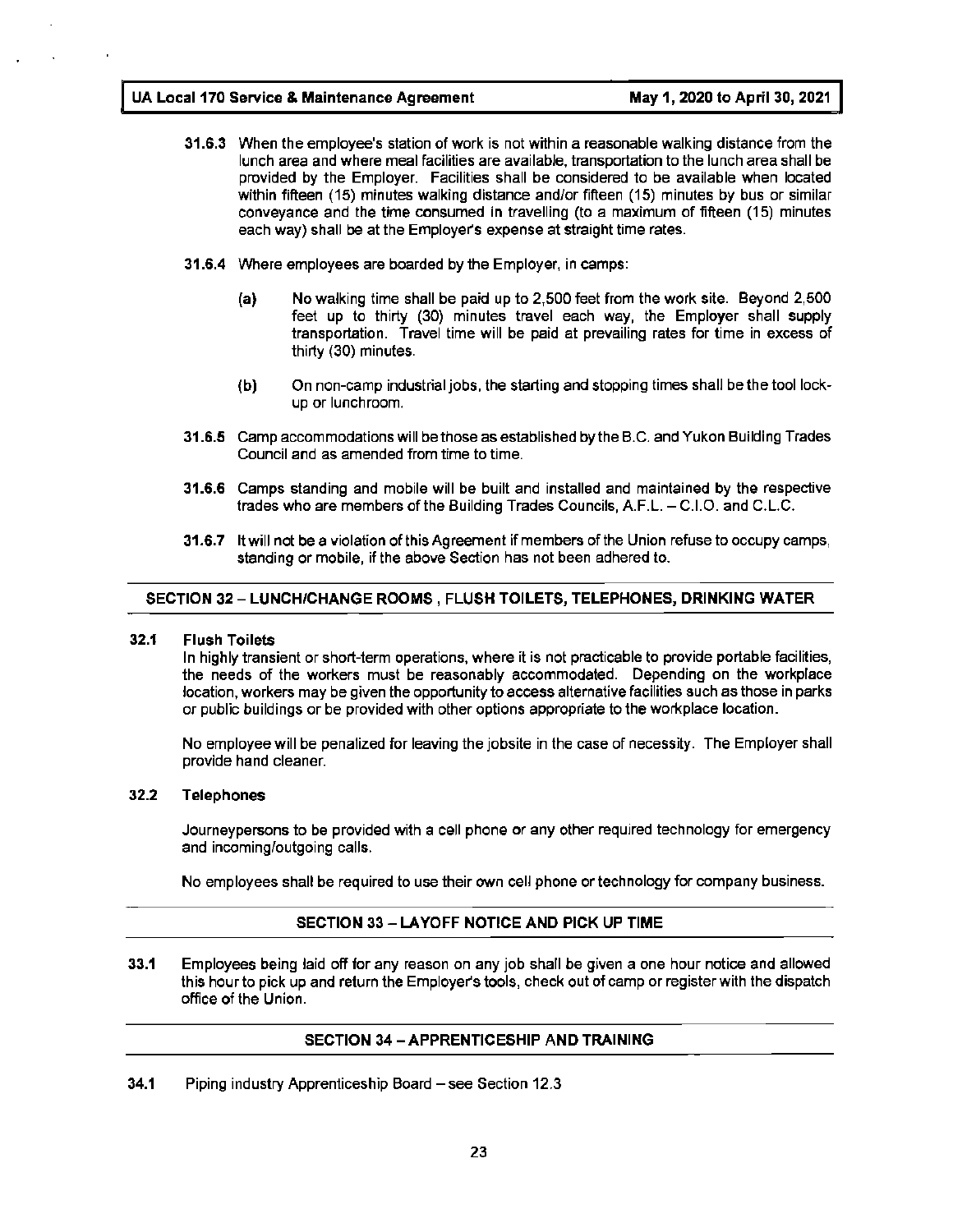- **31.6.3** When the employee's station of work is not within a reasonable walking distance from the lunch area and where meal facilities are available, transportation to the lunch area shall be provided by the Employer. Facilities shall be considered to be available when located within fifteen (15) minutes walking distance and/or fifteen (15) minutes by bus or similar conveyance and the time consumed in travelling (to a maximum of fifteen (15) minutes each way) shall be at the Employer's expense at straight time rates.
- **31.6.4** Where employees are boarded by the Employer, in camps:
	- **(a)** No walking time shall be paid up to 2,500 feet from the work site. Beyond 2,500 feet up to thirty (30) minutes travel each way, the Employer shall supply transportation. Travel time will be paid at prevailing rates for time in excess of thirty (30) minutes.
	- (b) On non-camp industrial jobs, the starting and stopping times shall be the tool lockup or lunchroom.
- **31.6.5** Camp accommodations will be those as established by the B.C. and Yukon Building Trades Council and as amended from time to time.
- **31.6.6** Camps standing and mobile will be built and installed and maintained by the respective trades who are members of the Building Trades Councils, A.F.L. - C.1.0. and C.L.C.
- **31.6.7** ltwill not be a violation of this Agreement if members of the Union refuse to occupy camps, standing or mobile, if the above Section has not been adhered to.

#### **SECTION 32- LUNCH/CHANGE ROOMS, FLUSH TOILETS, TELEPHONES, DRINKING WATER**

#### **32.1 Flush Toilets**

In highly transient or short-term operations, where it is not practicable to provide portable facilities, the needs of the workers must be reasonably accommodated. Depending on the workplace location, workers may be given the opportunity to access alternative facilities such as those in parks or public buildings or be provided with other options appropriate to the workplace location.

No employee will be penalized for leaving the jobsite in the case of necessity. The Employer shall provide hand cleaner.

#### **32.2 Telephones**

Journeypersons to be provided with a cell phone or any other required technology for emergency and incoming/outgoing calls.

No employees shall be required to use their own cell phone or technology for company business.

#### **SECTION 33** - **LA YOFF NOTICE AND PICK UP TIME**

**33.1** Employees being laid off for any reason on any job shall be given a one hour notice and allowed this hour to pick up and return the Employer's tools, check out of camp or register with the dispatch office of the Union.

#### **SECTION 34 -APPRENTICESHIP AND TRAINING**

**34.1** Piping industry Apprenticeship Board – see Section 12.3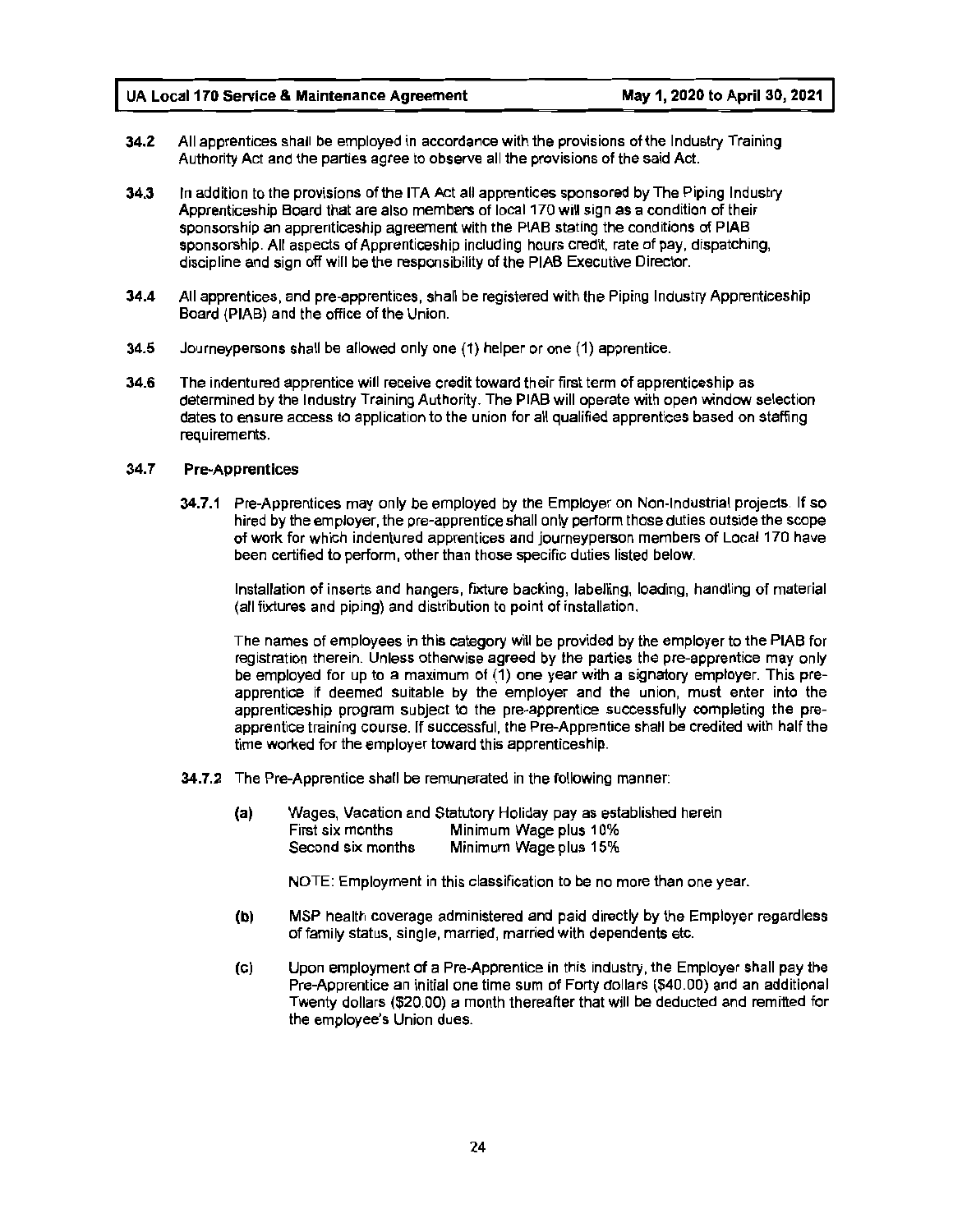- **34.2** All apprentices shall be employed in accordance with the provisions of the Industry Training Authority Act and the parties agree to observe all the provisions of the said Act.
- **34.3** In addition to the provisions of the ITA Act all apprentices sponsored by The Piping Industry Apprenticeship Board that are also members of local 170 will sign as a condition of their sponsorship an apprenticeship agreement with the PIAB stating the conditions of PIAB sponsorship. All aspects of Apprenticeship including hours credit. rate of pay, dispatching, discipline and sign off will be the responsibility of the PIAB Executive Director.
- **34.4** All apprentices, and pre-apprentices, shall be registered with the Piping Industry Apprenticeship Board (PIAB) and the office of the Union.
- **34.5** Journeypersons shall be allowed only one (1) helper or one (1) apprentice.
- **34.6** The indentured apprentice will receive credit toward their first term of apprenticeship as determined by the Industry Training Authority. The PIAB will operate with open window selection dates to ensure access to application to the union for all qualified apprentices based on staffing requirements.

#### 34. 7 **Pre-Apprentices**

**34.7.1** Pre-Apprentices may only be employed by the Employer on Non-Industrial projects. If so hired by the employer, the pre-apprentice shall only perform those duties outside the scope of work for which indentured apprentices and journeyperson members of Local 170 have been certified to perform, other than those specific duties listed below.

Installation of inserts and hangers, fixture backing, labelling, loading, handling of material (all fixtures and piping) and distribution to point of installation.

The names of employees in this category will be provided by the employer to the PIAB for registration therein. Unless otherwise agreed by the parties the pre-apprentice may only be employed for up to a maximum of (1) one year with a signatory employer. This preapprentice if deemed suitable by the employer and the union, must enter into the apprenticeship program subject to the pre-apprentice successfully completing the preapprentice training course. If successful, the Pre-Apprentice shall be credited with half the time worked for the employer toward this apprenticeship.

- **34.7.2** The Pre-Apprentice shall be remunerated in the following manner:
	- **(a)** Wages, Vacation and Statutory Holiday pay as established herein First six months Minimum Wage plus 10% Second six months Minimum Wage plus 15%

NOTE: Employment in this classification to be no more than one year.

- **(b)** MSP health coverage administered and paid directly by the Employer regardless of family status, single, married, married with dependents etc.
- (c) Upon employment of a Pre-Apprentice in this industry, the Employer shall pay the Pre-Apprentice an initial one time sum of Forty dollars (\$40.00) and an additional Twenty dollars (\$20.00) a month thereafter that will be deducted and remitted for the employee's Union dues.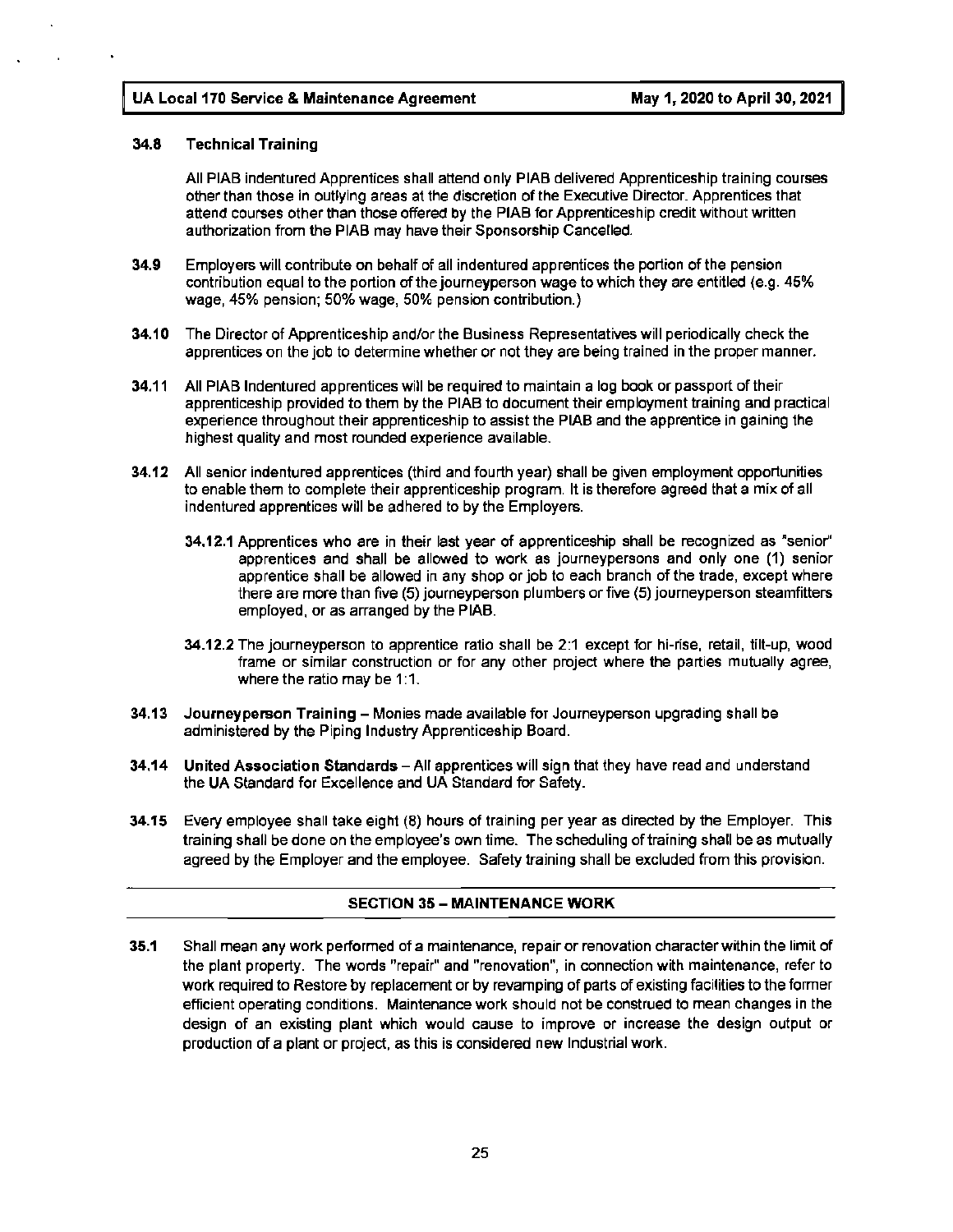#### **34.8 Technical Training**

All PIAB indentured Apprentices shall attend only PIAB delivered Apprenticeship training courses other than those in outlying areas at the discretion of the Executive Director. Apprentices that attend courses other than those offered by the PIAB for Apprenticeship credit without written authorization from the PIAB may have their Sponsorship Cancelled.

- **34.9** Employers will contribute on behalf of all indentured apprentices the portion of the pension contribution equal to the portion of the journeyperson wage to which they are entitled (e.g. 45% wage, 45% pension; 50% wage, 50% pension contribution.)
- **34.10** The Director of Apprenticeship and/or the Business Representatives will periodically check the apprentices on the job to determine whether or not they are being trained in the proper manner.
- **34.11** All PIAB Indentured apprentices will be required to maintain a log book or passport of their apprenticeship provided to them by the PIAB to document their employment training and practical experience throughout their apprenticeship to assist the PIAB and the apprentice in gaining the highest quality and most rounded experience available.
- **34.12** All senior indentured apprentices (third and fourth year) shall be given employment opportunities to enable them to complete their apprenticeship program. It is therefore agreed that a mix of all indentured apprentices will be adhered to by the Employers.
	- **34.12.1** Apprentices who are in their last year of apprenticeship shall be recognized as "senior" apprentices and shall be allowed to work as journeypersons and only one (1) senior apprentice shall be allowed in any shop or job to each branch of the trade, except where there are more than five (5) journeyperson plumbers or five (5) journeyperson steamfitters employed, or as arranged by the PIAB.
	- **34.12.2** The journeyperson to apprentice ratio shall be 2:1 except for hi-rise, retail, tilt-up, wood frame or similar construction or for any other project where the parties mutually agree, where the ratio may be 1:1.
- **34.13 Journeyperson Training**  Monies made available for Journeyperson upgrading shall be administered by the Piping Industry Apprenticeship Board.
- **34.14 United Association Standards** -All apprentices will sign that they have read and understand the UA Standard for Excellence and UA Standard for Safety.
- **34.15** Every employee shall take eight (B) hours of training per year as directed by the Employer. This training shall be done on the employee's own time. The scheduling of training shall be as mutually agreed by the Employer and the employee. Safety training shall be excluded from this provision.

#### **SECTION 35** - **MAINTENANCE WORK**

**35.1** Shall mean any work performed of a maintenance, repair or renovation character within the limit of the plant property. The words "repair" and "renovation", in connection with maintenance, refer to work required to Restore by replacement or by revamping of parts of existing facilities to the former efficient operating conditions. Maintenance work should not be construed to mean changes in the design of an existing plant which would cause to improve or increase the design output or production of a plant or project, as this is considered new Industrial work.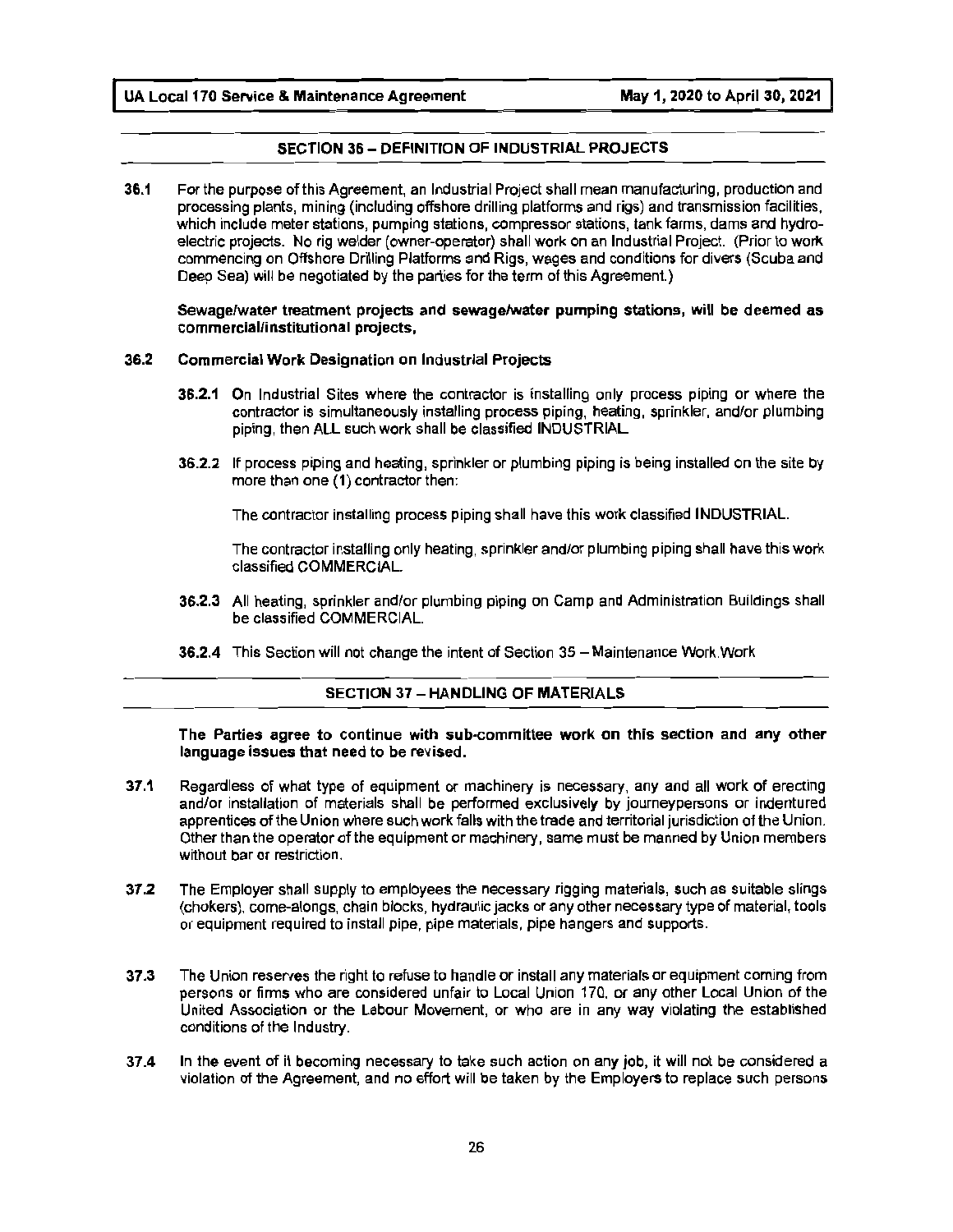#### **SECTION 36** - **DEFINITION OF INDUSTRIAL PROJECTS**

**36.1** For the purpose of this Agreement, an Industrial Project shall mean manufacturing, production and processing plants, mining (including offshore drilling platforms and rigs) and transmission facilities, which include meter stations, pumping stations, compressor stations, tank farms, dams and hydroelectric projects. No rig welder (owner-operator) shall work on an Industrial Project. (Prior to work commencing on Offshore Drilling Platforms and Rigs, wages and conditions for divers (Scuba and Deep Sea) will be negotiated by the parties for the term of this Agreement.)

**Sewage/water treatment projects and sewage/water pumping stations, will be deemed as commercial/institutional projects,** 

#### **36.2 Commercial Work Designation on Industrial Projects**

- **36.2.1** On Industrial Sites where the contractor is installing only process piping or where the contractor is simultaneously installing process piping, heating, sprinkler, and/or plumbing piping, then ALL such work shall be classified INDUSTRIAL.
- **36.2.2** If process piping and heating, sprinkler or plumbing piping is being installed on the site by more than one (1) contractor then:

The contractor installing process piping shall have this work classified INDUSTRIAL.

The contractor installing only heating, sprinkler and/or plumbing piping shall have this work classified COMMERCIAL

- **36.2.3** All heating, sprinkler and/or plumbing piping on Camp and Administration Buildings shall be classified COMMERCIAL.
- **36.2.4** This Section will not change the intent of Section 35 Maintenance Work. Work

#### **SECTION 37 - HANDLING OF MATERIALS**

**The Parties agree to continue with sub-committee work on this section and any other language issues that need to be revised.** 

- **37.1** Regardless of what type of equipment or machinery is necessary, any and all work of erecting and/or installation of materials shall be performed exclusively by journeypersons or indentured apprentices of the Union where such work falls with the trade and territorial jurisdiction of the Union. Other than the operator of the equipment or machinery, same must be manned by Union members without bar or restriction.
- **37 .2** The Employer shall supply to employees the necessary rigging materials, such as suitable slings (chokers), come-alongs, chain blocks, hydraulic jacks or any other necessary type of material, tools or equipment required to install pipe, pipe materials, pipe hangers and supports.
- **37 .3** The Union reserves the right to refuse to handle or install any materials or equipment coming from persons or firms who are considered unfair to Local Union 170, or any other Local Union of the United Association or the Labour Movement, or who are in any way violating the established conditions of the Industry.
- **37.4** In the event of it becoming necessary to take such action on any job, it will not be considered a violation of the Agreement, and no effort will be taken by the Employers to replace such persons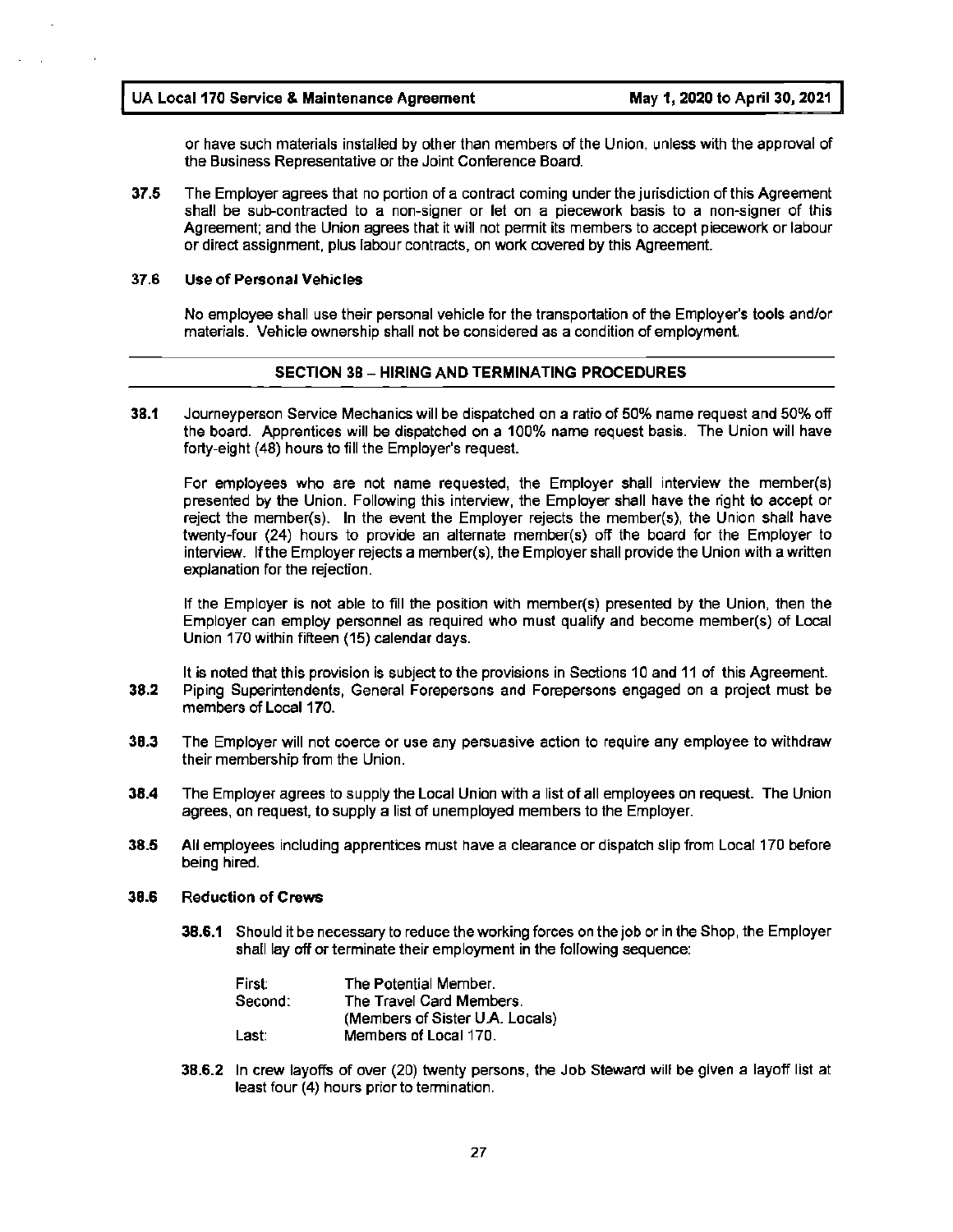or have such materials installed by other than members of the Union, unless with the approval of the Business Representative or the Joint Conference Board.

**37.5** The Employer agrees that no portion of a contract coming under the jurisdiction of this Agreement shall be sub-contracted to a non-signer or let on a piecework basis to a non-signer of this Agreement; and the Union agrees that it will not permit its members to accept piecework or labour or direct assignment, plus labour contracts, on work covered by this Agreement.

#### **37.6 Use of Personal Vehicles**

No employee shall use their personal vehicle for the transportation of the Employer's tools and/or materials. Vehicle ownership shall not be considered as a condition of employment.

#### **SECTION 38** - **HIRING AND TERMINATING PROCEDURES**

**38.1** Journeyperson Service Mechanics will be dispatched on a ratio of 50% name request and 50% off the board. Apprentices will be dispatched on a 100% name request basis. The Union will have forty-eight **(48)** hours to fill the Employer's request.

For employees who are not name requested, the Employer shall interview the member(s) presented by the Union. Following this interview, the Employer shall have the right to accept or reject the member(s). In the event the Employer rejects the member(s), the Union shall have twenty-four (24) hours to provide an alternate member(s) off the board for the Employer to interview. If the Employer rejects a member(s), the Employer shall provide the Union with a written explanation for the rejection.

If the Employer is not able to fill the position with member(s) presented by the Union, then the Employer can employ personnel as required who must qualify and become member(s) of Local Union 170 within fifteen (15) calendar days.

It is noted that this provision is subject to the provisions in Sections 10 and 11 of this Agreement. **38.2** Piping Superintendents, General Forepersons and Forepersons engaged on a project must be members of Local 170.

- **38.3** The Employer will not coerce or use any persuasive action to require any employee to withdraw their membership from the Union.
- **38.4** The Employer agrees to supply the Local Union with a list of all employees on request. The Union agrees, on request, to supply a list of unemployed members to the Employer.
- **38.5** All employees including apprentices must have a clearance or dispatch slip from Local 170 before being hired.

#### **38.6 Reduction** of **Crews**

**38.6.1** Should it be necessary to reduce the working forces on the job or in the Shop, the Employer shall lay off or terminate their employment in the following sequence:

| First:  | The Potential Member.           |
|---------|---------------------------------|
| Second: | The Travel Card Members.        |
|         | (Members of Sister U.A. Locals) |
| Last:   | Members of Local 170.           |

**38.6.2** In crew layoffs of over (20) twenty persons, the Job Steward will be given a layoff list at least four (4) hours prior to termination.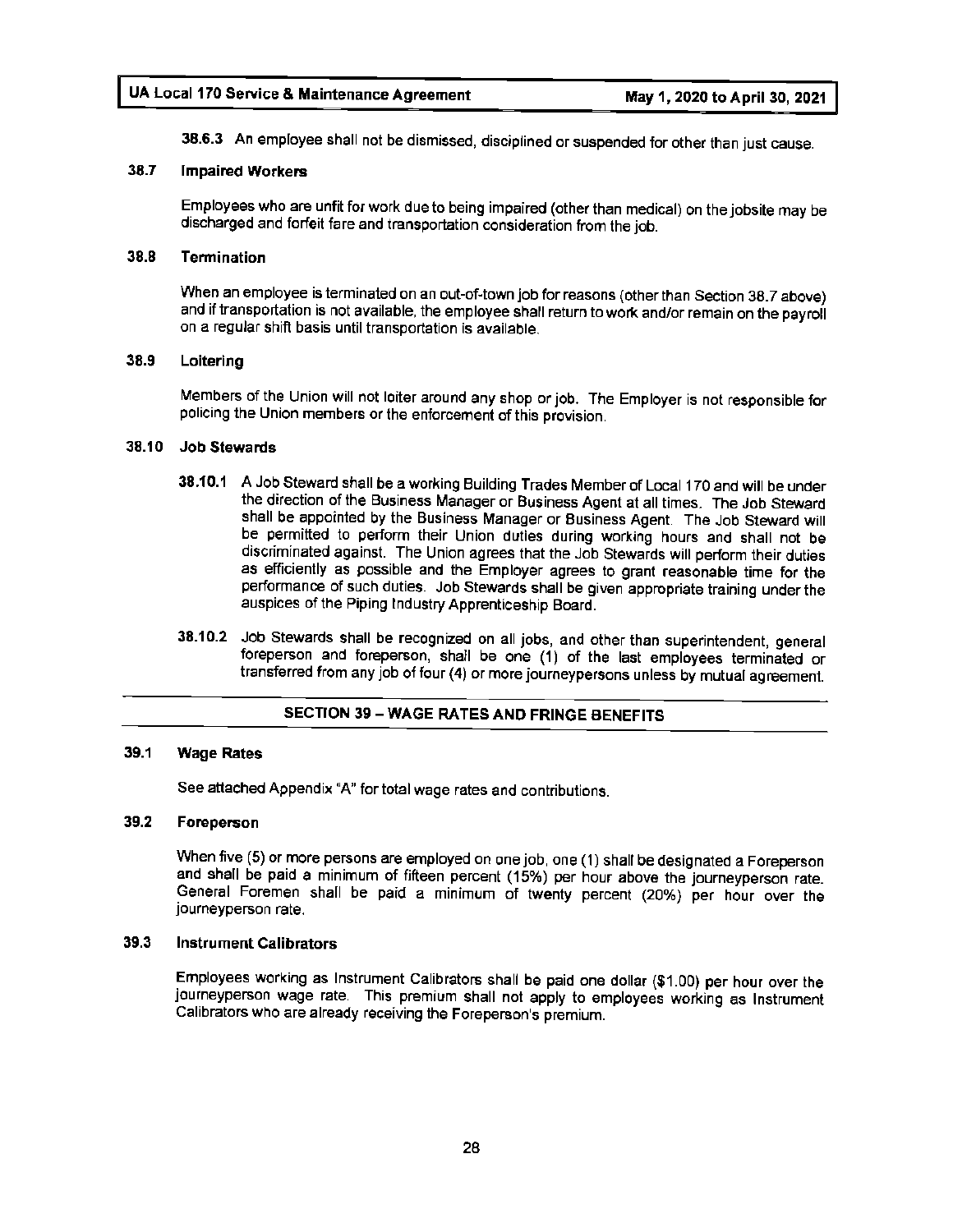**38.6.3** An employee shall not be dismissed, disciplined or suspended for other than just cause.

#### **38.7 Impaired Workers**

Employees who are unfit for work due to being impaired (other than medical) on the jobsite may be discharged and forfeit fare and transportation consideration from the job.

#### **38.8 Termination**

When an employee is terminated on an out-of-town job for reasons {other than Section 38.7 above) and if transportation is not available, the employee shall return to work and/or remain on the payroll on a regular shift basis until transportation is available.

#### **38.9 Loitering**

Members of the Union will not loiter around any shop or job. The Employer is not responsible for policing the Union members or the enforcement of this provision.

#### **38.10 Job Stewards**

- **38.10.1** A Job Steward shall be a working Building Trades Member of Local 170 and will be under the direction of the Business Manager or Business Agent at all times. The Job Steward shall be appointed by the Business Manager or Business Agent. The Job Steward will be permitted to perform their Union duties during working hours and shall not be discriminated against. The Union agrees that the Job Stewards will perform their duties as efficiently as possible and the Employer agrees to grant reasonable time for the performance of such duties. Job Stewards shall be given appropriate training under the auspices of the Piping Industry Apprenticeship Board.
- **38.10.2** Job Stewards shall be recognized on all jobs, and other than superintendent, general foreperson and foreperson, shall be one (1) of the last employees terminated or transferred from any job of four (4) or more journeypersons unless by mutual agreement.

#### **SECTION 39 - WAGE RATES AND FRINGE BENEFITS**

#### **39.1 Wage Rates**

See attached Appendix "A" for total wage rates and contributions.

#### **39.2 Foreperson**

When five (5) or more persons are employed on one job, one (1) shall be designated a Foreperson and shall be paid a minimum of fifteen percent (15%) per hour above the journeyperson rate. General Foremen shall be paid a minimum of twenty percent (20%) per hour over the journeyperson rate.

#### **39.3 Instrument Calibrators**

Employees working as Instrument Calibrators shall be paid one dollar (\$1.00) per hour over the journeyperson wage rate. This premium shall not apply to employees working as Instrument Calibrators who are already receiving the Foreperson's premium.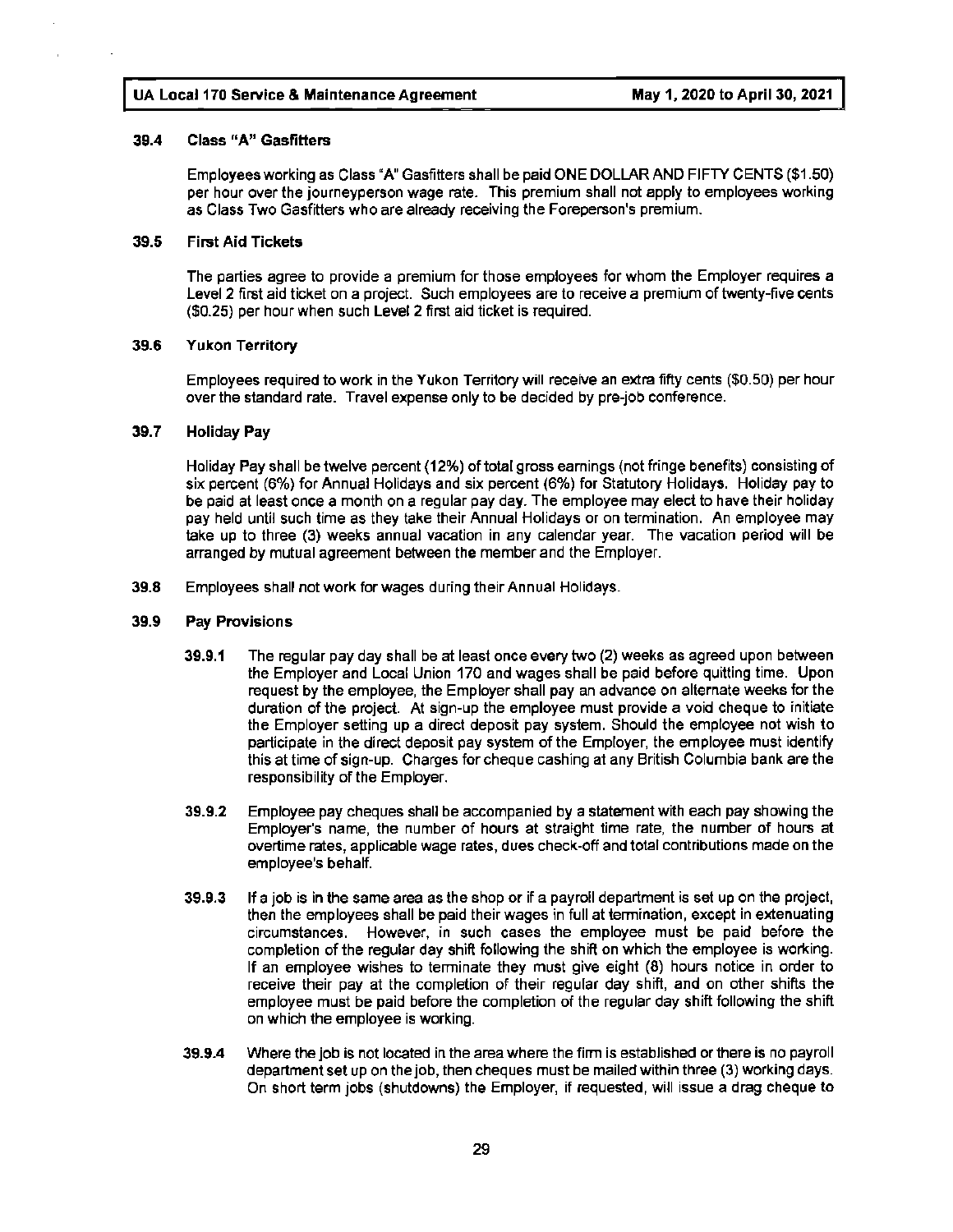#### **39.4 Class "A" Gasfitters**

Employees working as Class "A" Gasfitters shall be paid ONE DOLLAR AND FIFTY CENTS (\$1.50) per hour over the journeyperson wage rate. This premium shall not apply to employees working as Class Two Gasfitters who are already receiving the Foreperson's premium.

#### **39.5 First Aid Tickets**

The parties agree to provide a premium for those employees for whom the Employer requires a Level 2 first aid ticket on a project. Such employees are to receive a premium of twenty-five cents (\$0.25) per hour when such Level 2 first aid ticket is required.

#### **39.6 Yukon Territory**

Employees required to work in the Yukon Territory will receive an extra fifty cents (\$0.50) per hour over the standard rate. Travel expense only to be decided by pre-job conference.

#### 39. 7 **Holiday Pay**

Holiday Pay shall be twelve percent (12%) of total gross earnings (not fringe benefits) consisting of six percent (6%) for Annual Holidays and six percent (6%) for Statutory Holidays. Holiday pay to be paid at least once a month on a regular pay day. The employee may elect to have their holiday pay held until such time as they take their Annual Holidays or on termination. An employee may take up to three (3) weeks annual vacation in any calendar year. The vacation period will be arranged by mutual agreement between the member and the Employer.

**39.8** Employees shall not work for wages during their Annual Holidays.

#### **39.9 Pay Provisions**

- **39.9.1** The regular pay day shall be at least once every two (2) weeks as agreed upon between the Employer and Local Union 170 and wages shall be paid before quitting time. Upon request by the employee, the Employer shall pay an advance on alternate weeks for the duration of the project. At sign-up the employee must provide a void cheque to initiate the Employer setting up a direct deposit pay system. Should the employee not wish to participate in the direct deposit pay system of the Employer, the employee must identify this at time of sign-up. Charges for cheque cashing at any British Columbia bank are the responsibility of the Employer.
- **39.9.2** Employee pay cheques shall be accompanied by a statement with each pay showing the Employer's name, the number of hours at straight time rate, the number of hours at overtime rates, applicable wage rates, dues check-off and total contributions made on the employee's behalf.
- **39.9.3** If a job is in the same area as the shop or if a payroll department is set up on the project, then the employees shall be paid their wages in full at termination, except in extenuating circumstances. However, in such cases the employee must be paid before the completion of the regular day shift following the shift on which the employee is working. If an employee wishes to terminate they must give eight (8) hours notice in order to receive their pay at the completion of their regular day shift, and on other shifts the employee must be paid before the completion of the regular day shift following the shift on which the employee is working.
- **39.9.4** Where the job is not located in the area where the firm is established or there is no payroll department set up on the job, then cheques must be mailed within three (3) working days. On short term jobs (shutdowns) the Employer, if requested, will issue a drag cheque to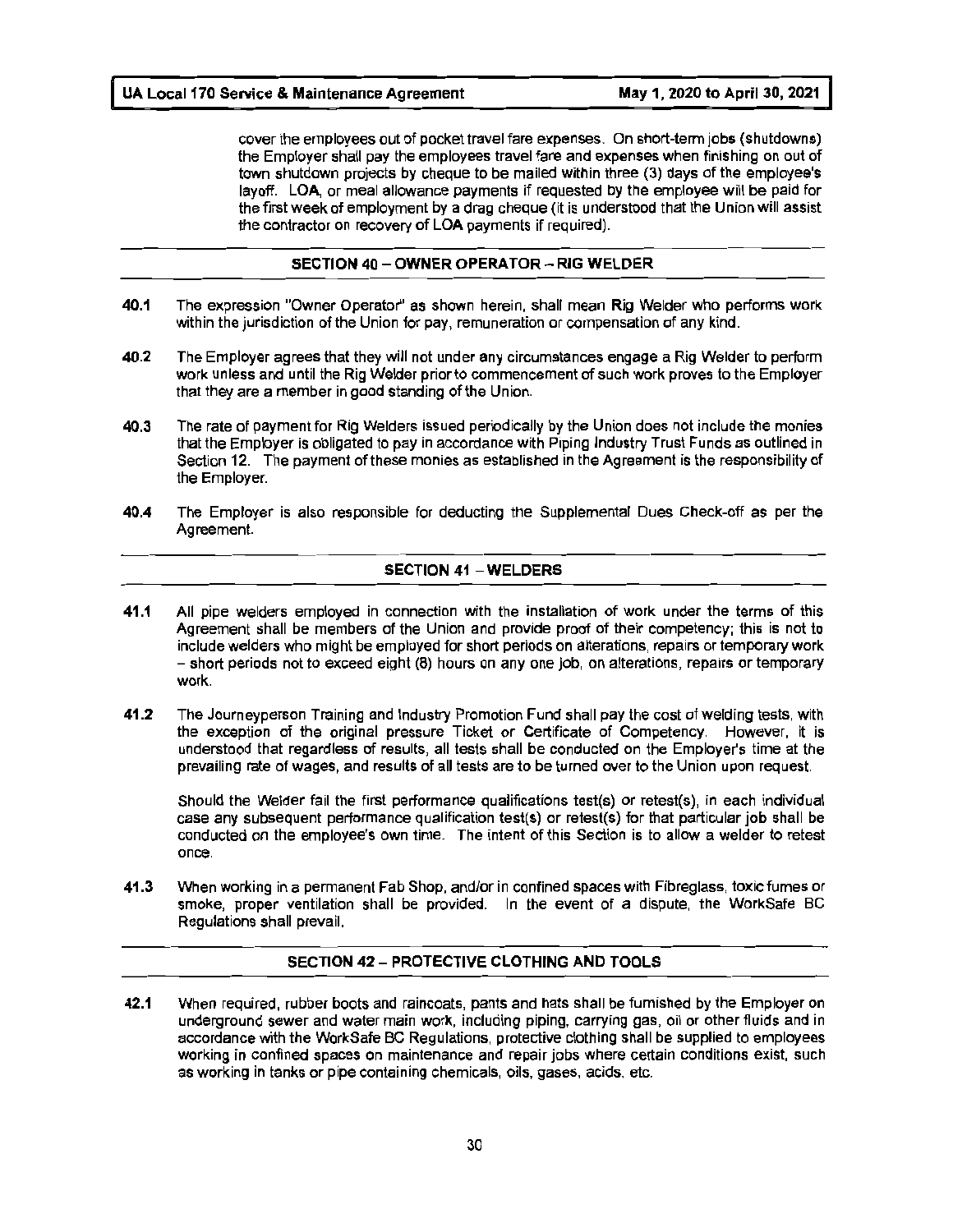cover the employees out of pocket travel fare expenses. On short-term jobs (shutdowns) the Employer shall pay the employees travel fare and expenses when finishing on out of town shutdown projects by cheque to be mailed within three (3) days of the employee's layoff. LOA, or meal allowance payments if requested by the employee will be paid for the first week of employment by a drag cheque (it is understood that the Union will assist the contractor on recovery of LOA payments if required).

#### **SECTION 40** - **OWNER OPERA TOR** - **RIG WELDER**

- **40.1** The expression "Owner Operator'' as shown herein, shall mean Rig Welder who performs work within the jurisdiction of the Union for pay, remuneration or compensation of any kind.
- **40.2** The Employer agrees that they will not under any circumstances engage a Rig Welder to perform work unless and until the Rig Welder prior to commencement of such work proves to the Employer that they are a member in good standing of the Union.
- **40.3** The rate of payment for Rig Welders issued periodically by the Union does not include the monies that the Employer is obligated to pay in accordance with Piping Industry Trust Funds as outlined in Section 12. The payment of these monies as established in the Agreement is the responsibility of the Employer.
- **40.4** The Employer is also responsible for deducting the Supplemental Dues Check-off as per the Agreement.

#### **SECTION 41** - **WELDERS**

- **41.1** All pipe welders employed in connection with the installation of work under the terms of this Agreement shall be members of the Union and provide proof of their competency; this is not to include welders who might be employed for short periods on alterations, repairs or temporary work - short periods not to exceed eight (8) hours on any one job, on alterations, repairs or temporary work.
- **41.2** The Journeyperson Training and Industry Promotion Fund shall pay the cost of welding tests, with the exception of the original pressure Ticket or Certificate of Competency. However, it is understood that regardless of results, all tests shall be conducted on the Employer's time at the prevailing rate of wages, and results of all tests are to be turned over to the Union upon request.

Should the Welder fail the first performance qualifications test(s) or retest(s), in each individual case any subsequent performance qualification test(s) or retest(s) for that particular job shall be conducted on the employee's own time. The intent of this Section is to allow a welder to retest once.

**41.3** When working in a permanent Fab Shop, and/or in confined spaces with Fibreglass, toxic fumes or smoke, proper ventilation shall be provided. In the event of a dispute, the WorkSafe BC Regulations shall prevail.

#### **SECTION 42** - **PROTECTIVE CLOTHING AND TOOLS**

**42.1** When required, rubber boots and raincoats, pants and hats shall be furnished by the Employer on underground sewer and water main work, including piping, carrying gas, oil or other fluids and in accordance with the WorkSafe BC Regulations, protective clothing shall be supplied to employees working in confined spaces on maintenance and repair jobs where certain conditions exist, such as working in tanks or pipe containing chemicals, oils, gases, acids, etc.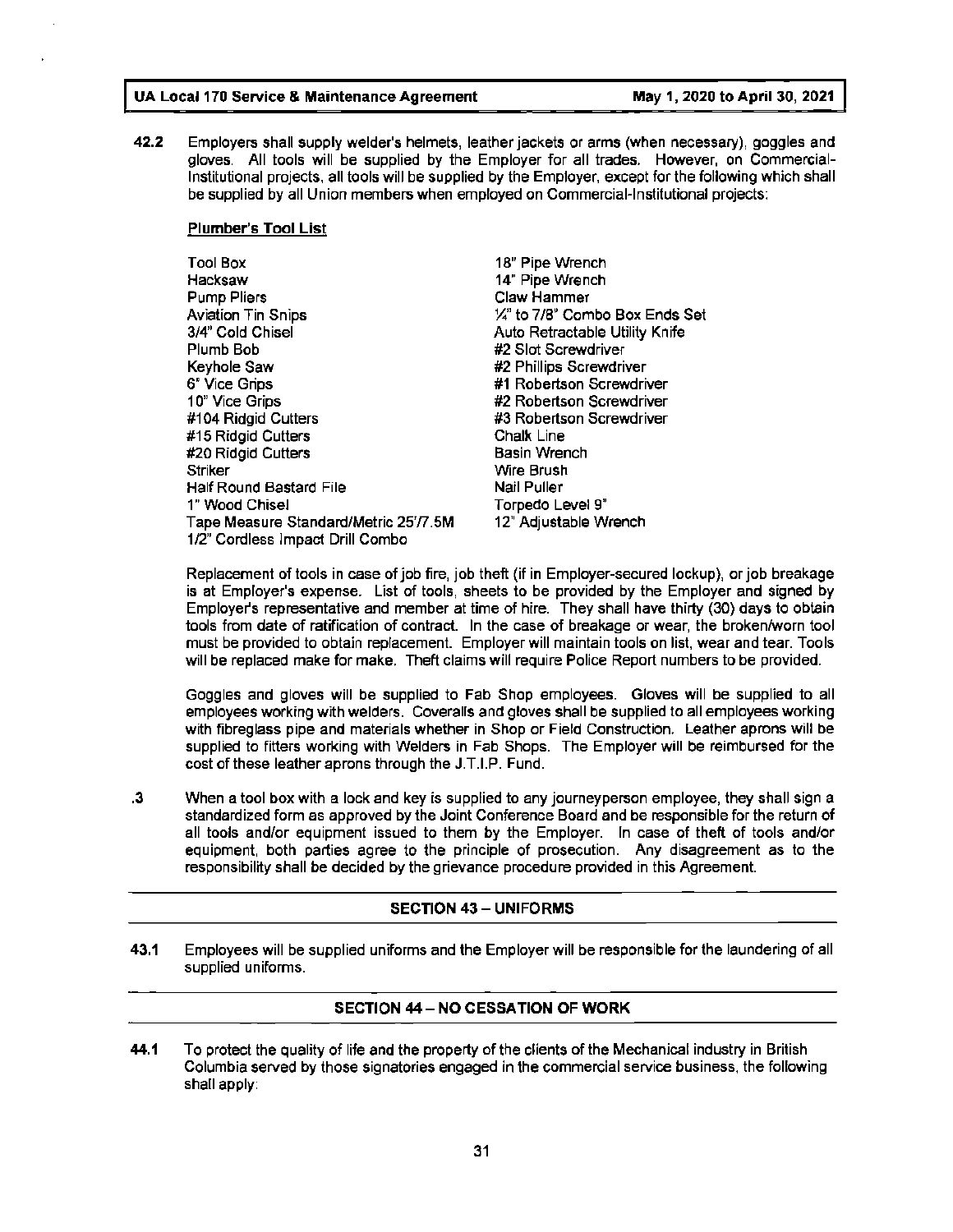**42.2** Employers shall supply welder's helmets, leather jackets or arms (when necessary), goggles and gloves. All tools will be supplied by the Employer for all trades. However, on Commercial-Institutional projects, all tools will be supplied by the Employer, except for the following which shall be supplied by all Union members when employed on Commercial-Institutional projects:

#### **Plumber's Tool List**

| <b>Tool Box</b>                      | 18" Pipe Wrench                 |
|--------------------------------------|---------------------------------|
| Hacksaw                              | 14" Pipe Wrench                 |
| <b>Pump Pliers</b>                   | Claw Hammer                     |
| <b>Aviation Tin Snips</b>            | 1/4" to 7/8" Combo Box Ends Set |
| 3/4" Cold Chisel                     | Auto Retractable Utility Knife  |
| Plumb Bob                            | #2 Slot Screwdriver             |
| Keyhole Saw                          | #2 Phillips Screwdriver         |
| 6" Vice Grips                        | #1 Robertson Screwdriver        |
| 10" Vice Grips                       | #2 Robertson Screwdriver        |
| #104 Ridgid Cutters                  | #3 Robertson Screwdriver        |
| #15 Ridgid Cutters                   | Chalk Line                      |
| #20 Ridgid Cutters                   | <b>Basin Wrench</b>             |
| Striker                              | Wire Brush                      |
| Half Round Bastard File              | Nail Puller                     |
| 1" Wood Chisel                       | Torpedo Level 9"                |
| Tape Measure Standard/Metric 2577.5M | 12" Adjustable Wrench           |
| 1/2" Cordless Impact Drill Combo     |                                 |

Replacement of tools in case of job fire, job theft (if in Employer-secured lockup), or job breakage is at Employer's expense. List of tools, sheets to be provided by the Employer and signed by Employer's representative and member at time of hire. They shall have thirty (30) days to obtain tools from date of ratification of contract. In the case of breakage or wear, the broken/worn tool must be provided to obtain replacement. Employer will maintain tools on list, wear and tear. Tools will be replaced make for make. Theft claims will require Police Report numbers to be provided.

Goggles and gloves will be supplied to Fab Shop employees. Gloves will be supplied to all employees working with welders. Coveralls and gloves shall be supplied to all employees working with fibreglass pipe and materials whether in Shop or Field Construction. Leather aprons will be supplied to fitters working with Welders in Fab Shops. The Employer will be reimbursed for the cost of these leather aprons through the J.T.I.P. Fund.

. 3 When a tool box with a lock and key is supplied to any journeyperson employee, they shall sign a standardized form as approved by the Joint Conference Board and be responsible for the return of all tools and/or equipment issued to them by the Employer. In case of theft of tools and/or equipment, both parties agree to the principle of prosecution. Any disagreement as to the responsibility shall be decided by the grievance procedure provided in this Agreement.

#### **SECTION 43** - **UNIFORMS**

**43.1** Employees will be supplied uniforms and the Employer will be responsible for the laundering of all supplied uniforms.

#### **SECTION 44** - **NO CESSATION OF WORK**

**44.1** To protect the quality of life and the property of the clients of the Mechanical industry in British Columbia served by those signatories engaged in the commercial service business, the following shall apply: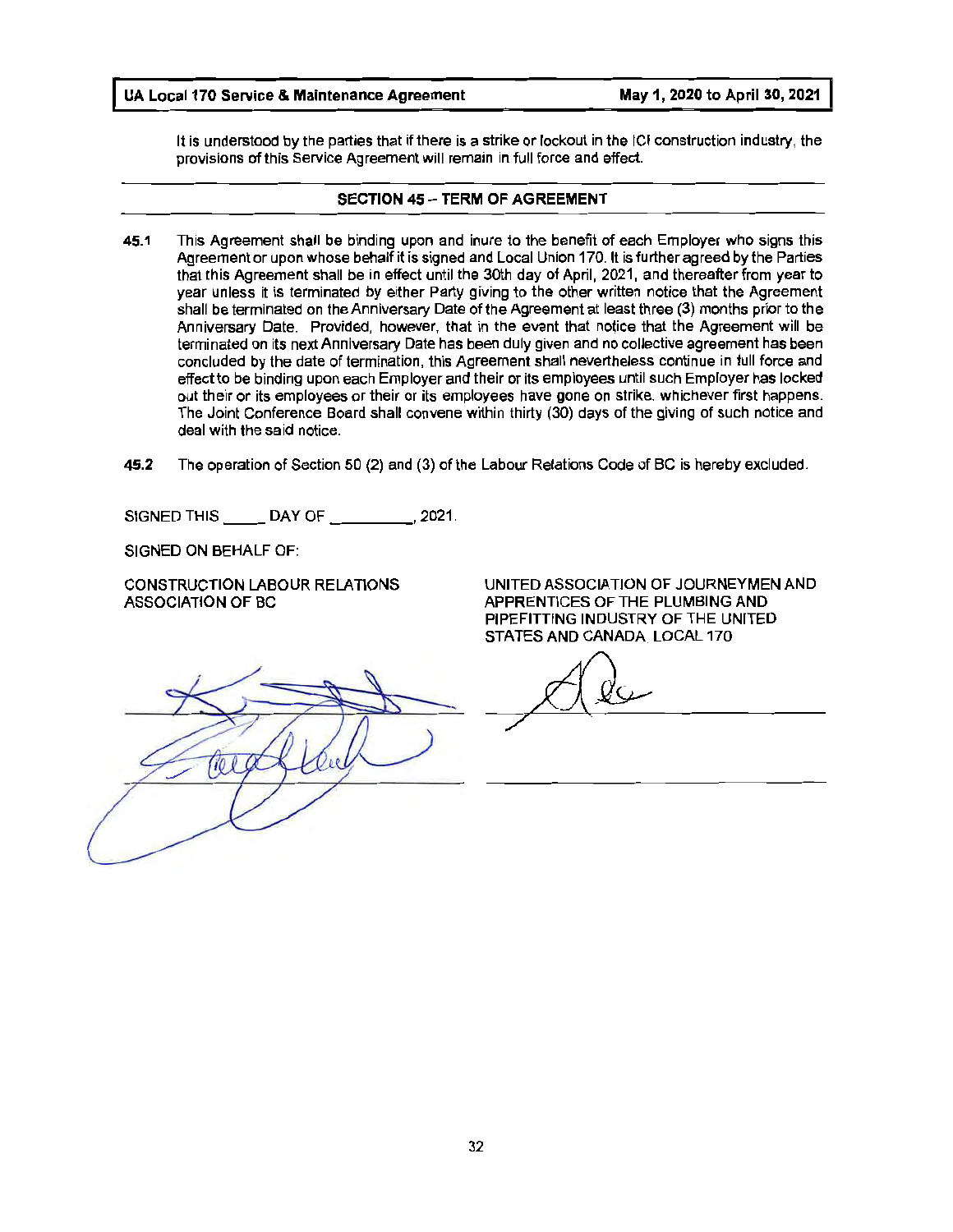It is understood by the parties that if there is a strike or lockout in the ICI construction industry, the provisions of this Service Agreement will remain in full force and effect.

#### **SECTION 45 - TERM OF AGREEMENT**

- **45.1** This Agreement shall be binding upon and inure to the benefit of each Employer who signs this Agreement or upon whose behalf it is signed and Local Union 170. It is further agreed by the Parties that this Agreement shall be in effect until the 30th day of April, 2021, and thereafter from year to year unless it is terminated by either Party giving to the other written notice that the Agreement shall be terminated on the Anniversary Date of the Agreement at least three (3) months prior to the Anniversary Date. Provided, however, that in the event that notice that the Agreement will be terminated on its next Anniversary Date has been duly given and no collective agreement has been concluded by the date of termination, this Agreement shall nevertheless continue in full force and effect to be binding upon each Employer and their or its employees until such Employer has locked out their or its employees or their or its employees have gone on strike, whichever first happens. The Joint Conference Board shall convene within thirty (30) days of the giving of such notice and deal with the said notice.
- **45.2** The operation of Section 50 (2) and (3) of the Labour Relations Code of BC is hereby excluded.

SIGNED THIS DAY OF \_\_\_\_\_\_\_\_, 2021.

SIGNED ON BEHALF OF:

CONSTRUCTION LABOUR RELATIONS ASSOCIATION OF BC

UNITED ASSOCIATION OF JOURNEYMEN AND APPRENTICES OF THE PLUMBING AND PIPEFITTING INDUSTRY OF THE UNITED STATES AND CANADA, LOCAL 170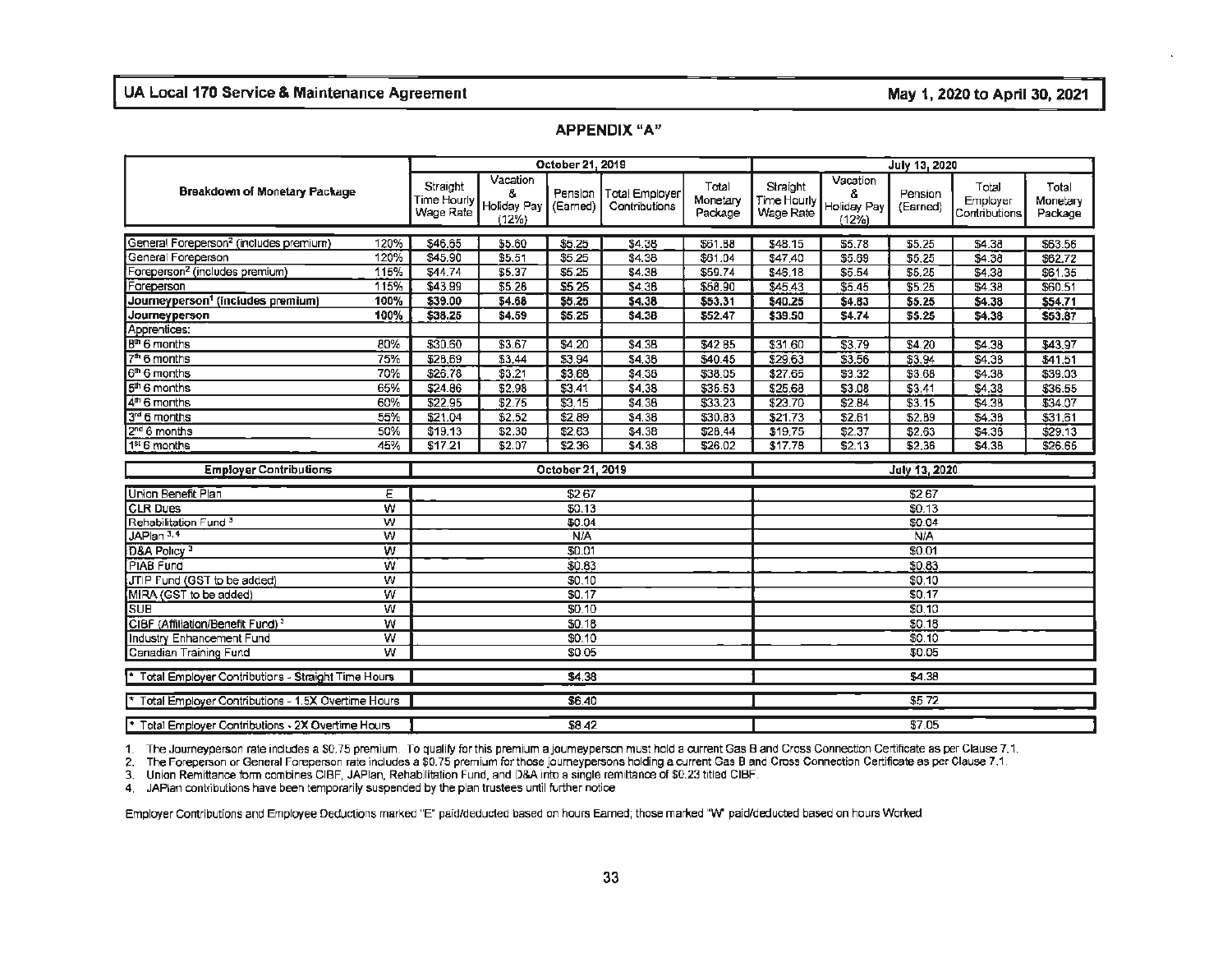#### **APPENDIX "A"**

|                                                    | October 21, 2019        |                                      |                                        |                     |                                        | July 13, 2020                |                                             |                                       |                     |                                    |                              |
|----------------------------------------------------|-------------------------|--------------------------------------|----------------------------------------|---------------------|----------------------------------------|------------------------------|---------------------------------------------|---------------------------------------|---------------------|------------------------------------|------------------------------|
| <b>Breakdown of Monetary Package</b>               |                         | Straight<br>Time Hourly<br>Wage Rate | Vacation<br>8.<br>Holiday Pay<br>(12%) | Pension<br>(Earned) | <b>Total Employer</b><br>Contributions | Total<br>Monetary<br>Package | Straight<br><b>Time Hourly</b><br>Wage Rate | Vacation<br>8<br>Holiday Pay<br>(12%) | Pension<br>(Earned) | Total<br>Employer<br>Contributions | Total<br>Monetary<br>Package |
| General Foreperson <sup>2</sup> (includes premium) | 120%                    | \$46.65                              | \$5.60                                 | \$5.25              | \$4,38                                 | \$61.88                      | \$48.15                                     | \$5.78                                | \$5.25              | \$4.38                             | \$63.56                      |
| General Foreperson                                 | 120%                    | \$45.90                              | \$5.51                                 | \$5.25              | \$4.38                                 | \$61.04                      | \$47,40                                     | \$5.69                                | \$5.25              | \$4.38                             | \$62.72                      |
| oreperson <sup>2</sup> (includes premium)          | 115%                    | \$44.74                              | \$5.37                                 | \$5.25              | \$4.38                                 | \$59.74                      | \$46.18                                     | \$5.54                                | \$5.25              | \$4.38                             | \$61.35                      |
| Foreperson                                         | 115%                    | \$43.99                              | \$5.28                                 | \$5.25              | \$4.38                                 | \$58.90                      | \$45.43                                     | \$5.45                                | \$5.25              | \$4.38                             | \$60.51                      |
| Journeyperson <sup>1</sup> (includes premium)      | 100%                    | \$39.00                              | \$4.68                                 | 55.25               | \$4.38                                 | \$53.31                      | \$40.25                                     | \$4.83                                | \$5.25              | \$4.38                             | \$54,71                      |
| Journeyperson                                      | 100%                    | \$38.25                              | \$4.59                                 | \$5.25              | \$4.38                                 | \$52.47                      | \$39.50                                     | \$4.74                                | \$5.25              | \$4.38                             | \$53.87                      |
| Apprentices:                                       |                         |                                      |                                        |                     |                                        |                              |                                             |                                       |                     |                                    |                              |
| B <sup>th</sup> 6 months                           | 80%                     | \$30.60                              | \$3.67                                 | \$4.20              | \$4.38                                 | \$4285                       | \$31.60                                     | \$3.79                                | \$4.20              | \$4.38                             | \$43.97                      |
| $7th 6$ months                                     | 75%                     | \$28.69                              | \$3.44                                 | \$3.94              | \$4,38                                 | \$40.45                      | \$29.63                                     | \$3.56                                | 33.94               | S4.38                              | \$41,51                      |
| $6th$ 6 months                                     | 70%                     | \$26.78                              | \$3.21                                 | \$3.68              | \$4.38                                 | \$38.05                      | \$27.65                                     | \$3.32                                | \$3.68              | \$4.38                             | \$39.03                      |
| $5th$ 6 months                                     | 65%                     | \$24.86                              | \$2.98                                 | \$3.41              | \$4.38                                 | \$35.63                      | \$25.68                                     | \$3.08                                | \$3.41              | \$4.38                             | \$36.55                      |
| $4th$ 6 months                                     | 60%                     | \$22.95                              | \$2.75                                 | \$3.15              | \$4.36                                 | \$33.23                      | \$23.70                                     | \$2.84                                | \$3.15              | \$4.38                             | \$34.07                      |
| 3rd 6 months                                       | 55%                     | \$21.04                              | \$2.52                                 | \$2.89              | \$4.38                                 | \$30.83                      | \$21.73                                     | \$2.61                                | \$2.89              | \$4.38                             | \$31,61                      |
| 2 <sup>nd</sup> 6 months                           | 50%                     | \$19.13                              | \$2.30                                 | \$2.63              | \$4.38                                 | \$28,44                      | \$19,75                                     | \$2.37                                | \$2.63              | \$4.38                             | \$29.13                      |
| 1 <sup>st</sup> 6 months                           | 45%                     | \$17.21                              | \$2.07                                 | \$2.36              | \$4.38                                 | \$26.02                      | \$17.78                                     | \$2.13                                | \$2,36              | \$4.38                             | \$26.65                      |
| <b>Employer Contributions</b>                      |                         | October 21, 2019                     |                                        |                     |                                        |                              |                                             |                                       | July 13, 2020       |                                    |                              |
| Union Benefit Plan                                 | ε                       |                                      |                                        | \$267               |                                        |                              |                                             |                                       | \$267               |                                    |                              |
| <b>CLR Dues</b>                                    | w                       |                                      |                                        | \$0.13              |                                        |                              |                                             |                                       | \$0.13              |                                    |                              |
| Rehabilitation Fund <sup>3</sup>                   | W                       |                                      |                                        | \$0.04              |                                        |                              |                                             |                                       | \$0.04              |                                    |                              |
| JAPlan 3.4                                         | w                       |                                      |                                        | <b>N/A</b>          |                                        |                              |                                             |                                       | <b>N/A</b>          |                                    |                              |
| D&A Policy <sup>3</sup>                            | w                       |                                      |                                        | \$0.01              |                                        |                              |                                             |                                       | \$0.01              |                                    |                              |
| PIAB Fund                                          | Ŵ                       |                                      |                                        | \$0.83              |                                        |                              |                                             |                                       | \$0.83              |                                    |                              |
| JTIP Fund (GST to be added)                        | w                       |                                      |                                        | \$0,10              |                                        |                              |                                             |                                       | \$0.10              |                                    |                              |
| MIRA (GST to be added)                             | w                       |                                      |                                        | \$0.17              |                                        |                              |                                             |                                       | \$0.17              |                                    |                              |
| <b>SUB</b>                                         | W                       |                                      |                                        | \$0.10              |                                        |                              |                                             |                                       | \$0.10              |                                    |                              |
| CIBF (Affiliation/Benefit Fund) <sup>3</sup>       | $\overline{w}$          |                                      |                                        | \$0.18              |                                        |                              |                                             |                                       | \$0.18              |                                    |                              |
| Industry Enhancement Fund                          | $\overline{\mathsf{w}}$ |                                      |                                        | \$0.10              |                                        |                              |                                             |                                       | \$0.10              |                                    |                              |
| Canadian Training Fund                             | $\overline{w}$          |                                      |                                        | \$0.05              |                                        |                              |                                             |                                       | \$0.05              |                                    |                              |
| Total Employer Contributions - Straight Time Hours |                         | \$4.38                               |                                        |                     |                                        |                              | \$4.38                                      |                                       |                     |                                    |                              |
| Total Employer Contributions - 1.5X Overtime Hours |                         |                                      |                                        | \$6.40              |                                        |                              | \$572                                       |                                       |                     |                                    |                              |
| Total Employer Contributions - 2X Overtime Hours   |                         |                                      |                                        | \$8.42              |                                        |                              |                                             |                                       | \$7.05              |                                    |                              |

1. The Journey person rate indudes a \$0.75 premium. To qualify for this premium a journey person must hold a current Gas 8 and Cross Connection Certificate as per Clause 7.1.

2. The Foreperson or General Foreperson rate includes a \$0.75 premium for those journeypersons holding a current Gas 8 and Cross Connection Certificate as per Clause 7.1.

3. Union Remittance form combines CIBF, JAPlan, Rehabilitation Fund, and D&A into a single remittance of \$0.23 titled CIBF.

4. JAPlan contributions have been temporarily suspended by the plan trustees until further notice

Employer Contributions and Employee Deductions marked "E" paid/deducted based on hours Earned: those marked "W' paid/deducted based on hours Worked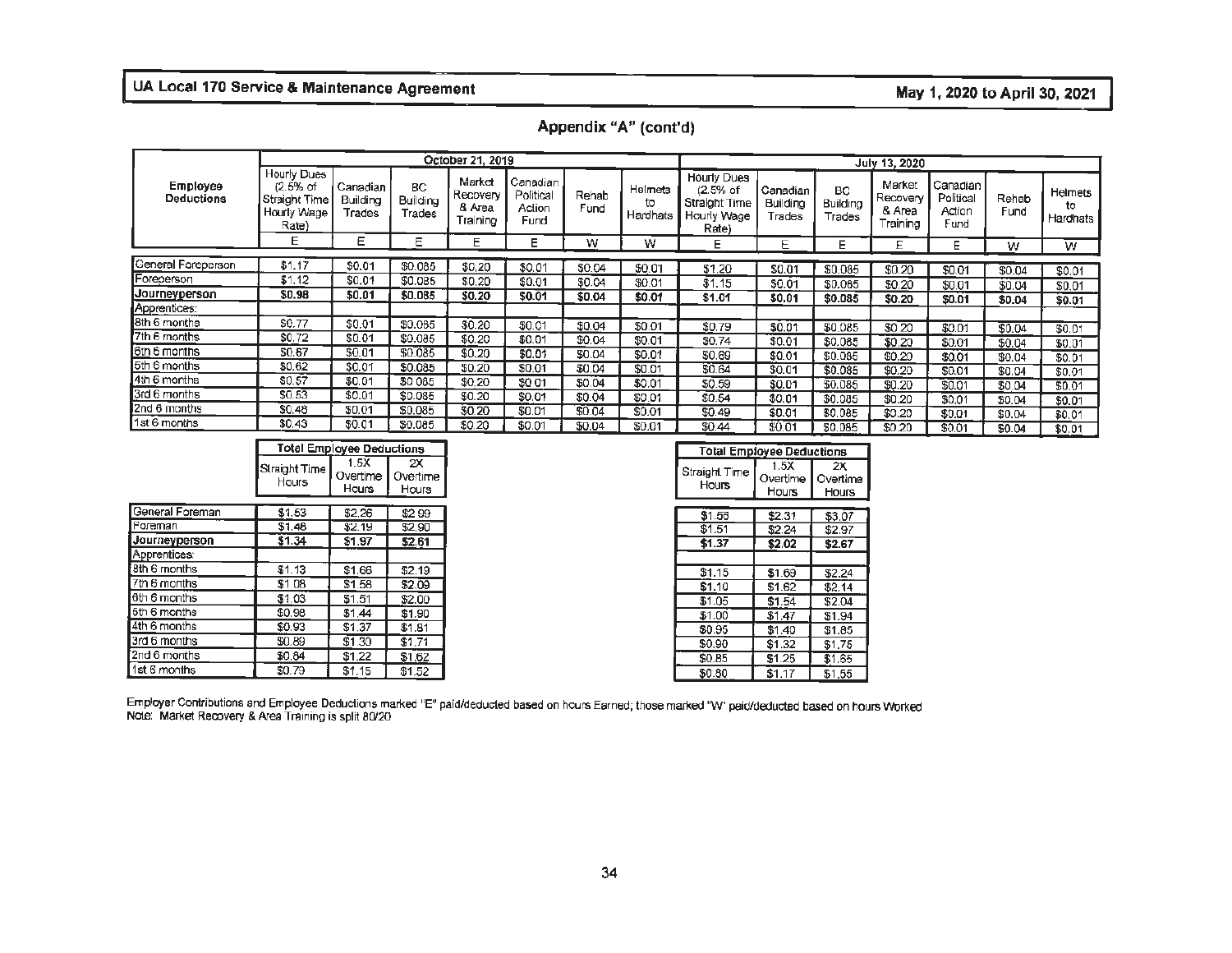|                               |                                                                    |                                |                                        | October 21, 2019                         |                                         |               |                           |                                                                    |                                       |                                        | July 13, 2020                            |                                                      |               |                           |
|-------------------------------|--------------------------------------------------------------------|--------------------------------|----------------------------------------|------------------------------------------|-----------------------------------------|---------------|---------------------------|--------------------------------------------------------------------|---------------------------------------|----------------------------------------|------------------------------------------|------------------------------------------------------|---------------|---------------------------|
| Employee<br><b>Deductions</b> | Hourly Dues<br>$(2.5%$ of<br>Straight Time<br>Hourly Wage<br>Rate) | Canadian<br>Building<br>Trades | <b>BC</b><br><b>Building</b><br>Trades | Market<br>Recovery<br>& Area<br>Training | Canadian<br>Political<br>Action<br>Fund | Rehab<br>Fund | Helmets<br>to<br>Hardhats | Hourly Dues<br>$(2.5%$ of<br>Straight Time<br>Hourly Wage<br>Rate) | Canadian<br><b>Building</b><br>Trades | <b>BC</b><br><b>Building</b><br>⊤rades | Market<br>Recovery<br>& Area<br>Training | Canadian <sup>1</sup><br>Political<br>Action<br>Fund | Rehab<br>Fund | Helmets<br>to<br>Hardhats |
|                               | Е                                                                  | Ε                              | Е                                      | Е                                        | Е                                       | w             | w                         | Е                                                                  | E                                     | Е                                      | E                                        | Е                                                    | w             | W                         |
| General Foreperson            |                                                                    |                                |                                        |                                          |                                         |               |                           |                                                                    |                                       |                                        |                                          |                                                      |               |                           |
|                               | \$1.17                                                             | \$0.01                         | \$0.085                                | \$0.20                                   | \$0.01                                  | \$0.04        | \$0.01                    | \$1.20                                                             | \$0.01                                | \$0.085                                | \$0.20                                   | \$0.01                                               | \$0.04        | \$0.01                    |
| Foreperson                    | \$1.12                                                             | \$0.01                         | \$0.085                                | \$0.20                                   | \$0.01                                  | \$0.04        | \$0.01                    | \$1.15                                                             | \$0.01                                | \$0.065                                | \$0,20                                   | \$0.01                                               | \$0.04        | \$0.01                    |
| Journeyperson                 | \$0.98                                                             | \$0.01                         | \$0.085                                | \$0.20                                   | \$0.01                                  | \$0.04        | \$0.01                    | \$1.01                                                             | \$0.01                                | \$0.085                                | \$0.20                                   | \$0.01                                               | \$0.04        | \$0.01                    |
| Apprentices:                  |                                                                    |                                |                                        |                                          |                                         |               |                           |                                                                    |                                       |                                        |                                          |                                                      |               |                           |
| 8th 6 months                  | \$0.77                                                             | \$0.01                         | \$0.085                                | \$0.20                                   | \$0.01                                  | \$0.04        | \$0.01                    | \$0.79                                                             | \$0.01                                | \$0.085                                | \$0 20                                   | \$0.01                                               | \$0.04        | \$0.01                    |
| 7th 6 months                  | \$0.72                                                             | \$0.01                         | \$0.085                                | \$0.20                                   | \$0.01                                  | \$0.04        | \$0.01                    | \$0.74                                                             | \$0.01                                | \$0.085                                | \$0.20                                   | \$0.01                                               | \$0.04        | \$0.01                    |
| 6th 6 months                  | \$0.67                                                             | \$0.01                         | \$0.085                                | \$0.20                                   | \$0.01                                  | \$0.04        | \$0.01                    | \$0.69                                                             | \$0.01                                | \$0.085                                | \$0.20                                   | \$0.01                                               | \$0.04        | \$0.01                    |
| 5th 6 months                  | \$0.62                                                             | \$0.01                         | \$0.085                                | \$0.20                                   | \$0.01                                  | \$0.04        | \$0.01                    | \$0.64                                                             | \$0.01                                | \$0.085                                | \$0.20                                   | \$0.01                                               |               |                           |
| 4th 6 months                  | \$0.57                                                             | \$0.01                         | \$0 085                                | \$0.20                                   | \$0.01                                  | \$0.04        | \$0.01                    | \$0.59                                                             | \$0.01                                | \$0.085                                | \$0.20                                   |                                                      | \$0.04        | \$0.01                    |
| 3rd 6 months                  | \$0.53                                                             | \$0.01                         | \$0.085                                | \$0.20                                   | \$0.01                                  | \$0.04        | \$0.01                    | \$0.54                                                             |                                       |                                        |                                          | \$0.01                                               | \$0.04        | \$0,01                    |
| 2nd 6 months                  | \$0.48                                                             | \$0.01                         | \$0.085                                | \$0.20                                   |                                         |               |                           |                                                                    | \$0.01                                | \$0.085                                | \$0.20                                   | \$0,01                                               | \$0.04        | \$0.01                    |
| 1st 6 months                  |                                                                    |                                |                                        |                                          | \$0.01                                  | \$0.04        | \$0.01                    | \$0.49                                                             | \$0.01                                | \$0,085                                | \$0.20                                   | \$0.01                                               | \$0.04        | \$0.01                    |
|                               | \$0.43                                                             | \$0.01                         | \$0.085                                | \$0.20                                   | \$0.01                                  | \$0.04        | \$0.01                    | \$0.44                                                             | \$0.01                                | \$0.085                                | \$0.20                                   | \$0.01                                               | \$0.04        | \$0.01                    |

| <b>Total Employee Deductions</b>                                                                  |  |
|---------------------------------------------------------------------------------------------------|--|
| .5X<br>2X<br>Straight Time <b> </b> ,<br>$\sim$<br>. Overtime I 1<br>Overtime i<br>Hours<br>Hours |  |

| General Foreman      | \$1.53 | \$2.26 | \$299  |
|----------------------|--------|--------|--------|
| <b>IForeman</b>      | \$1.48 | \$2.19 | \$2,90 |
| Journeyperson        | \$1.34 | \$1.97 | \$2.61 |
| Apprentices:         |        |        |        |
| <b>f8th 6 months</b> | \$1.13 | \$1.66 | \$2.19 |
| 7th 6 months         | \$1.08 | \$1.58 | \$2.09 |
| 6th 6 months         | \$1.03 | \$1.51 | \$2.00 |
| 5th 6 months         | \$0.98 | \$1,44 | \$1.90 |
| 4th 6 months         | \$0.93 | \$1,37 | \$1.81 |
| 3rd 6 months         | \$0.89 | \$1.30 | \$1.71 |
| 2nd 6 months         | \$0.84 | \$1,22 | \$1.62 |
| 1st 6 months         | \$0.79 | \$1.15 | \$1.52 |

|            | <b>Total Employee Deductions</b> |                         | <b>Total Employee Deductions</b> |                                  |          |
|------------|----------------------------------|-------------------------|----------------------------------|----------------------------------|----------|
| iight Time | 1.5X<br>Overtime<br>Hours        | 2X<br>Overtime<br>Hours | Straight Time<br>Hours           | 1.5X<br>Overtime<br><b>Hours</b> | Overtime |
|            |                                  |                         |                                  |                                  |          |
|            | \$2.26                           | \$299                   | \$1.56                           | \$2.31                           |          |
| \$1.48     | \$2.19                           | \$2,90                  | \$1.51                           | \$2.24                           | \$2.97   |
| \$1.34     | \$1.97                           | \$2.61                  | \$1.37                           | \$2.02                           | \$2.67   |
| \$1.13     | \$1.66                           | \$2.19                  | \$1.15                           | \$1.69                           | \$2.24   |
|            | \$1.58                           | \$2.09                  | \$1.10                           | \$1.62                           | \$2.14   |
| \$1.03     | \$1.51                           | \$2.00                  | \$1.05                           | \$1.54                           | \$2.04   |
| \$0.98     | \$1,44                           | \$1.90                  | \$1.00                           | \$1.47                           | \$1.94   |
| \$0.93     | \$1,37                           | \$1.81                  | \$0.95                           | \$1,40                           | \$1.85   |
| \$0.89     | \$1.30                           | \$1.71                  | \$0.90                           | \$1.32                           | \$1,75   |
| \$0.84     | \$1,22                           | \$1.62                  | \$0.85                           | \$1.25                           | \$1.65   |
| \$0.79     | \$1.15                           | \$1.52                  | \$0.80                           | \$1.17                           | \$1,55   |

Employer Contributions and Employee Deductions marked "E" paicildeducted based on hours Earned; those marked "W" paid/deducted based on hours Worked Note: Market Reoovery & Area Training is split 80/20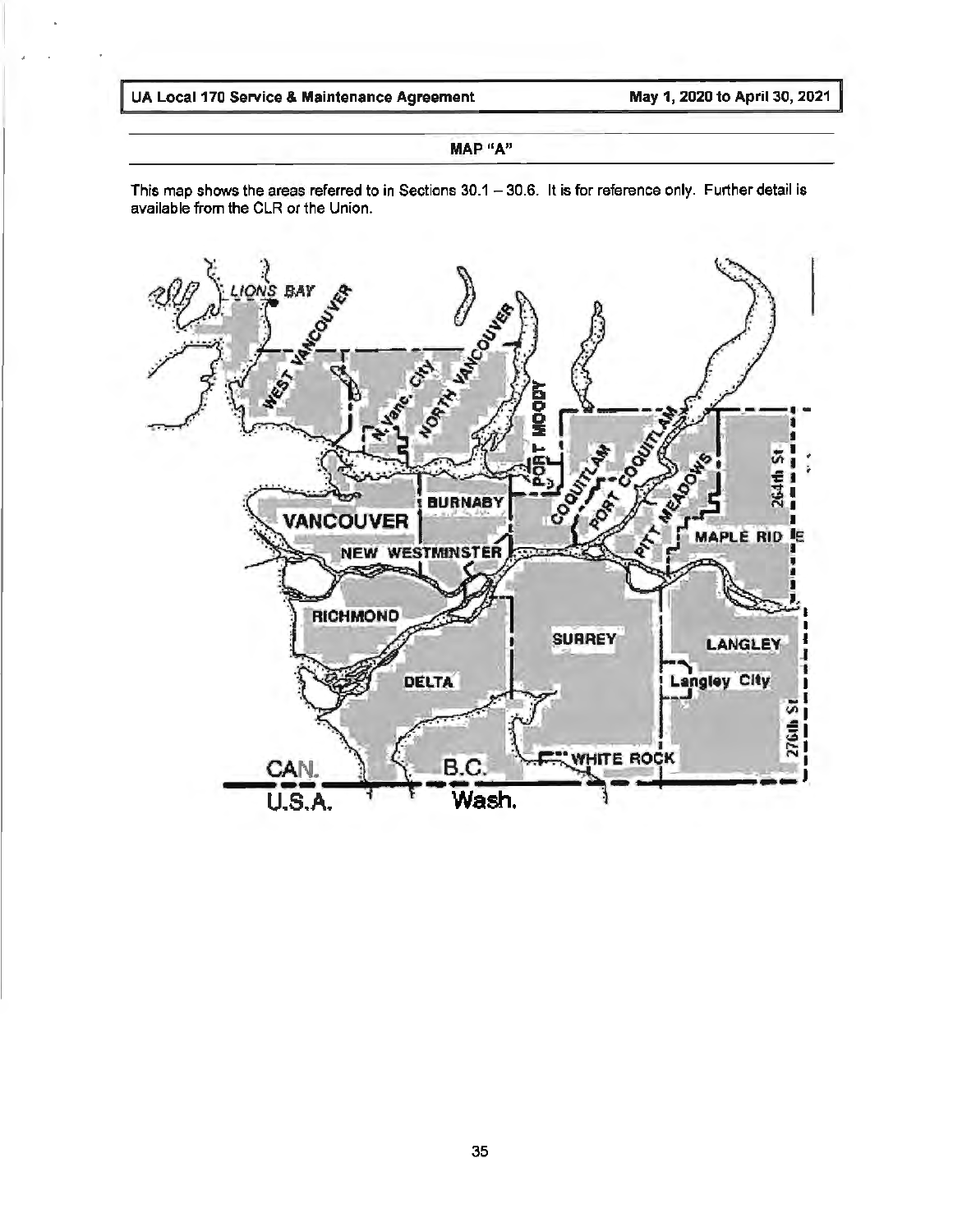#### **MAP "A"**

This map shows the areas referred to in Sections 30.1 - 30.6. It is for reference only. Further detail is available from the CLR or the Union.

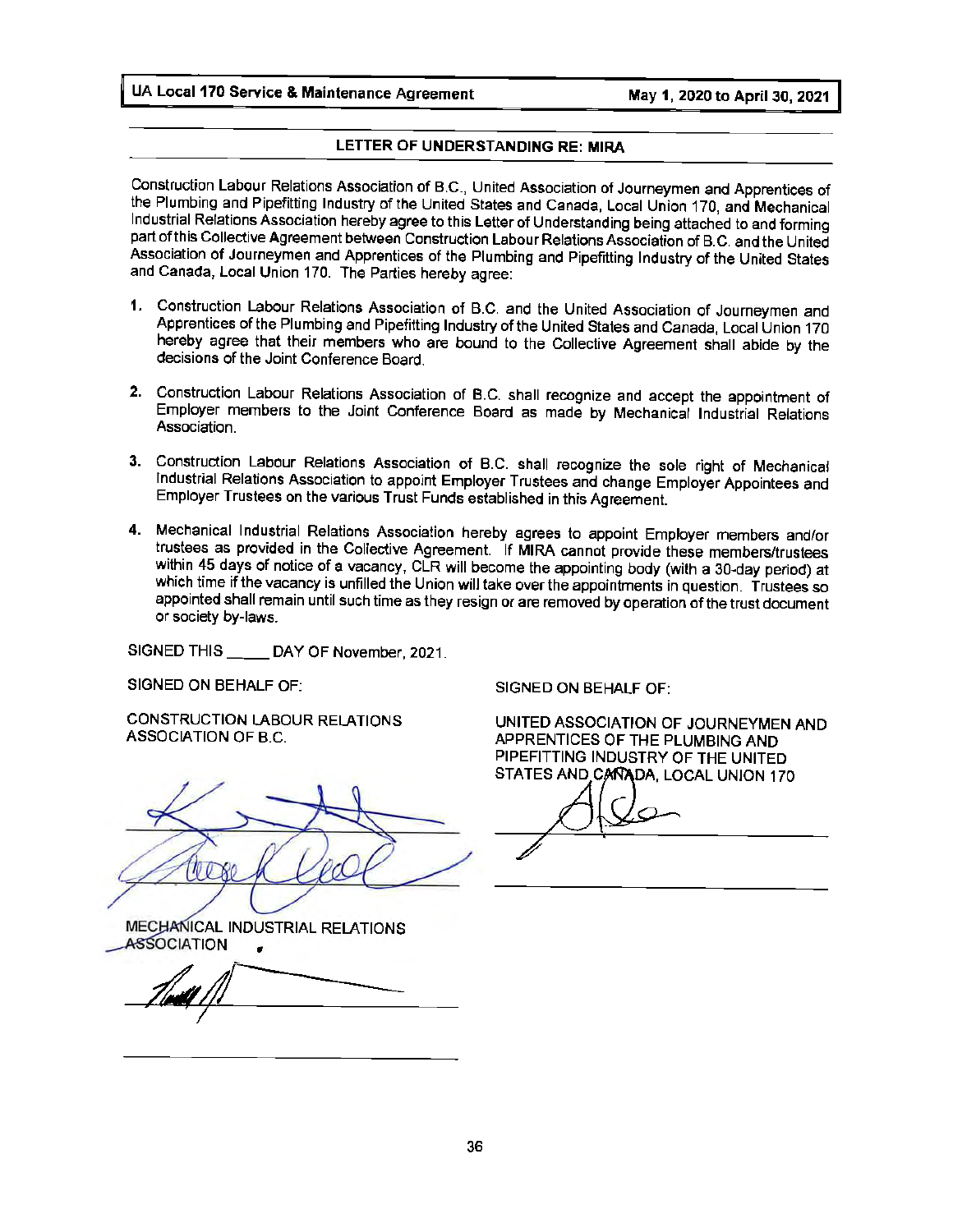#### **LETTER OF UNDERSTANDING RE: MIRA**

Construction Labour Relations Association of B.C., United Association of Journeymen and Apprentices of the Plumbing and Pipefitting Industry of the United States and Canada, Local Union 170, and Mechanical Industrial Relations Association hereby agree to this Letter of Understanding being attached to and forming part of this Collective Agreement between Construction Labour Relations Association of B.C. and the United Association of Journeymen and Apprentices of the Plumbing and Pipefitting Industry of the United States and Canada, Local Union 170. The Parties hereby agree:

- 1. Construction Labour Relations Association of B.C. and the United Association of Journeymen and Apprentices of the Plumbing and Pipefitting Industry of the United States and Canada, Local Union 170 hereby agree that their members who are bound to the Collective Agreement shall abide by the decisions of the Joint Conference Board.
- **2.** Construction Labour Relations Association of **B.C.** shall recognize and accept the appointment of Employer members to the Joint Conference Board as made by Mechanical Industrial Relations Association.
- **3.** Construction Labour Relations Association of B.C. shall recognize the sole right of Mechanical Industrial Relations Association to appoint Employer Trustees and change Employer Appointees and Employer Trustees on the various Trust Funds established in this Agreement.
- **4.** Mechanical Industrial Relations Association hereby agrees to appoint Employer members and/or trustees as provided in the Collective Agreement. If MIRA cannot provide these members/trustees within 45 days of notice of a vacancy, CLR will become the appointing body (with a 30-day period) at which time if the vacancy is unfilled the Union will take over the appointments in question. Trustees so appointed shall remain until such time as they resign or are removed by operation of the trust document or society by-laws.

SIGNED THIS \_\_ \_\_ DAY OF November, 2021.

SIGNED ON BEHALF OF:

CONSTRUCTION LABOUR RELATIONS ASSOCIATION OF B.C.

MECHANICAL INDUSTRIAL RELATIONS **ASSOCIATION** 

SIGNED ON BEHALF OF:

UNITED ASSOCIATION OF JOURNEYMEN AND APPRENTICES OF THE PLUMBING AND PIPEFITTING INDUSTRY OF THE UNITED STATES AND CANADA, LOCAL UNION 170

 $\gamma$